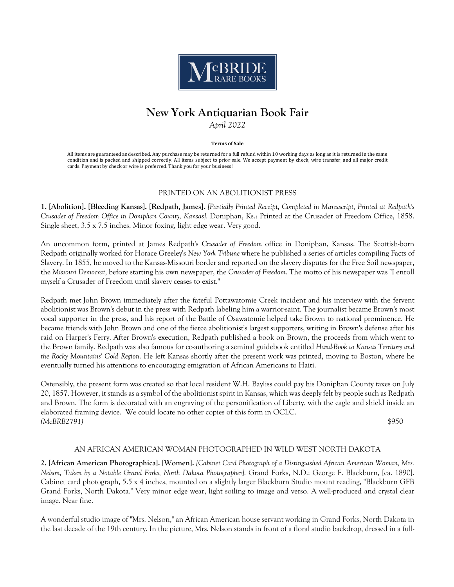

# **New York Antiquarian Book Fair** *April 2022*

#### **Terms of Sale**

All items are guaranteed as described. Any purchase may be returned for a full refund within 10 working days as long as it is returned in the same condition and is packed and shipped correctly. All items subject to prior sale. We accept payment by check, wire transfer, and all major credit cards. Payment by check or wire is preferred. Thank you for your business!

## PRINTED ON AN ABOLITIONIST PRESS

**1. [Abolition]. [Bleeding Kansas]. [Redpath, James].** *[Partially Printed Receipt, Completed in Manuscript, Printed at Redpath's Crusader of Freedom Office in Doniphan County, Kansas].* Doniphan, Ks.: Printed at the Crusader of Freedom Office, 1858. Single sheet, 3.5 x 7.5 inches. Minor foxing, light edge wear. Very good.

An uncommon form, printed at James Redpath's *Crusader of Freedom* office in Doniphan, Kansas. The Scottish-born Redpath originally worked for Horace Greeley's *New York Tribune* where he published a series of articles compiling Facts of Slavery. In 1855, he moved to the Kansas-Missouri border and reported on the slavery disputes for the Free Soil newspaper, the *Missouri Democrat,* before starting his own newspaper, the *Crusader of Freedom*. The motto of his newspaper was "I enroll myself a Crusader of Freedom until slavery ceases to exist."

Redpath met John Brown immediately after the fateful Pottawatomie Creek incident and his interview with the fervent abolitionist was Brown's debut in the press with Redpath labeling him a warrior-saint. The journalist became Brown's most vocal supporter in the press, and his report of the Battle of Osawatomie helped take Brown to national prominence. He became friends with John Brown and one of the fierce abolitionist's largest supporters, writing in Brown's defense after his raid on Harper's Ferry. After Brown's execution, Redpath published a book on Brown, the proceeds from which went to the Brown family. Redpath was also famous for co-authoring a seminal guidebook entitled *Hand-Book to Kansas Territory and the Rocky Mountains' Gold Region*. He left Kansas shortly after the present work was printed, moving to Boston, where he eventually turned his attentions to encouraging emigration of African Americans to Haiti.

Ostensibly, the present form was created so that local resident W.H. Bayliss could pay his Doniphan County taxes on July 20, 1857. However, it stands as a symbol of the abolitionist spirit in Kansas, which was deeply felt by people such as Redpath and Brown. The form is decorated with an engraving of the personification of Liberty, with the eagle and shield inside an elaborated framing device. We could locate no other copies of this form in OCLC. *(McBRB2791)* \$950

## AN AFRICAN AMERICAN WOMAN PHOTOGRAPHED IN WILD WEST NORTH DAKOTA

**2. [African American Photographica]. [Women].** *[Cabinet Card Photograph of a Distinguished African American Woman, Mrs. Nelson, Taken by a Notable Grand Forks, North Dakota Photographer].* Grand Forks, N.D.: George F. Blackburn, [ca. 1890]. Cabinet card photograph, 5.5 x 4 inches, mounted on a slightly larger Blackburn Studio mount reading, "Blackburn GFB Grand Forks, North Dakota." Very minor edge wear, light soiling to image and verso. A well-produced and crystal clear image. Near fine.

A wonderful studio image of "Mrs. Nelson," an African American house servant working in Grand Forks, North Dakota in the last decade of the 19th century. In the picture, Mrs. Nelson stands in front of a floral studio backdrop, dressed in a full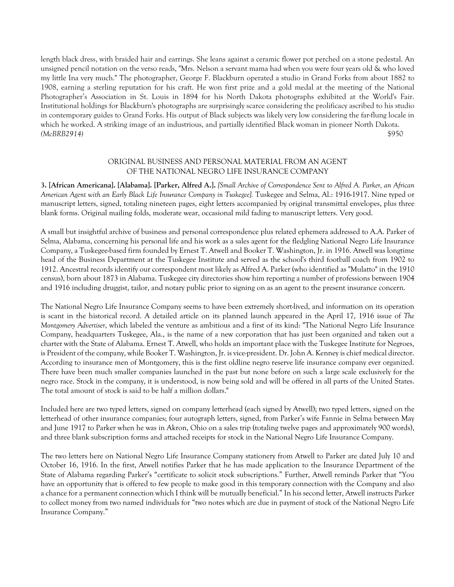length black dress, with braided hair and earrings. She leans against a ceramic flower pot perched on a stone pedestal. An unsigned pencil notation on the verso reads, "Mrs. Nelson a servant mama had when you were four years old & who loved my little Ina very much." The photographer, George F. Blackburn operated a studio in Grand Forks from about 1882 to 1908, earning a sterling reputation for his craft. He won first prize and a gold medal at the meeting of the National Photographer's Association in St. Louis in 1894 for his North Dakota photographs exhibited at the World's Fair. Institutional holdings for Blackburn's photographs are surprisingly scarce considering the prolificacy ascribed to his studio in contemporary guides to Grand Forks. His output of Black subjects was likely very low considering the far-flung locale in which he worked. A striking image of an industrious, and partially identified Black woman in pioneer North Dakota. *(McBRB2914)* \$950

# ORIGINAL BUSINESS AND PERSONAL MATERIAL FROM AN AGENT OF THE NATIONAL NEGRO LIFE INSURANCE COMPANY

**3. [African Americana]. [Alabama]. [Parker, Alfred A.].** *[Small Archive of Correspondence Sent to Alfred A. Parker, an African American Agent with an Early Black Life Insurance Company in Tuskegee].* Tuskegee and Selma, Al.: 1916-1917. Nine typed or manuscript letters, signed, totaling nineteen pages, eight letters accompanied by original transmittal envelopes, plus three blank forms. Original mailing folds, moderate wear, occasional mild fading to manuscript letters. Very good.

A small but insightful archive of business and personal correspondence plus related ephemera addressed to A.A. Parker of Selma, Alabama, concerning his personal life and his work as a sales agent for the fledgling National Negro Life Insurance Company, a Tuskegee-based firm founded by Ernest T. Atwell and Booker T. Washington, Jr. in 1916. Atwell was longtime head of the Business Department at the Tuskegee Institute and served as the school's third football coach from 1902 to 1912. Ancestral records identify our correspondent most likely as Alfred A. Parker (who identified as "Mulatto" in the 1910 census), born about 1873 in Alabama. Tuskegee city directories show him reporting a number of professions between 1904 and 1916 including druggist, tailor, and notary public prior to signing on as an agent to the present insurance concern.

The National Negro Life Insurance Company seems to have been extremely short-lived, and information on its operation is scant in the historical record. A detailed article on its planned launch appeared in the April 17, 1916 issue of *The Montgomery Advertiser*, which labeled the venture as ambitious and a first of its kind: "The National Negro Life Insurance Company, headquarters Tuskegee, Ala., is the name of a new corporation that has just been organized and taken out a charter with the State of Alabama. Ernest T. Atwell, who holds an important place with the Tuskegee Institute for Negroes, is President of the company, while Booker T. Washington, Jr. is vice-president. Dr. John A. Kenney is chief medical director. According to insurance men of Montgomery, this is the first oldline negro reserve life insurance company ever organized. There have been much smaller companies launched in the past but none before on such a large scale exclusively for the negro race. Stock in the company, it is understood, is now being sold and will be offered in all parts of the United States. The total amount of stock is said to be half a million dollars."

Included here are two typed letters, signed on company letterhead (each signed by Atwell); two typed letters, signed on the letterhead of other insurance companies; four autograph letters, signed, from Parker's wife Fannie in Selma between May and June 1917 to Parker when he was in Akron, Ohio on a sales trip (totaling twelve pages and approximately 900 words), and three blank subscription forms and attached receipts for stock in the National Negro Life Insurance Company.

The two letters here on National Negro Life Insurance Company stationery from Atwell to Parker are dated July 10 and October 16, 1916. In the first, Atwell notifies Parker that he has made application to the Insurance Department of the State of Alabama regarding Parker's "certificate to solicit stock subscriptions." Further, Atwell reminds Parker that "You have an opportunity that is offered to few people to make good in this temporary connection with the Company and also a chance for a permanent connection which I think will be mutually beneficial." In his second letter, Atwell instructs Parker to collect money from two named individuals for "two notes which are due in payment of stock of the National Negro Life Insurance Company."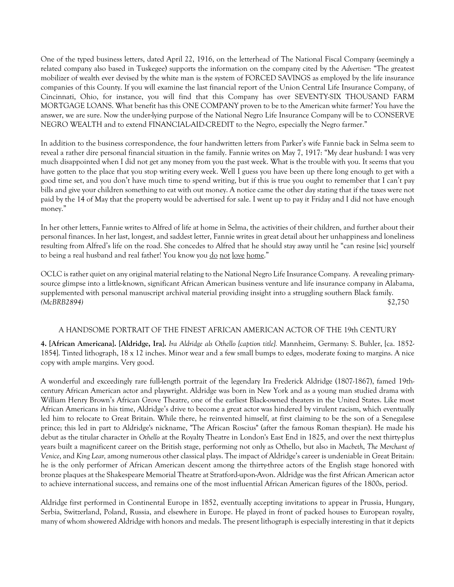One of the typed business letters, dated April 22, 1916, on the letterhead of The National Fiscal Company (seemingly a related company also based in Tuskegee) supports the information on the company cited by the *Advertiser*: "The greatest mobilizer of wealth ever devised by the white man is the system of FORCED SAVINGS as employed by the life insurance companies of this County. If you will examine the last financial report of the Union Central Life Insurance Company, of Cincinnati, Ohio, for instance, you will find that this Company has over SEVENTY-SIX THOUSAND FARM MORTGAGE LOANS. What benefit has this ONE COMPANY proven to be to the American white farmer? You have the answer, we are sure. Now the under-lying purpose of the National Negro Life Insurance Company will be to CONSERVE NEGRO WEALTH and to extend FINANCIAL-AID-CREDIT to the Negro, especially the Negro farmer."

In addition to the business correspondence, the four handwritten letters from Parker's wife Fannie back in Selma seem to reveal a rather dire personal financial situation in the family. Fannie writes on May 7, 1917: "My dear husband: I was very much disappointed when I did not get any money from you the past week. What is the trouble with you. It seems that you have gotten to the place that you stop writing every week. Well I guess you have been up there long enough to get with a good time set, and you don't have much time to spend writing, but if this is true you ought to remember that I can't pay bills and give your children something to eat with out money. A notice came the other day stating that if the taxes were not paid by the 14 of May that the property would be advertised for sale. I went up to pay it Friday and I did not have enough money."

In her other letters, Fannie writes to Alfred of life at home in Selma, the activities of their children, and further about their personal finances. In her last, longest, and saddest letter, Fannie writes in great detail about her unhappiness and loneliness resulting from Alfred's life on the road. She concedes to Alfred that he should stay away until he "can resine [sic] yourself to being a real husband and real father! You know you <u>do not love home</u>."

OCLC is rather quiet on any original material relating to the National Negro Life Insurance Company. A revealing primarysource glimpse into a little-known, significant African American business venture and life insurance company in Alabama, supplemented with personal manuscript archival material providing insight into a struggling southern Black family. *(McBRB2894)* \$2,750

# A HANDSOME PORTRAIT OF THE FINEST AFRICAN AMERICAN ACTOR OF THE 19th CENTURY

**4. [African Americana]. [Aldridge, Ira].** *Ira Aldridge als Othello [caption title].* Mannheim, Germany: S. Buhler, [ca. 1852- 1854]. Tinted lithograph, 18 x 12 inches. Minor wear and a few small bumps to edges, moderate foxing to margins. A nice copy with ample margins. Very good.

A wonderful and exceedingly rare full-length portrait of the legendary Ira Frederick Aldridge (1807-1867), famed 19thcentury African American actor and playwright. Aldridge was born in New York and as a young man studied drama with William Henry Brown's African Grove Theatre, one of the earliest Black-owned theaters in the United States. Like most African Americans in his time, Aldridge's drive to become a great actor was hindered by virulent racism, which eventually led him to relocate to Great Britain. While there, he reinvented himself, at first claiming to be the son of a Senegalese prince; this led in part to Aldridge's nickname, "The African Roscius" (after the famous Roman thespian). He made his debut as the titular character in *Othello* at the Royalty Theatre in London's East End in 1825, and over the next thirty-plus years built a magnificent career on the British stage, performing not only as Othello, but also in *Macbeth*, *The Merchant of Venice*, and *King Lear,* among numerous other classical plays. The impact of Aldridge's career is undeniable in Great Britain: he is the only performer of African American descent among the thirty-three actors of the English stage honored with bronze plaques at the Shakespeare Memorial Theatre at Stratford-upon-Avon. Aldridge was the first African American actor to achieve international success, and remains one of the most influential African American figures of the 1800s, period.

Aldridge first performed in Continental Europe in 1852, eventually accepting invitations to appear in Prussia, Hungary, Serbia, Switzerland, Poland, Russia, and elsewhere in Europe. He played in front of packed houses to European royalty, many of whom showered Aldridge with honors and medals. The present lithograph is especially interesting in that it depicts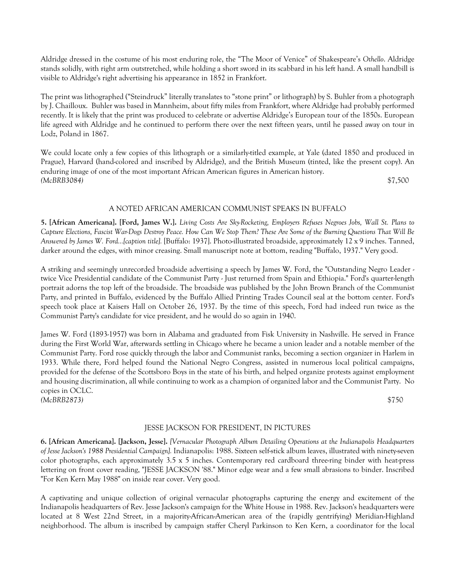Aldridge dressed in the costume of his most enduring role, the "The Moor of Venice" of Shakespeare's *Othello*. Aldridge stands solidly, with right arm outstretched, while holding a short sword in its scabbard in his left hand. A small handbill is visible to Aldridge's right advertising his appearance in 1852 in Frankfort.

The print was lithographed ("Steindruck" literally translates to "stone print" or lithograph) by S. Buhler from a photograph by J. Chailloux. Buhler was based in Mannheim, about fifty miles from Frankfort, where Aldridge had probably performed recently. It is likely that the print was produced to celebrate or advertise Aldridge's European tour of the 1850s. European life agreed with Aldridge and he continued to perform there over the next fifteen years, until he passed away on tour in Lodz, Poland in 1867.

We could locate only a few copies of this lithograph or a similarly-titled example, at Yale (dated 1850 and produced in Prague), Harvard (hand-colored and inscribed by Aldridge), and the British Museum (tinted, like the present copy). An enduring image of one of the most important African American figures in American history. *(McBRB3084)* \$7,500

# A NOTED AFRICAN AMERICAN COMMUNIST SPEAKS IN BUFFALO

**5. [African Americana]. [Ford, James W.].** *Living Costs Are Sky-Rocketing, Employers Refuses Negroes Jobs, Wall St. Plans to Capture Elections, Fascist War-Dogs Destroy Peace. How Can We Stop Them? These Are Some of the Burning Questions That Will Be Answered by James W. Ford...[caption title].* [Buffalo: 1937]. Photo-illustrated broadside, approximately 12 x 9 inches. Tanned, darker around the edges, with minor creasing. Small manuscript note at bottom, reading "Buffalo, 1937." Very good.

A striking and seemingly unrecorded broadside advertising a speech by James W. Ford, the "Outstanding Negro Leader twice Vice Presidential candidate of the Communist Party - Just returned from Spain and Ethiopia." Ford's quarter-length portrait adorns the top left of the broadside. The broadside was published by the John Brown Branch of the Communist Party, and printed in Buffalo, evidenced by the Buffalo Allied Printing Trades Council seal at the bottom center. Ford's speech took place at Kaisers Hall on October 26, 1937. By the time of this speech, Ford had indeed run twice as the Communist Party's candidate for vice president, and he would do so again in 1940.

James W. Ford (1893-1957) was born in Alabama and graduated from Fisk University in Nashville. He served in France during the First World War, afterwards settling in Chicago where he became a union leader and a notable member of the Communist Party. Ford rose quickly through the labor and Communist ranks, becoming a section organizer in Harlem in 1933. While there, Ford helped found the National Negro Congress, assisted in numerous local political campaigns, provided for the defense of the Scottsboro Boys in the state of his birth, and helped organize protests against employment and housing discrimination, all while continuing to work as a champion of organized labor and the Communist Party. No copies in OCLC. *(McBRB2873)* \$750

# JESSE JACKSON FOR PRESIDENT, IN PICTURES

**6. [African Americana]. [Jackson, Jesse].** *[Vernacular Photograph Album Detailing Operations at the Indianapolis Headquarters of Jesse Jackson's 1988 Presidential Campaign].* Indianapolis: 1988. Sixteen self-stick album leaves, illustrated with ninety-seven color photographs, each approximately 3.5 x 5 inches. Contemporary red cardboard three-ring binder with heat-press lettering on front cover reading, "JESSE JACKSON '88." Minor edge wear and a few small abrasions to binder. Inscribed "For Ken Kern May 1988" on inside rear cover. Very good.

A captivating and unique collection of original vernacular photographs capturing the energy and excitement of the Indianapolis headquarters of Rev. Jesse Jackson's campaign for the White House in 1988. Rev. Jackson's headquarters were located at 8 West 22nd Street, in a majority-African-American area of the (rapidly gentrifying) Meridian-Highland neighborhood. The album is inscribed by campaign staffer Cheryl Parkinson to Ken Kern, a coordinator for the local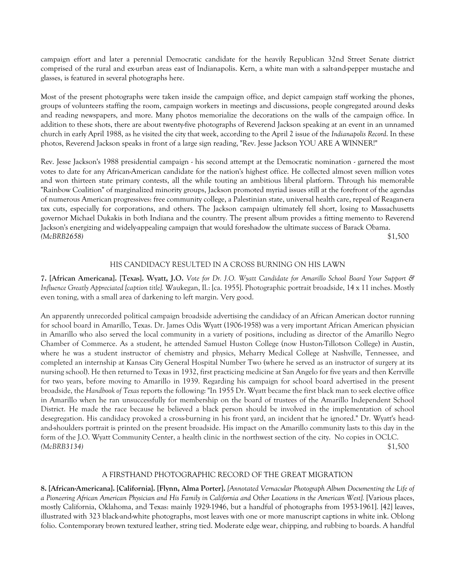campaign effort and later a perennial Democratic candidate for the heavily Republican 32nd Street Senate district comprised of the rural and ex-urban areas east of Indianapolis. Kern, a white man with a salt-and-pepper mustache and glasses, is featured in several photographs here.

Most of the present photographs were taken inside the campaign office, and depict campaign staff working the phones, groups of volunteers staffing the room, campaign workers in meetings and discussions, people congregated around desks and reading newspapers, and more. Many photos memorialize the decorations on the walls of the campaign office. In addition to these shots, there are about twenty-five photographs of Reverend Jackson speaking at an event in an unnamed church in early April 1988, as he visited the city that week, according to the April 2 issue of the *Indianapolis Record*. In these photos, Reverend Jackson speaks in front of a large sign reading, "Rev. Jesse Jackson YOU ARE A WINNER!"

Rev. Jesse Jackson's 1988 presidential campaign - his second attempt at the Democratic nomination - garnered the most votes to date for any African-American candidate for the nation's highest office. He collected almost seven million votes and won thirteen state primary contests, all the while touting an ambitious liberal platform. Through his memorable "Rainbow Coalition" of marginalized minority groups, Jackson promoted myriad issues still at the forefront of the agendas of numerous American progressives: free community college, a Palestinian state, universal health care, repeal of Reagan-era tax cuts, especially for corporations, and others. The Jackson campaign ultimately fell short, losing to Massachusetts governor Michael Dukakis in both Indiana and the country. The present album provides a fitting memento to Reverend Jackson's energizing and widely-appealing campaign that would foreshadow the ultimate success of Barack Obama. *(McBRB2658)* \$1,500

# HIS CANDIDACY RESULTED IN A CROSS BURNING ON HIS LAWN

**7. [African Americana]. [Texas]. Wyatt, J.O.** *Vote for Dr. J.O. Wyatt Candidate for Amarillo School Board Your Support & Influence Greatly Appreciated [caption title].* Waukegan, Il.: [ca. 1955]. Photographic portrait broadside, 14 x 11 inches. Mostly even toning, with a small area of darkening to left margin. Very good.

An apparently unrecorded political campaign broadside advertising the candidacy of an African American doctor running for school board in Amarillo, Texas. Dr. James Odis Wyatt (1906-1958) was a very important African American physician in Amarillo who also served the local community in a variety of positions, including as director of the Amarillo Negro Chamber of Commerce. As a student, he attended Samuel Huston College (now Huston-Tillotson College) in Austin, where he was a student instructor of chemistry and physics, Meharry Medical College at Nashville, Tennessee, and completed an internship at Kansas City General Hospital Number Two (where he served as an instructor of surgery at its nursing school). He then returned to Texas in 1932, first practicing medicine at San Angelo for five years and then Kerrville for two years, before moving to Amarillo in 1939. Regarding his campaign for school board advertised in the present broadside, the *Handbook of Texas* reports the following: "In 1955 Dr. Wyatt became the first black man to seek elective office in Amarillo when he ran unsuccessfully for membership on the board of trustees of the Amarillo Independent School District. He made the race because he believed a black person should be involved in the implementation of school desegregation. His candidacy provoked a cross-burning in his front yard, an incident that he ignored." Dr. Wyatt's headand-shoulders portrait is printed on the present broadside. His impact on the Amarillo community lasts to this day in the form of the J.O. Wyatt Community Center, a health clinic in the northwest section of the city. No copies in OCLC. *(McBRB3134)* \$1,500

## A FIRSTHAND PHOTOGRAPHIC RECORD OF THE GREAT MIGRATION

**8. [African-Americana]. [California]. [Flynn, Alma Porter].** *[Annotated Vernacular Photograph Album Documenting the Life of a Pioneering African American Physician and His Family in California and Other Locations in the American West].* [Various places, mostly California, Oklahoma, and Texas: mainly 1929-1946, but a handful of photographs from 1953-1961]. [42] leaves, illustrated with 323 black-and-white photographs, most leaves with one or more manuscript captions in white ink. Oblong folio. Contemporary brown textured leather, string tied. Moderate edge wear, chipping, and rubbing to boards. A handful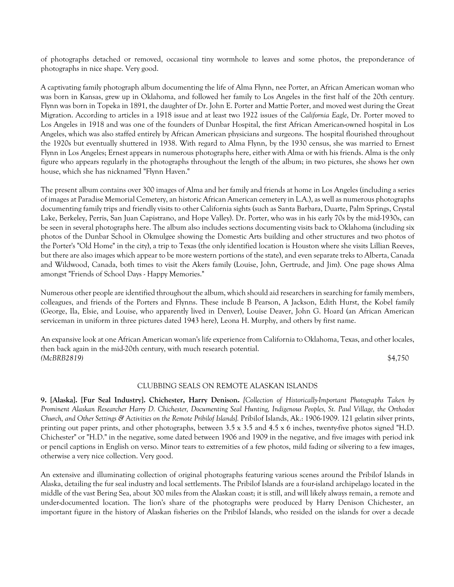of photographs detached or removed, occasional tiny wormhole to leaves and some photos, the preponderance of photographs in nice shape. Very good.

A captivating family photograph album documenting the life of Alma Flynn, nee Porter, an African American woman who was born in Kansas, grew up in Oklahoma, and followed her family to Los Angeles in the first half of the 20th century. Flynn was born in Topeka in 1891, the daughter of Dr. John E. Porter and Mattie Porter, and moved west during the Great Migration. According to articles in a 1918 issue and at least two 1922 issues of the *California Eagle*, Dr. Porter moved to Los Angeles in 1918 and was one of the founders of Dunbar Hospital, the first African American-owned hospital in Los Angeles, which was also staffed entirely by African American physicians and surgeons. The hospital flourished throughout the 1920s but eventually shuttered in 1938. With regard to Alma Flynn, by the 1930 census, she was married to Ernest Flynn in Los Angeles; Ernest appears in numerous photographs here, either with Alma or with his friends. Alma is the only figure who appears regularly in the photographs throughout the length of the album; in two pictures, she shows her own house, which she has nicknamed "Flynn Haven."

The present album contains over 300 images of Alma and her family and friends at home in Los Angeles (including a series of images at Paradise Memorial Cemetery, an historic African American cemetery in L.A.), as well as numerous photographs documenting family trips and friendly visits to other California sights (such as Santa Barbara, Duarte, Palm Springs, Crystal Lake, Berkeley, Perris, San Juan Capistrano, and Hope Valley). Dr. Porter, who was in his early 70s by the mid-1930s, can be seen in several photographs here. The album also includes sections documenting visits back to Oklahoma (including six photos of the Dunbar School in Okmulgee showing the Domestic Arts building and other structures and two photos of the Porter's "Old Home" in the city), a trip to Texas (the only identified location is Houston where she visits Lillian Reeves, but there are also images which appear to be more western portions of the state), and even separate treks to Alberta, Canada and Wildwood, Canada, both times to visit the Akers family (Louise, John, Gertrude, and Jim). One page shows Alma amongst "Friends of School Days - Happy Memories."

Numerous other people are identified throughout the album, which should aid researchers in searching for family members, colleagues, and friends of the Porters and Flynns. These include B Pearson, A Jackson, Edith Hurst, the Kobel family (George, Ila, Elsie, and Louise, who apparently lived in Denver), Louise Deaver, John G. Hoard (an African American serviceman in uniform in three pictures dated 1943 here), Leona H. Murphy, and others by first name.

An expansive look at one African American woman's life experience from California to Oklahoma, Texas, and other locales, then back again in the mid-20th century, with much research potential. *(McBRB2819)* \$4,750

## CLUBBING SEALS ON REMOTE ALASKAN ISLANDS

**9. [Alaska]. [Fur Seal Industry]. Chichester, Harry Denison.** *[Collection of Historically-Important Photographs Taken by Prominent Alaskan Researcher Harry D. Chichester, Documenting Seal Hunting, Indigenous Peoples, St. Paul Village, the Orthodox Church, and Other Settings & Activities on the Remote Pribilof Islands].* Pribilof Islands, Ak.: 1906-1909. 121 gelatin silver prints, printing out paper prints, and other photographs, between 3.5 x 3.5 and 4.5 x 6 inches, twenty-five photos signed "H.D. Chichester" or "H.D." in the negative, some dated between 1906 and 1909 in the negative, and five images with period ink or pencil captions in English on verso. Minor tears to extremities of a few photos, mild fading or silvering to a few images, otherwise a very nice collection. Very good.

An extensive and illuminating collection of original photographs featuring various scenes around the Pribilof Islands in Alaska, detailing the fur seal industry and local settlements. The Pribilof Islands are a four-island archipelago located in the middle of the vast Bering Sea, about 300 miles from the Alaskan coast; it is still, and will likely always remain, a remote and under-documented location. The lion's share of the photographs were produced by Harry Denison Chichester, an important figure in the history of Alaskan fisheries on the Pribilof Islands, who resided on the islands for over a decade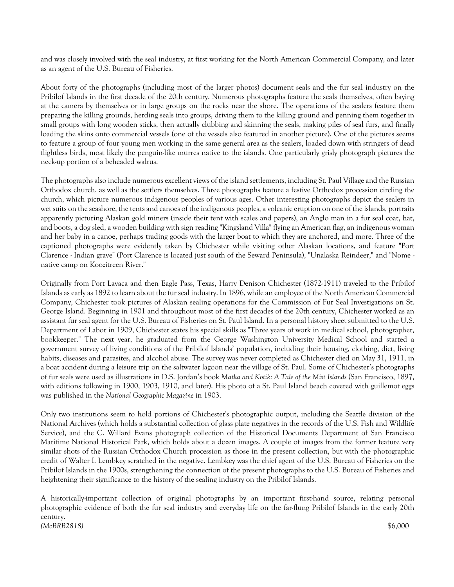and was closely involved with the seal industry, at first working for the North American Commercial Company, and later as an agent of the U.S. Bureau of Fisheries.

About forty of the photographs (including most of the larger photos) document seals and the fur seal industry on the Pribilof Islands in the first decade of the 20th century. Numerous photographs feature the seals themselves, often baying at the camera by themselves or in large groups on the rocks near the shore. The operations of the sealers feature them preparing the killing grounds, herding seals into groups, driving them to the killing ground and penning them together in small groups with long wooden sticks, then actually clubbing and skinning the seals, making piles of seal furs, and finally loading the skins onto commercial vessels (one of the vessels also featured in another picture). One of the pictures seems to feature a group of four young men working in the same general area as the sealers, loaded down with stringers of dead flightless birds, most likely the penguin-like murres native to the islands. One particularly grisly photograph pictures the neck-up portion of a beheaded walrus.

The photographs also include numerous excellent views of the island settlements, including St. Paul Village and the Russian Orthodox church, as well as the settlers themselves. Three photographs feature a festive Orthodox procession circling the church, which picture numerous indigenous peoples of various ages. Other interesting photographs depict the sealers in wet suits on the seashore, the tents and canoes of the indigenous peoples, a volcanic eruption on one of the islands, portraits apparently picturing Alaskan gold miners (inside their tent with scales and papers), an Anglo man in a fur seal coat, hat, and boots, a dog sled, a wooden building with sign reading "Kingsland Villa" flying an American flag, an indigenous woman and her baby in a canoe, perhaps trading goods with the larger boat to which they are anchored, and more. Three of the captioned photographs were evidently taken by Chichester while visiting other Alaskan locations, and feature "Port Clarence - Indian grave" (Port Clarence is located just south of the Seward Peninsula), "Unalaska Reindeer," and "Nome native camp on Koozitreen River."

Originally from Port Lavaca and then Eagle Pass, Texas, Harry Denison Chichester (1872-1911) traveled to the Pribilof Islands as early as 1892 to learn about the fur seal industry. In 1896, while an employee of the North American Commercial Company, Chichester took pictures of Alaskan sealing operations for the Commission of Fur Seal Investigations on St. George Island. Beginning in 1901 and throughout most of the first decades of the 20th century, Chichester worked as an assistant fur seal agent for the U.S. Bureau of Fisheries on St. Paul Island. In a personal history sheet submitted to the U.S. Department of Labor in 1909, Chichester states his special skills as "Three years of work in medical school, photographer, bookkeeper." The next year, he graduated from the George Washington University Medical School and started a government survey of living conditions of the Pribilof Islands' population, including their housing, clothing, diet, living habits, diseases and parasites, and alcohol abuse. The survey was never completed as Chichester died on May 31, 1911, in a boat accident during a leisure trip on the saltwater lagoon near the village of St. Paul. Some of Chichester's photographs of fur seals were used as illustrations in D.S. Jordan's book *Matka and Kotik: A Tale of the Mist Islands* (San Francisco, 1897, with editions following in 1900, 1903, 1910, and later). His photo of a St. Paul Island beach covered with guillemot eggs was published in the *National Geographic Magazine* in 1903.

Only two institutions seem to hold portions of Chichester's photographic output, including the Seattle division of the National Archives (which holds a substantial collection of glass plate negatives in the records of the U.S. Fish and Wildlife Service), and the C. Willard Evans photograph collection of the Historical Documents Department of San Francisco Maritime National Historical Park, which holds about a dozen images. A couple of images from the former feature very similar shots of the Russian Orthodox Church procession as those in the present collection, but with the photographic credit of Walter I. Lembkey scratched in the negative. Lembkey was the chief agent of the U.S. Bureau of Fisheries on the Pribilof Islands in the 1900s, strengthening the connection of the present photographs to the U.S. Bureau of Fisheries and heightening their significance to the history of the sealing industry on the Pribilof Islands.

A historically-important collection of original photographs by an important first-hand source, relating personal photographic evidence of both the fur seal industry and everyday life on the far-flung Pribilof Islands in the early 20th century. *(McBRB2818)* \$6,000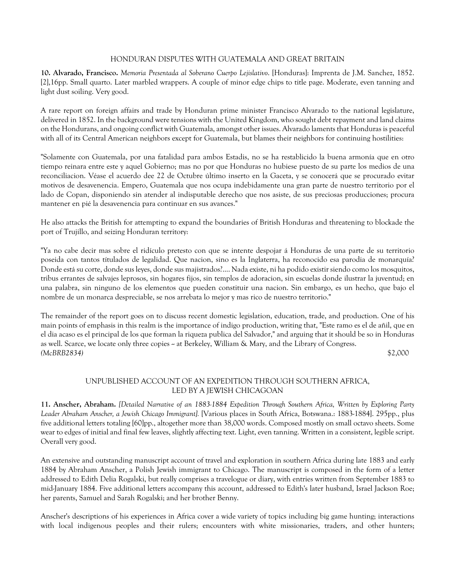# HONDURAN DISPUTES WITH GUATEMALA AND GREAT BRITAIN

**10. Alvarado, Francisco.** *Memoria Presentada al Soberano Cuerpo Lejislativo*. [Honduras]: Imprenta de J.M. Sanchez, 1852. [2],16pp. Small quarto. Later marbled wrappers. A couple of minor edge chips to title page. Moderate, even tanning and light dust soiling. Very good.

A rare report on foreign affairs and trade by Honduran prime minister Francisco Alvarado to the national legislature, delivered in 1852. In the background were tensions with the United Kingdom, who sought debt repayment and land claims on the Hondurans, and ongoing conflict with Guatemala, amongst other issues. Alvarado laments that Honduras is peaceful with all of its Central American neighbors except for Guatemala, but blames their neighbors for continuing hostilities:

"Solamente con Guatemala, por una fatalidad para ambos Estadis, no se ha restablicido la buena armonía que en otro tiempo reinara entre este y aquel Gobierno; mas no por que Honduras no hubiese puesto de su parte los medios de una reconciliacion. Véase el acuerdo dee 22 de Octubre último inserto en la Gaceta, y se conocerá que se procurado evitar motivos de desavenencia. Empero, Guatemala que nos ocupa indebidamente una gran parte de nuestro territorio por el lado de Copan, disponiendo sin atender al indisputable derecho que nos asiste, de sus preciosas producciones; procura mantener en pié la desavenencia para continuar en sus avances."

He also attacks the British for attempting to expand the boundaries of British Honduras and threatening to blockade the port of Trujillo, and seizing Honduran territory:

"Ya no cabe decir mas sobre el ridículo pretesto con que se intente despojar á Honduras de una parte de su territorio poseida con tantos títulados de legalidad. Que nacion, sino es la Inglaterra, ha reconocido esa parodia de monarquía? Donde está su corte, donde sus leyes, donde sus majistrados?.... Nada existe, ni ha podido existir siendo como los mosquitos, tribus errantes de salvajes leprosos, sin hogares fijos, sin templos de adoracion, sin escuelas donde ilustrar la juventud; en una palabra, sin ninguno de los elementos que pueden constituir una nacion. Sin embargo, es un hecho, que bajo el nombre de un monarca despreciable, se nos arrebata lo mejor y mas rico de nuestro territorio."

The remainder of the report goes on to discuss recent domestic legislation, education, trade, and production. One of his main points of emphasis in this realm is the importance of indigo production, writing that, "Este ramo es el de añil, que en el dia acaso es el principal de los que forman la riqueza publica del Salvador," and arguing that it should be so in Honduras as well. Scarce, we locate only three copies - at Berkeley, William & Mary, and the Library of Congress. *(McBRB2834)* \$2,000

# UNPUBLISHED ACCOUNT OF AN EXPEDITION THROUGH SOUTHERN AFRICA, LED BY A JEWISH CHICAGOAN

**11. Anscher, Abraham.** *[Detailed Narrative of an 1883-1884 Expedition Through Southern Africa, Written by Exploring Party Leader Abraham Anscher, a Jewish Chicago Immigrant].* [Various places in South Africa, Botswana.: 1883-1884]. 295pp., plus five additional letters totaling [60]pp., altogether more than 38,000 words. Composed mostly on small octavo sheets. Some wear to edges of initial and final few leaves, slightly affecting text. Light, even tanning. Written in a consistent, legible script. Overall very good.

An extensive and outstanding manuscript account of travel and exploration in southern Africa during late 1883 and early 1884 by Abraham Anscher, a Polish Jewish immigrant to Chicago. The manuscript is composed in the form of a letter addressed to Edith Delia Rogalski, but really comprises a travelogue or diary, with entries written from September 1883 to mid-January 1884. Five additional letters accompany this account, addressed to Edith's later husband, Israel Jackson Roe; her parents, Samuel and Sarah Rogalski; and her brother Benny.

Anscher's descriptions of his experiences in Africa cover a wide variety of topics including big game hunting; interactions with local indigenous peoples and their rulers; encounters with white missionaries, traders, and other hunters;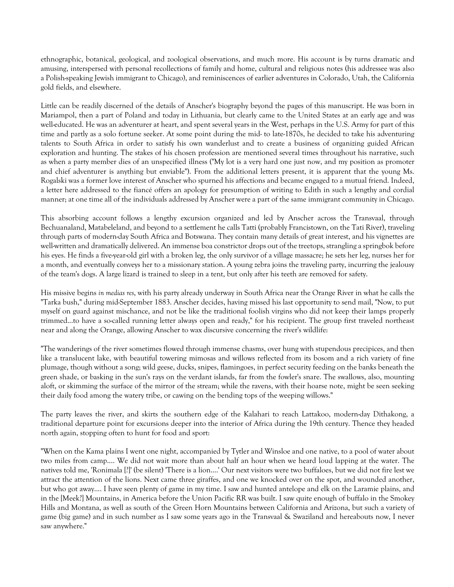ethnographic, botanical, geological, and zoological observations, and much more. His account is by turns dramatic and amusing, interspersed with personal recollections of family and home, cultural and religious notes (his addressee was also a Polish-speaking Jewish immigrant to Chicago), and reminiscences of earlier adventures in Colorado, Utah, the California gold fields, and elsewhere.

Little can be readily discerned of the details of Anscher's biography beyond the pages of this manuscript. He was born in Mariampol, then a part of Poland and today in Lithuania, but clearly came to the United States at an early age and was well-educated. He was an adventurer at heart, and spent several years in the West, perhaps in the U.S. Army for part of this time and partly as a solo fortune seeker. At some point during the mid- to late-1870s, he decided to take his adventuring talents to South Africa in order to satisfy his own wanderlust and to create a business of organizing guided African exploration and hunting. The stakes of his chosen profession are mentioned several times throughout his narrative, such as when a party member dies of an unspecified illness ("My lot is a very hard one just now, and my position as promoter and chief adventurer is anything but enviable"). From the additional letters present, it is apparent that the young Ms. Rogalski was a former love interest of Anscher who spurned his affections and became engaged to a mutual friend. Indeed, a letter here addressed to the fiancé offers an apology for presumption of writing to Edith in such a lengthy and cordial manner; at one time all of the individuals addressed by Anscher were a part of the same immigrant community in Chicago.

This absorbing account follows a lengthy excursion organized and led by Anscher across the Transvaal, through Bechuanaland, Matabeleland, and beyond to a settlement he calls Tatti (probably Francistown, on the Tati River), traveling through parts of modern-day South Africa and Botswana. They contain many details of great interest, and his vignettes are well-written and dramatically delivered. An immense boa constrictor drops out of the treetops, strangling a springbok before his eyes. He finds a five-year-old girl with a broken leg, the only survivor of a village massacre; he sets her leg, nurses her for a month, and eventually conveys her to a missionary station. A young zebra joins the traveling party, incurring the jealousy of the team's dogs. A large lizard is trained to sleep in a tent, but only after his teeth are removed for safety.

His missive begins *in medias res*, with his party already underway in South Africa near the Orange River in what he calls the "Tarka bush," during mid-September 1883. Anscher decides, having missed his last opportunity to send mail, "Now, to put myself on guard against mischance, and not be like the traditional foolish virgins who did not keep their lamps properly trimmed...to have a so-called running letter always open and ready," for his recipient. The group first traveled northeast near and along the Orange, allowing Anscher to wax discursive concerning the river's wildlife:

"The wanderings of the river sometimes flowed through immense chasms, over hung with stupendous precipices, and then like a translucent lake, with beautiful towering mimosas and willows reflected from its bosom and a rich variety of fine plumage, though without a song; wild geese, ducks, snipes, flamingoes, in perfect security feeding on the banks beneath the green shade, or basking in the sun's rays on the verdant islands, far from the fowler's snare. The swallows, also, mounting aloft, or skimming the surface of the mirror of the stream; while the ravens, with their hoarse note, might be seen seeking their daily food among the watery tribe, or cawing on the bending tops of the weeping willows."

The party leaves the river, and skirts the southern edge of the Kalahari to reach Lattakoo, modern-day Dithakong, a traditional departure point for excursions deeper into the interior of Africa during the 19th century. Thence they headed north again, stopping often to hunt for food and sport:

"When on the Kama plains I went one night, accompanied by Tytler and Winsloe and one native, to a pool of water about two miles from camp.... We did not wait more than about half an hour when we heard loud lapping at the water. The natives told me, 'Ronimala [?]' (be silent) 'There is a lion....' Our next visitors were two buffaloes, but we did not fire lest we attract the attention of the lions. Next came three giraffes, and one we knocked over on the spot, and wounded another, but who got away.... I have seen plenty of game in my time. I saw and hunted antelope and elk on the Laramie plains, and in the [Meek?] Mountains, in America before the Union Pacific RR was built. I saw quite enough of buffalo in the Smokey Hills and Montana, as well as south of the Green Horn Mountains between California and Arizona, but such a variety of game (big game) and in such number as I saw some years ago in the Transvaal & Swaziland and hereabouts now, I never saw anywhere."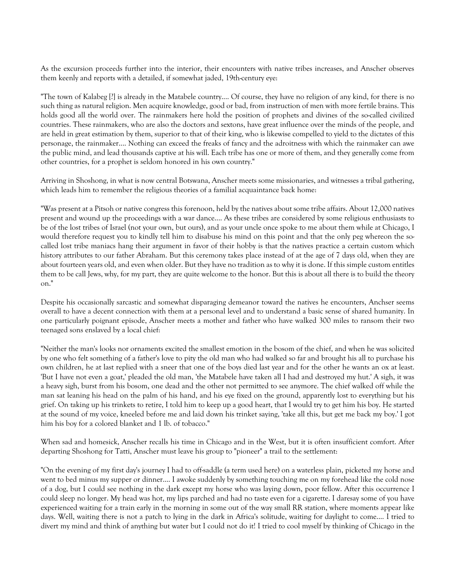As the excursion proceeds further into the interior, their encounters with native tribes increases, and Anscher observes them keenly and reports with a detailed, if somewhat jaded, 19th-century eye:

"The town of Kalabeg [?] is already in the Matabele country.... Of course, they have no religion of any kind, for there is no such thing as natural religion. Men acquire knowledge, good or bad, from instruction of men with more fertile brains. This holds good all the world over. The rainmakers here hold the position of prophets and divines of the so-called civilized countries. These rainmakers, who are also the doctors and sextons, have great influence over the minds of the people, and are held in great estimation by them, superior to that of their king, who is likewise compelled to yield to the dictates of this personage, the rainmaker.... Nothing can exceed the freaks of fancy and the adroitness with which the rainmaker can awe the public mind, and lead thousands captive at his will. Each tribe has one or more of them, and they generally come from other countries, for a prophet is seldom honored in his own country."

Arriving in Shoshong, in what is now central Botswana, Anscher meets some missionaries, and witnesses a tribal gathering, which leads him to remember the religious theories of a familial acquaintance back home:

"Was present at a Pitsoh or native congress this forenoon, held by the natives about some tribe affairs. About 12,000 natives present and wound up the proceedings with a war dance.... As these tribes are considered by some religious enthusiasts to be of the lost tribes of Israel (not your own, but ours), and as your uncle once spoke to me about them while at Chicago, I would therefore request you to kindly tell him to disabuse his mind on this point and that the only peg whereon the socalled lost tribe maniacs hang their argument in favor of their hobby is that the natives practice a certain custom which history attributes to our father Abraham. But this ceremony takes place instead of at the age of 7 days old, when they are about fourteen years old, and even when older. But they have no tradition as to why it is done. If this simple custom entitles them to be call Jews, why, for my part, they are quite welcome to the honor. But this is about all there is to build the theory on."

Despite his occasionally sarcastic and somewhat disparaging demeanor toward the natives he encounters, Anchser seems overall to have a decent connection with them at a personal level and to understand a basic sense of shared humanity. In one particularly poignant episode, Anscher meets a mother and father who have walked 300 miles to ransom their two teenaged sons enslaved by a local chief:

"Neither the man's looks nor ornaments excited the smallest emotion in the bosom of the chief, and when he was solicited by one who felt something of a father's love to pity the old man who had walked so far and brought his all to purchase his own children, he at last replied with a sneer that one of the boys died last year and for the other he wants an ox at least. 'But I have not even a goat,' pleaded the old man, 'the Matabele have taken all I had and destroyed my hut.' A sigh, it was a heavy sigh, burst from his bosom, one dead and the other not permitted to see anymore. The chief walked off while the man sat leaning his head on the palm of his hand, and his eye fixed on the ground, apparently lost to everything but his grief. On taking up his trinkets to retire, I told him to keep up a good heart, that I would try to get him his boy. He started at the sound of my voice, kneeled before me and laid down his trinket saying, 'take all this, but get me back my boy.' I got him his boy for a colored blanket and 1 lb. of tobacco."

When sad and homesick, Anscher recalls his time in Chicago and in the West, but it is often insufficient comfort. After departing Shoshong for Tatti, Anscher must leave his group to "pioneer" a trail to the settlement:

"On the evening of my first day's journey I had to off-saddle (a term used here) on a waterless plain, picketed my horse and went to bed minus my supper or dinner.... I awoke suddenly by something touching me on my forehead like the cold nose of a dog, but I could see nothing in the dark except my horse who was laying down, poor fellow. After this occurrence I could sleep no longer. My head was hot, my lips parched and had no taste even for a cigarette. I daresay some of you have experienced waiting for a train early in the morning in some out of the way small RR station, where moments appear like days. Well, waiting there is not a patch to lying in the dark in Africa's solitude, waiting for daylight to come.... I tried to divert my mind and think of anything but water but I could not do it! I tried to cool myself by thinking of Chicago in the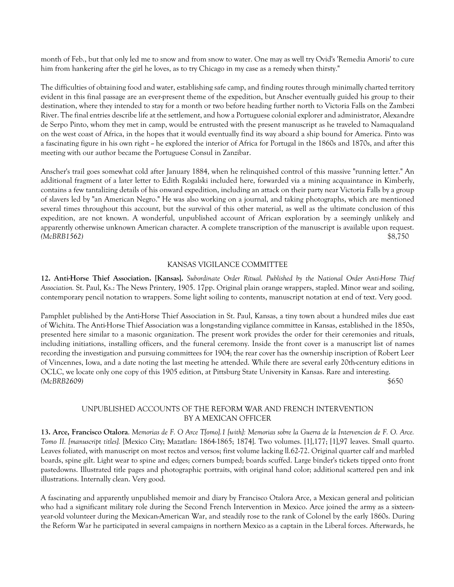month of Feb., but that only led me to snow and from snow to water. One may as well try Ovid's 'Remedia Amoris' to cure him from hankering after the girl he loves, as to try Chicago in my case as a remedy when thirsty."

The difficulties of obtaining food and water, establishing safe camp, and finding routes through minimally charted territory evident in this final passage are an ever-present theme of the expedition, but Anscher eventually guided his group to their destination, where they intended to stay for a month or two before heading further north to Victoria Falls on the Zambezi River. The final entries describe life at the settlement, and how a Portuguese colonial explorer and administrator, Alexandre de Serpo Pinto, whom they met in camp, would be entrusted with the present manuscript as he traveled to Namaqualand on the west coast of Africa, in the hopes that it would eventually find its way aboard a ship bound for America. Pinto was a fascinating figure in his own right -- he explored the interior of Africa for Portugal in the 1860s and 1870s, and after this meeting with our author became the Portuguese Consul in Zanzibar.

Anscher's trail goes somewhat cold after January 1884, when he relinquished control of this massive "running letter." An additional fragment of a later letter to Edith Rogalski included here, forwarded via a mining acquaintance in Kimberly, contains a few tantalizing details of his onward expedition, including an attack on their party near Victoria Falls by a group of slavers led by "an American Negro." He was also working on a journal, and taking photographs, which are mentioned several times throughout this account, but the survival of this other material, as well as the ultimate conclusion of this expedition, are not known. A wonderful, unpublished account of African exploration by a seemingly unlikely and apparently otherwise unknown American character. A complete transcription of the manuscript is available upon request. *(McBRB1562)* \$8,750

#### KANSAS VIGILANCE COMMITTEE

**12. Anti-Horse Thief Association. [Kansas].** *Subordinate Order Ritual. Published by the National Order Anti-Horse Thief Association.* St. Paul, Ks.: The News Printery, 1905. 17pp. Original plain orange wrappers, stapled. Minor wear and soiling, contemporary pencil notation to wrappers. Some light soiling to contents, manuscript notation at end of text. Very good.

Pamphlet published by the Anti-Horse Thief Association in St. Paul, Kansas, a tiny town about a hundred miles due east of Wichita. The Anti-Horse Thief Association was a long-standing vigilance committee in Kansas, established in the 1850s, presented here similar to a masonic organization. The present work provides the order for their ceremonies and rituals, including initiations, installing officers, and the funeral ceremony. Inside the front cover is a manuscript list of names recording the investigation and pursuing committees for 1904; the rear cover has the ownership inscription of Robert Leer of Vincennes, Iowa, and a date noting the last meeting he attended. While there are several early 20th-century editions in OCLC, we locate only one copy of this 1905 edition, at Pittsburg State University in Kansas. Rare and interesting. *(McBRB2609)* \$650

## UNPUBLISHED ACCOUNTS OF THE REFORM WAR AND FRENCH INTERVENTION BY A MEXICAN OFFICER

**13. Arce, Francisco Otalora**. *Memorias de F. O Arce T[omo].1 [with]: Memorias sobre la Guerra de la Intervencion de F. O. Arce. Tomo II. [manuscript titles].* [Mexico City; Mazatlan: 1864-1865; 1874]. Two volumes. [1],177; [1],97 leaves. Small quarto. Leaves foliated, with manuscript on most rectos and versos; first volume lacking ll.62-72. Original quarter calf and marbled boards, spine gilt. Light wear to spine and edges; corners bumped; boards scuffed. Large binder's tickets tipped onto front pastedowns. Illustrated title pages and photographic portraits, with original hand color; additional scattered pen and ink illustrations. Internally clean. Very good.

A fascinating and apparently unpublished memoir and diary by Francisco Otalora Arce, a Mexican general and politician who had a significant military role during the Second French Intervention in Mexico. Arce joined the army as a sixteenyear-old volunteer during the Mexican-American War, and steadily rose to the rank of Colonel by the early 1860s. During the Reform War he participated in several campaigns in northern Mexico as a captain in the Liberal forces. Afterwards, he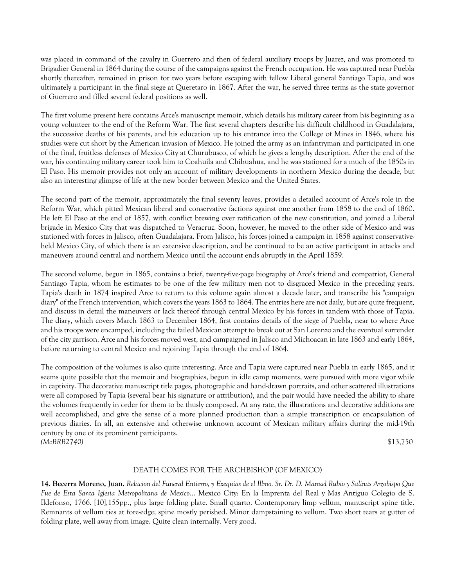was placed in command of the cavalry in Guerrero and then of federal auxiliary troops by Juarez, and was promoted to Brigadier General in 1864 during the course of the campaigns against the French occupation. He was captured near Puebla shortly thereafter, remained in prison for two years before escaping with fellow Liberal general Santiago Tapia, and was ultimately a participant in the final siege at Queretaro in 1867. After the war, he served three terms as the state governor of Guerrero and filled several federal positions as well.

The first volume present here contains Arce's manuscript memoir, which details his military career from his beginning as a young volunteer to the end of the Reform War. The first several chapters describe his difficult childhood in Guadalajara, the successive deaths of his parents, and his education up to his entrance into the College of Mines in 1846, where his studies were cut short by the American invasion of Mexico. He joined the army as an infantryman and participated in one of the final, fruitless defenses of Mexico City at Churubusco, of which he gives a lengthy description. After the end of the war, his continuing military career took him to Coahuila and Chihuahua, and he was stationed for a much of the 1850s in El Paso. His memoir provides not only an account of military developments in northern Mexico during the decade, but also an interesting glimpse of life at the new border between Mexico and the United States.

The second part of the memoir, approximately the final seventy leaves, provides a detailed account of Arce's role in the Reform War, which pitted Mexican liberal and conservative factions against one another from 1858 to the end of 1860. He left El Paso at the end of 1857, with conflict brewing over ratification of the new constitution, and joined a Liberal brigade in Mexico City that was dispatched to Veracruz. Soon, however, he moved to the other side of Mexico and was stationed with forces in Jalisco, often Guadalajara. From Jalisco, his forces joined a campaign in 1858 against conservativeheld Mexico City, of which there is an extensive description, and he continued to be an active participant in attacks and maneuvers around central and northern Mexico until the account ends abruptly in the April 1859.

The second volume, begun in 1865, contains a brief, twenty-five-page biography of Arce's friend and compatriot, General Santiago Tapia, whom he estimates to be one of the few military men not to disgraced Mexico in the preceding years. Tapia's death in 1874 inspired Arce to return to this volume again almost a decade later, and transcribe his "campaign diary" of the French intervention, which covers the years 1863 to 1864. The entries here are not daily, but are quite frequent, and discuss in detail the maneuvers or lack thereof through central Mexico by his forces in tandem with those of Tapia. The diary, which covers March 1863 to December 1864, first contains details of the siege of Puebla, near to where Arce and his troops were encamped, including the failed Mexican attempt to break out at San Lorenzo and the eventual surrender of the city garrison. Arce and his forces moved west, and campaigned in Jalisco and Michoacan in late 1863 and early 1864, before returning to central Mexico and rejoining Tapia through the end of 1864.

The composition of the volumes is also quite interesting. Arce and Tapia were captured near Puebla in early 1865, and it seems quite possible that the memoir and biographies, begun in idle camp moments, were pursued with more vigor while in captivity. The decorative manuscript title pages, photographic and hand-drawn portraits, and other scattered illustrations were all composed by Tapia (several bear his signature or attribution), and the pair would have needed the ability to share the volumes frequently in order for them to be thusly composed. At any rate, the illustrations and decorative additions are well accomplished, and give the sense of a more planned production than a simple transcription or encapsulation of previous diaries. In all, an extensive and otherwise unknown account of Mexican military affairs during the mid-19th century by one of its prominent participants. *(McBRB2740)* \$13,750

## DEATH COMES FOR THE ARCHBISHOP (OF MEXICO)

**14. Becerra Moreno, Juan.** *Relacion del Funeral Entierro, y Exequias de el Illmo. Sr. Dr. D. Manuel Rubio y Salinas Arzobispo Que Fue de Esta Santa Iglesia Metropolitana de Mexico*... Mexico City: En la Imprenta del Real y Mas Antiguo Colegio de S. Ildefonso, 1766. [10],155pp., plus large folding plate. Small quarto. Contemporary limp vellum, manuscript spine title. Remnants of vellum ties at fore-edge; spine mostly perished. Minor dampstaining to vellum. Two short tears at gutter of folding plate, well away from image. Quite clean internally. Very good.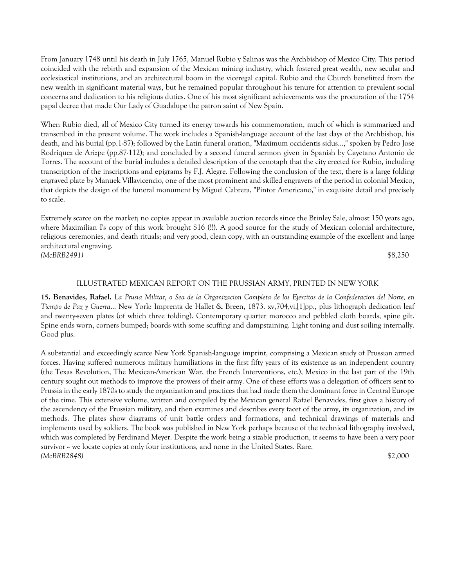From January 1748 until his death in July 1765, Manuel Rubio y Salinas was the Archbishop of Mexico City. This period coincided with the rebirth and expansion of the Mexican mining industry, which fostered great wealth, new secular and ecclesiastical institutions, and an architectural boom in the viceregal capital. Rubio and the Church benefitted from the new wealth in significant material ways, but he remained popular throughout his tenure for attention to prevalent social concerns and dedication to his religious duties. One of his most significant achievements was the procuration of the 1754 papal decree that made Our Lady of Guadalupe the patron saint of New Spain.

When Rubio died, all of Mexico City turned its energy towards his commemoration, much of which is summarized and transcribed in the present volume. The work includes a Spanish-language account of the last days of the Archbishop, his death, and his burial (pp.1-87); followed by the Latin funeral oration, "Maximum occidentis sidus...," spoken by Pedro José Rodriquez de Arizpe (pp.87-112); and concluded by a second funeral sermon given in Spanish by Cayetano Antonio de Torres. The account of the burial includes a detailed description of the cenotaph that the city erected for Rubio, including transcription of the inscriptions and epigrams by F.J. Alegre. Following the conclusion of the text, there is a large folding engraved plate by Manuek Villavicencio, one of the most prominent and skilled engravers of the period in colonial Mexico, that depicts the design of the funeral monument by Miguel Cabrera, "Pintor Americano," in exquisite detail and precisely to scale.

Extremely scarce on the market; no copies appear in available auction records since the Brinley Sale, almost 150 years ago, where Maximilian I's copy of this work brought \$16 (!!). A good source for the study of Mexican colonial architecture, religious ceremonies, and death rituals; and very good, clean copy, with an outstanding example of the excellent and large architectural engraving. *(McBRB2491)* \$8,250

#### ILLUSTRATED MEXICAN REPORT ON THE PRUSSIAN ARMY, PRINTED IN NEW YORK

**15. Benavides, Rafael.** *La Prusia Militar, o Sea de la Organizacion Completa de los Ejercitos de la Confederacion del Norte, en Tiempo de Paz y Guerra*... New York: Imprenta de Hallet & Breen, 1873. xv,704,vi,[1]pp., plus lithograph dedication leaf and twenty-seven plates (of which three folding). Contemporary quarter morocco and pebbled cloth boards, spine gilt. Spine ends worn, corners bumped; boards with some scuffing and dampstaining. Light toning and dust soiling internally. Good plus.

A substantial and exceedingly scarce New York Spanish-language imprint, comprising a Mexican study of Prussian armed forces. Having suffered numerous military humiliations in the first fifty years of its existence as an independent country (the Texas Revolution, The Mexican-American War, the French Interventions, etc.), Mexico in the last part of the 19th century sought out methods to improve the prowess of their army. One of these efforts was a delegation of officers sent to Prussia in the early 1870s to study the organization and practices that had made them the dominant force in Central Europe of the time. This extensive volume, written and compiled by the Mexican general Rafael Benavides, first gives a history of the ascendency of the Prussian military, and then examines and describes every facet of the army, its organization, and its methods. The plates show diagrams of unit battle orders and formations, and technical drawings of materials and implements used by soldiers. The book was published in New York perhaps because of the technical lithography involved, which was completed by Ferdinand Meyer. Despite the work being a sizable production, it seems to have been a very poor survivor  $\sim$  we locate copies at only four institutions, and none in the United States. Rare. *(McBRB2848)* \$2,000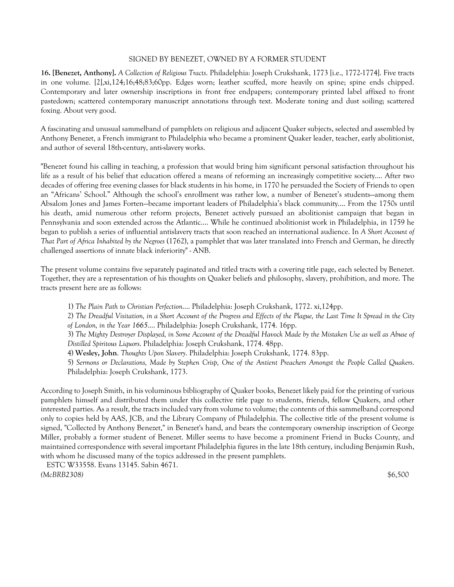## SIGNED BY BENEZET, OWNED BY A FORMER STUDENT

**16. [Benezet, Anthony].** *A Collection of Religious Tracts*. Philadelphia: Joseph Crukshank, 1773 [i.e., 1772-1774]. Five tracts in one volume. [2],xi,124;16;48;83;60pp. Edges worn; leather scuffed, more heavily on spine; spine ends chipped. Contemporary and later ownership inscriptions in front free endpapers; contemporary printed label affixed to front pastedown; scattered contemporary manuscript annotations through text. Moderate toning and dust soiling; scattered foxing. About very good.

A fascinating and unusual sammelband of pamphlets on religious and adjacent Quaker subjects, selected and assembled by Anthony Benezet, a French immigrant to Philadelphia who became a prominent Quaker leader, teacher, early abolitionist, and author of several 18th-century, anti-slavery works.

"Benezet found his calling in teaching, a profession that would bring him significant personal satisfaction throughout his life as a result of his belief that education offered a means of reforming an increasingly competitive society.... After two decades of offering free evening classes for black students in his home, in 1770 he persuaded the Society of Friends to open an "Africans' School." Although the school's enrollment was rather low, a number of Benezet's students—among them Absalom Jones and James Forten—became important leaders of Philadelphia's black community.... From the 1750s until his death, amid numerous other reform projects, Benezet actively pursued an abolitionist campaign that began in Pennsylvania and soon extended across the Atlantic.... While he continued abolitionist work in Philadelphia, in 1759 he began to publish a series of influential antislavery tracts that soon reached an international audience. In *A Short Account of That Part of Africa Inhabited by the Negroes* (1762), a pamphlet that was later translated into French and German, he directly challenged assertions of innate black inferiority" - ANB.

The present volume contains five separately paginated and titled tracts with a covering title page, each selected by Benezet. Together, they are a representation of his thoughts on Quaker beliefs and philosophy, slavery, prohibition, and more. The tracts present here are as follows:

- 1) *The Plain Path to Christian Perfection*.... Philadelphia: Joseph Crukshank, 1772. xi,124pp.
- 2) *The Dreadful Visitation, in a Short Account of the Progress and Effects of the Plague, the Last Time It Spread in the City of London, in the Year 1665*.... Philadelphia: Joseph Crukshank, 1774. 16pp.

3) *The Mighty Destroyer Displayed, in Some Account of the Dreadful Havock Made by the Mistaken Use as well as Abuse of Distilled Spiritous Liquors*. Philadelphia: Joseph Crukshank, 1774. 48pp.

- 4) **Wesley, John**. *Thoughts Upon Slavery*. Philadelphia: Joseph Crukshank, 1774. 83pp.
- 5) *Sermons or Declarations, Made by Stephen Crisp, One of the Antient Preachers Amongst the People Called Quakers*. Philadelphia: Joseph Crukshank, 1773.

According to Joseph Smith, in his voluminous bibliography of Quaker books, Benezet likely paid for the printing of various pamphlets himself and distributed them under this collective title page to students, friends, fellow Quakers, and other interested parties. As a result, the tracts included vary from volume to volume; the contents of this sammelband correspond only to copies held by AAS, JCB, and the Library Company of Philadelphia. The collective title of the present volume is signed, "Collected by Anthony Benezet," in Benezet's hand, and bears the contemporary ownership inscription of George Miller, probably a former student of Benezet. Miller seems to have become a prominent Friend in Bucks County, and maintained correspondence with several important Philadelphia figures in the late 18th century, including Benjamin Rush, with whom he discussed many of the topics addressed in the present pamphlets.

 ESTC W33558. Evans 13145. Sabin 4671. *(McBRB2308)* \$6,500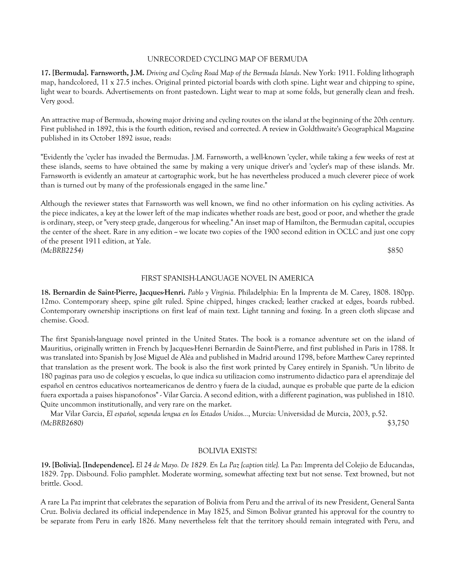#### UNRECORDED CYCLING MAP OF BERMUDA

**17. [Bermuda]. Farnsworth, J.M.** *Driving and Cycling Road Map of the Bermuda Islands*. New York: 1911. Folding lithograph map, handcolored, 11 x 27.5 inches. Original printed pictorial boards with cloth spine. Light wear and chipping to spine, light wear to boards. Advertisements on front pastedown. Light wear to map at some folds, but generally clean and fresh. Very good.

An attractive map of Bermuda, showing major driving and cycling routes on the island at the beginning of the 20th century. First published in 1892, this is the fourth edition, revised and corrected. A review in Goldthwaite's Geographical Magazine published in its October 1892 issue, reads:

"Evidently the 'cycler has invaded the Bermudas. J.M. Farnsworth, a well-known 'cycler, while taking a few weeks of rest at these islands, seems to have obtained the same by making a very unique driver's and 'cycler's map of these islands. Mr. Farnsworth is evidently an amateur at cartographic work, but he has nevertheless produced a much cleverer piece of work than is turned out by many of the professionals engaged in the same line."

Although the reviewer states that Farnsworth was well known, we find no other information on his cycling activities. As the piece indicates, a key at the lower left of the map indicates whether roads are best, good or poor, and whether the grade is ordinary, steep, or "very steep grade, dangerous for wheeling." An inset map of Hamilton, the Bermudan capital, occupies the center of the sheet. Rare in any edition - we locate two copies of the 1900 second edition in OCLC and just one copy of the present 1911 edition, at Yale. *(McBRB2254)* \$850

#### FIRST SPANISH-LANGUAGE NOVEL IN AMERICA

**18. Bernardin de Saint-Pierre, Jacques-Henri.** *Pablo y Virginia*. Philadelphia: En la Imprenta de M. Carey, 1808. 180pp. 12mo. Contemporary sheep, spine gilt ruled. Spine chipped, hinges cracked; leather cracked at edges, boards rubbed. Contemporary ownership inscriptions on first leaf of main text. Light tanning and foxing. In a green cloth slipcase and chemise. Good.

The first Spanish-language novel printed in the United States. The book is a romance adventure set on the island of Mauritius, originally written in French by Jacques-Henri Bernardin de Saint-Pierre, and first published in Paris in 1788. It was translated into Spanish by José Miguel de Aléa and published in Madrid around 1798, before Matthew Carey reprinted that translation as the present work. The book is also the first work printed by Carey entirely in Spanish. "Un librito de 180 paginas para uso de colegios y escuelas, lo que indica su utilizacion como instrumento didactico para el aprendizaje del español en centros educativos norteamericanos de dentro y fuera de la ciudad, aunque es probable que parte de la edicion fuera exportada a paises hispanofonos" - Vilar Garcia. A second edition, with a different pagination, was published in 1810. Quite uncommon institutionally, and very rare on the market.

 Mar Vilar Garcia, *El español, segunda lengua en los Estados Unidos...*, Murcia: Universidad de Murcia, 2003, p.52. *(McBRB2680)* \$3,750

#### BOLIVIA EXISTS!

**19. [Bolivia]. [Independence].** *El 24 de Mayo. De 1829. En La Paz [caption title].* La Paz: Imprenta del Colejio de Educandas, 1829. 7pp. Disbound. Folio pamphlet. Moderate worming, somewhat affecting text but not sense. Text browned, but not brittle. Good.

A rare La Paz imprint that celebrates the separation of Bolivia from Peru and the arrival of its new President, General Santa Cruz. Bolivia declared its official independence in May 1825, and Simon Bolivar granted his approval for the country to be separate from Peru in early 1826. Many nevertheless felt that the territory should remain integrated with Peru, and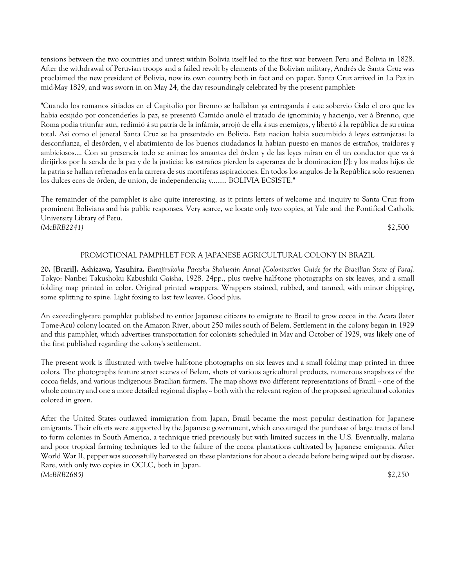tensions between the two countries and unrest within Bolivia itself led to the first war between Peru and Bolivia in 1828. After the withdrawal of Peruvian troops and a failed revolt by elements of the Bolivian military, Andrés de Santa Cruz was proclaimed the new president of Bolivia, now its own country both in fact and on paper. Santa Cruz arrived in La Paz in mid-May 1829, and was sworn in on May 24, the day resoundingly celebrated by the present pamphlet:

"Cuando los romanos sitiados en el Capitolio por Brenno se hallaban ya entreganda á este sobervio Galo el oro que les habia ecsijido por concenderles la paz, se presentó Camido anuló el tratado de ignominia; y hacienjo, ver á Brenno, que Roma podia triunfar aun, redimió á su patria de la infámia, arrojó de ella á sus enemigos, y libertó á la república de su ruina total. Asi como el jeneral Santa Cruz se ha presentado en Bolivia. Esta nacion habia sucumbido á leyes estranjeras: la desconfianza, el desórden, y el abatimiento de los buenos ciudadanos la habian puesto en manos de estraños, traidores y ambiciosos.... Con su presencia todo se anima: los amantes del órden y de las leyes miran en él un conductor que va á dirijirlos por la senda de la paz y de la justicia: los estraños pierden la esperanza de la dominacíon [?]: y los malos hijos de la patria se hallan refrenados en la carrera de sus mortiferas aspiraciones. En todos los angulos de la República solo resuenen los dulces ecos de órden, de union, de independencia; y........ BOLIVIA ECSISTE."

The remainder of the pamphlet is also quite interesting, as it prints letters of welcome and inquiry to Santa Cruz from prominent Bolivians and his public responses. Very scarce, we locate only two copies, at Yale and the Pontifical Catholic University Library of Peru. *(McBRB2241)* \$2,500

# PROMOTIONAL PAMPHLET FOR A JAPANESE AGRICULTURAL COLONY IN BRAZIL

**20. [Brazil]. Ashizawa, Yasuhira.** *Burajirukoku Parashu Shokumin Annai [Colonization Guide for the Brazilian State of Para].*  Tokyo: Nanbei Takushoku Kabushiki Gaisha, 1928. 24pp., plus twelve half-tone photographs on six leaves, and a small folding map printed in color. Original printed wrappers. Wrappers stained, rubbed, and tanned, with minor chipping, some splitting to spine. Light foxing to last few leaves. Good plus.

An exceedingly-rare pamphlet published to entice Japanese citizens to emigrate to Brazil to grow cocoa in the Acara (later Tome-Acu) colony located on the Amazon River, about 250 miles south of Belem. Settlement in the colony began in 1929 and this pamphlet, which advertises transportation for colonists scheduled in May and October of 1929, was likely one of the first published regarding the colony's settlement.

The present work is illustrated with twelve half-tone photographs on six leaves and a small folding map printed in three colors. The photographs feature street scenes of Belem, shots of various agricultural products, numerous snapshots of the cocoa fields, and various indigenous Brazilian farmers. The map shows two different representations of Brazil  $\sim$  one of the whole country and one a more detailed regional display -- both with the relevant region of the proposed agricultural colonies colored in green.

After the United States outlawed immigration from Japan, Brazil became the most popular destination for Japanese emigrants. Their efforts were supported by the Japanese government, which encouraged the purchase of large tracts of land to form colonies in South America, a technique tried previously but with limited success in the U.S. Eventually, malaria and poor tropical farming techniques led to the failure of the cocoa plantations cultivated by Japanese emigrants. After World War II, pepper was successfully harvested on these plantations for about a decade before being wiped out by disease. Rare, with only two copies in OCLC, both in Japan. *(McBRB2685)* \$2,250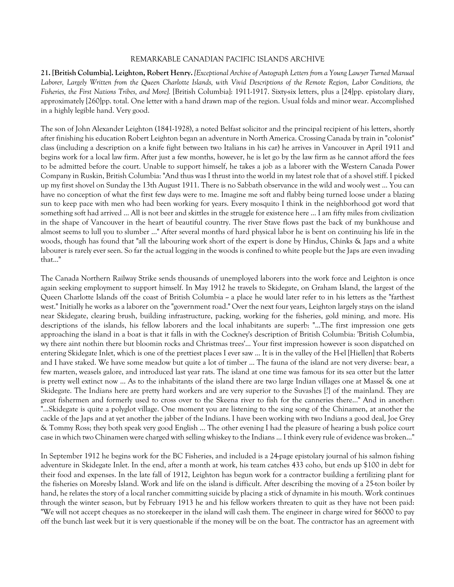## REMARKABLE CANADIAN PACIFIC ISLANDS ARCHIVE

**21. [British Columbia]. Leighton, Robert Henry.** *[Exceptional Archive of Autograph Letters from a Young Lawyer Turned Manual Laborer, Largely Written from the Queen Charlotte Islands, with Vivid Descriptions of the Remote Region, Labor Conditions, the Fisheries, the First Nations Tribes, and More].* [British Columbia]: 1911-1917. Sixty-six letters, plus a [24]pp. epistolary diary, approximately [260]pp. total. One letter with a hand drawn map of the region. Usual folds and minor wear. Accomplished in a highly legible hand. Very good.

The son of John Alexander Leighton (1841-1928), a noted Belfast solicitor and the principal recipient of his letters, shortly after finishing his education Robert Leighton began an adventure in North America. Crossing Canada by train in "colonist" class (including a description on a knife fight between two Italians in his car) he arrives in Vancouver in April 1911 and begins work for a local law firm. After just a few months, however, he is let go by the law firm as he cannot afford the fees to be admitted before the court. Unable to support himself, he takes a job as a laborer with the Western Canada Power Company in Ruskin, British Columbia: "And thus was I thrust into the world in my latest role that of a shovel stiff. I picked up my first shovel on Sunday the 13th August 1911. There is no Sabbath observance in the wild and wooly west ... You can have no conception of what the first few days were to me. Imagine me soft and flabby being turned loose under a blazing sun to keep pace with men who had been working for years. Every mosquito I think in the neighborhood got word that something soft had arrived ... All is not beer and skittles in the struggle for existence here ... I am fifty miles from civilization in the shape of Vancouver in the heart of beautiful country. The river Stave flows past the back of my bunkhouse and almost seems to lull you to slumber ..." After several months of hard physical labor he is bent on continuing his life in the woods, though has found that "all the labouring work short of the expert is done by Hindus, Chinks & Japs and a white labourer is rarely ever seen. So far the actual logging in the woods is confined to white people but the Japs are even invading that..."

The Canada Northern Railway Strike sends thousands of unemployed laborers into the work force and Leighton is once again seeking employment to support himself. In May 1912 he travels to Skidegate, on Graham Island, the largest of the Queen Charlotte Islands off the coast of British Columbia -- a place he would later refer to in his letters as the "farthest west." Initially he works as a laborer on the "government road." Over the next four years, Leighton largely stays on the island near Skidegate, clearing brush, building infrastructure, packing, working for the fisheries, gold mining, and more. His descriptions of the islands, his fellow laborers and the local inhabitants are superb: "...The first impression one gets approaching the island in a boat is that it falls in with the Cockney's description of British Columbia: 'British Columbia, wy there aint nothin there but bloomin rocks and Christmas trees'... Your first impression however is soon dispatched on entering Skidegate Inlet, which is one of the prettiest places I ever saw ... It is in the valley of the H-el [Hiellen] that Roberts and I have staked. We have some meadow but quite a lot of timber ... The fauna of the island are not very diverse: bear, a few marten, weasels galore, and introduced last year rats. The island at one time was famous for its sea otter but the latter is pretty well extinct now ... As to the inhabitants of the island there are two large Indian villages one at Massel & one at Skidegate. The Indians here are pretty hard workers and are very superior to the Suvashes [?] of the mainland. They are great fishermen and formerly used to cross over to the Skeena river to fish for the canneries there..." And in another: "...Skidegate is quite a polyglot village. One moment you are listening to the sing song of the Chinamen, at another the cackle of the Japs and at yet another the jabber of the Indians. I have been working with two Indians a good deal, Joe Grey & Tommy Ross; they both speak very good English ... The other evening I had the pleasure of hearing a bush police court case in which two Chinamen were charged with selling whiskey to the Indians ... I think every rule of evidence was broken..."

In September 1912 he begins work for the BC Fisheries, and included is a 24-page epistolary journal of his salmon fishing adventure in Skidegate Inlet. In the end, after a month at work, his team catches 433 coho, but ends up \$100 in debt for their food and expenses. In the late fall of 1912, Leighton has begun work for a contractor building a fertilizing plant for the fisheries on Moresby Island. Work and life on the island is difficult. After describing the moving of a 25-ton boiler by hand, he relates the story of a local rancher committing suicide by placing a stick of dynamite in his mouth. Work continues through the winter season, but by February 1913 he and his fellow workers threaten to quit as they have not been paid: "We will not accept cheques as no storekeeper in the island will cash them. The engineer in charge wired for \$6000 to pay off the bunch last week but it is very questionable if the money will be on the boat. The contractor has an agreement with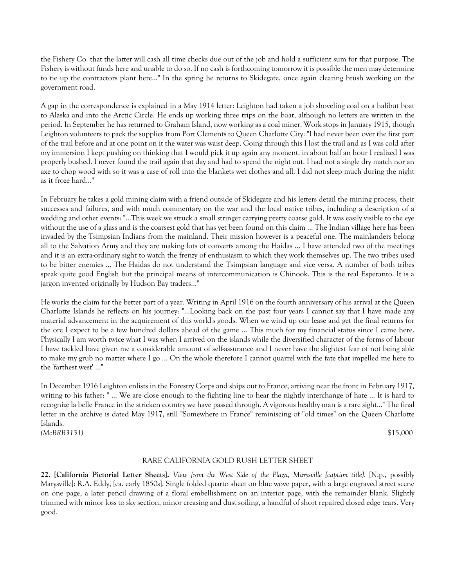the Fishery Co. that the latter will cash all time checks due out of the job and hold a sufficient sum for that purpose. The Fishery is without funds here and unable to do so. If no cash is forthcoming tomorrow it is possible the men may determine to tie up the contractors plant here..." In the spring he returns to Skidegate, once again clearing brush working on the government road.

A gap in the correspondence is explained in a May 1914 letter: Leighton had taken a job shoveling coal on a halibut boat to Alaska and into the Arctic Circle. He ends up working three trips on the boat, although no letters are written in the period. In September he has returned to Graham Island, now working as a coal miner. Work stops in January 1915, though Leighton volunteers to pack the supplies from Port Clements to Queen Charlotte City: "I had never been over the first part of the trail before and at one point on it the water was waist deep. Going through this I lost the trail and as I was cold after my immersion I kept pushing on thinking that I would pick it up again any moment. in about half an hour I realized I was properly bushed. I never found the trail again that day and had to spend the night out. I had not a single dry match nor an axe to chop wood with so it was a case of roll into the blankets wet clothes and all. I did not sleep much during the night as it froze hard..."

In February he takes a gold mining claim with a friend outside of Skidegate and his letters detail the mining process, their successes and failures, and with much commentary on the war and the local native tribes, including a description of a wedding and other events: "...This week we struck a small stringer carrying pretty coarse gold. It was easily visible to the eye without the use of a glass and is the coarsest gold that has yet been found on this claim ... The Indian village here has been invaded by the Tsimpsian Indians from the mainland. Their mission however is a peaceful one. The mainlanders belong all to the Salvation Army and they are making lots of converts among the Haidas ... I have attended two of the meetings and it is an extra-ordinary sight to watch the frenzy of enthusiasm to which they work themselves up. The two tribes used to be bitter enemies ... The Haidas do not understand the Tsimpsian language and vice versa. A number of both tribes speak quite good English but the principal means of intercommunication is Chinook. This is the real Esperanto. It is a jargon invented originally by Hudson Bay traders..."

He works the claim for the better part of a year. Writing in April 1916 on the fourth anniversary of his arrival at the Queen Charlotte Islands he reflects on his journey: "...Looking back on the past four years I cannot say that I have made any material advancement in the acquirement of this world's goods. When we wind up our lease and get the final returns for the ore I expect to be a few hundred dollars ahead of the game ... This much for my financial status since I came here. Physically I am worth twice what I was when I arrived on the islands while the diversified character of the forms of labour I have tackled have given me a considerable amount of self-assurance and I never have the slightest fear of not being able to make my grub no matter where I go ... On the whole therefore I cannot quarrel with the fate that impelled me here to the 'farthest west' ..."

In December 1916 Leighton enlists in the Forestry Corps and ships out to France, arriving near the front in February 1917, writing to his father: " ... We are close enough to the fighting line to hear the nightly interchange of hate ... It is hard to recognize la belle France in the stricken country we have passed through. A vigorous healthy man is a rare sight..." The final letter in the archive is dated May 1917, still "Somewhere in France" reminiscing of "old times" on the Queen Charlotte Islands. *(McBRB3131)* \$15,000

## RARE CALIFORNIA GOLD RUSH LETTER SHEET

**22. [California Pictorial Letter Sheets].** *View from the West Side of the Plaza, Marysville [caption title].* [N.p., possibly Marysville]: R.A. Eddy, [ca. early 1850s]. Single folded quarto sheet on blue wove paper, with a large engraved street scene on one page, a later pencil drawing of a floral embellishment on an interior page, with the remainder blank. Slightly trimmed with minor loss to sky section, minor creasing and dust soiling, a handful of short repaired closed edge tears. Very good.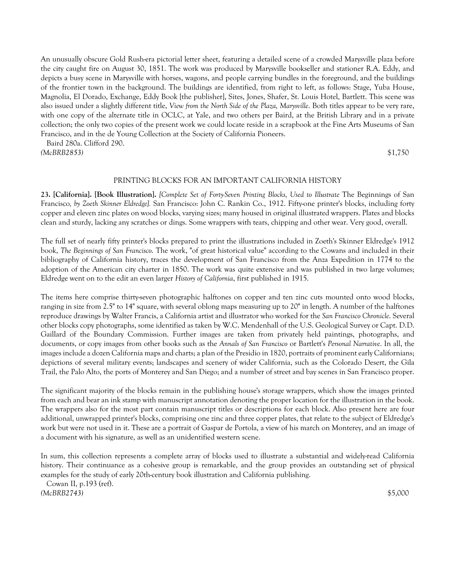An unusually obscure Gold Rush-era pictorial letter sheet, featuring a detailed scene of a crowded Marysville plaza before the city caught fire on August 30, 1851. The work was produced by Marysville bookseller and stationer R.A. Eddy, and depicts a busy scene in Marysville with horses, wagons, and people carrying bundles in the foreground, and the buildings of the frontier town in the background. The buildings are identified, from right to left, as follows: Stage, Yuba House, Magnolia, El Dorado, Exchange, Eddy Book [the publisher], Sites, Jones, Shafer, St. Louis Hotel, Bartlett. This scene was also issued under a slightly different title, *View from the North Side of the Plaza, Marysville*. Both titles appear to be very rare, with one copy of the alternate title in OCLC, at Yale, and two others per Baird, at the British Library and in a private collection; the only two copies of the present work we could locate reside in a scrapbook at the Fine Arts Museums of San Francisco, and in the de Young Collection at the Society of California Pioneers.

Baird 280a. Clifford 290.

*(McBRB2853)* \$1,750

#### PRINTING BLOCKS FOR AN IMPORTANT CALIFORNIA HISTORY

**23. [California]. [Book Illustration].** *[Complete Set of Forty-Seven Printing Blocks, Used to Illustrate* The Beginnings of San Francisco*, by Zoeth Skinner Eldredge].* San Francisco: John C. Rankin Co., 1912. Fifty-one printer's blocks, including forty copper and eleven zinc plates on wood blocks, varying sizes; many housed in original illustrated wrappers. Plates and blocks clean and sturdy, lacking any scratches or dings. Some wrappers with tears, chipping and other wear. Very good, overall.

The full set of nearly fifty printer's blocks prepared to print the illustrations included in Zoeth's Skinner Eldredge's 1912 book, *The Beginnings of San Francisco*. The work, "of great historical value" according to the Cowans and included in their bibliography of California history, traces the development of San Francisco from the Anza Expedition in 1774 to the adoption of the American city charter in 1850. The work was quite extensive and was published in two large volumes; Eldredge went on to the edit an even larger *History of California*, first published in 1915.

The items here comprise thirty-seven photographic halftones on copper and ten zinc cuts mounted onto wood blocks, ranging in size from 2.5" to 14" square, with several oblong maps measuring up to 20" in length. A number of the halftones reproduce drawings by Walter Francis, a California artist and illustrator who worked for the *San Francisco Chronicle*. Several other blocks copy photographs, some identified as taken by W.C. Mendenhall of the U.S. Geological Survey or Capt. D.D. Gaillard of the Boundary Commission. Further images are taken from privately held paintings, photographs, and documents, or copy images from other books such as the *Annals of San Francisco* or Bartlett's *Personal Narrative*. In all, the images include a dozen California maps and charts; a plan of the Presidio in 1820, portraits of prominent early Californians; depictions of several military events; landscapes and scenery of wider California, such as the Colorado Desert, the Gila Trail, the Palo Alto, the ports of Monterey and San Diego; and a number of street and bay scenes in San Francisco proper.

The significant majority of the blocks remain in the publishing house's storage wrappers, which show the images printed from each and bear an ink stamp with manuscript annotation denoting the proper location for the illustration in the book. The wrappers also for the most part contain manuscript titles or descriptions for each block. Also present here are four additional, unwrapped printer's blocks, comprising one zinc and three copper plates, that relate to the subject of Eldredge's work but were not used in it. These are a portrait of Gaspar de Portola, a view of his march on Monterey, and an image of a document with his signature, as well as an unidentified western scene.

In sum, this collection represents a complete array of blocks used to illustrate a substantial and widely-read California history. Their continuance as a cohesive group is remarkable, and the group provides an outstanding set of physical examples for the study of early 20th-century book illustration and California publishing.

 Cowan II, p.193 (ref). *(McBRB2743)* \$5,000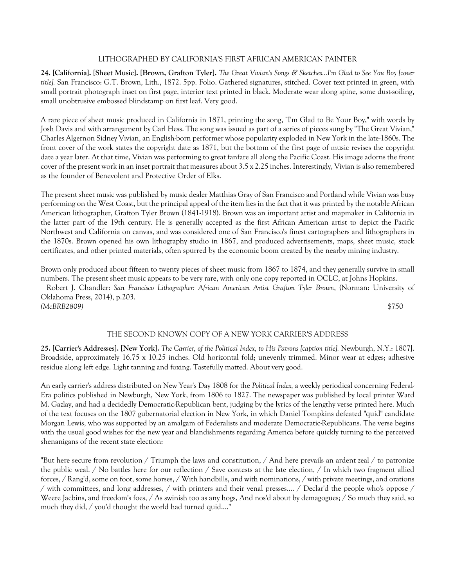## LITHOGRAPHED BY CALIFORNIA'S FIRST AFRICAN AMERICAN PAINTER

**24. [California]. [Sheet Music]. [Brown, Grafton Tyler].** *The Great Vivian's Songs & Sketches...I'm Glad to See You Boy [cover title].* San Francisco: G.T. Brown, Lith., 1872. 5pp. Folio. Gathered signatures, stitched. Cover text printed in green, with small portrait photograph inset on first page, interior text printed in black. Moderate wear along spine, some dust-soiling, small unobtrusive embossed blindstamp on first leaf. Very good.

A rare piece of sheet music produced in California in 1871, printing the song, "I'm Glad to Be Your Boy," with words by Josh Davis and with arrangement by Carl Hess. The song was issued as part of a series of pieces sung by "The Great Vivian," Charles Algernon Sidney Vivian, an English-born performer whose popularity exploded in New York in the late-1860s. The front cover of the work states the copyright date as 1871, but the bottom of the first page of music revises the copyright date a year later. At that time, Vivian was performing to great fanfare all along the Pacific Coast. His image adorns the front cover of the present work in an inset portrait that measures about 3.5 x 2.25 inches. Interestingly, Vivian is also remembered as the founder of Benevolent and Protective Order of Elks.

The present sheet music was published by music dealer Matthias Gray of San Francisco and Portland while Vivian was busy performing on the West Coast, but the principal appeal of the item lies in the fact that it was printed by the notable African American lithographer, Grafton Tyler Brown (1841-1918). Brown was an important artist and mapmaker in California in the latter part of the 19th century. He is generally accepted as the first African American artist to depict the Pacific Northwest and California on canvas, and was considered one of San Francisco's finest cartographers and lithographers in the 1870s. Brown opened his own lithography studio in 1867, and produced advertisements, maps, sheet music, stock certificates, and other printed materials, often spurred by the economic boom created by the nearby mining industry.

Brown only produced about fifteen to twenty pieces of sheet music from 1867 to 1874, and they generally survive in small numbers. The present sheet music appears to be very rare, with only one copy reported in OCLC, at Johns Hopkins. Robert J. Chandler: *San Francisco Lithographer: African American Artist Grafton Tyler Brown*, (Norman: University of Oklahoma Press, 2014), p.203. *(McBRB2809)* \$750

# THE SECOND KNOWN COPY OF A NEW YORK CARRIER'S ADDRESS

**25. [Carrier's Addresses]. [New York].** *The Carrier, of the Political Index, to His Patrons [caption title].* Newburgh, N.Y.: 1807]. Broadside, approximately 16.75 x 10.25 inches. Old horizontal fold; unevenly trimmed. Minor wear at edges; adhesive residue along left edge. Light tanning and foxing. Tastefully matted. About very good.

An early carrier's address distributed on New Year's Day 1808 for the *Political Index,* a weekly periodical concerning Federal-Era politics published in Newburgh, New York, from 1806 to 1827. The newspaper was published by local printer Ward M. Gazlay, and had a decidedly Democratic-Republican bent, judging by the lyrics of the lengthy verse printed here. Much of the text focuses on the 1807 gubernatorial election in New York, in which Daniel Tompkins defeated "quid" candidate Morgan Lewis, who was supported by an amalgam of Federalists and moderate Democratic-Republicans. The verse begins with the usual good wishes for the new year and blandishments regarding America before quickly turning to the perceived shenanigans of the recent state election:

"But here secure from revolution / Triumph the laws and constitution, / And here prevails an ardent zeal / to patronize the public weal. / No battles here for our reflection / Save contests at the late election, / In which two fragment allied forces, / Rang'd, some on foot, some horses, / With handbills, and with nominations, / with private meetings, and orations / with committees, and long addresses, / with printers and their venal presses.... / Declar'd the people who's oppose / Weere Jacbins, and freedom's foes, / As swinish too as any hogs, And nos'd about by demagogues; / So much they said, so much they did, / you'd thought the world had turned quid...."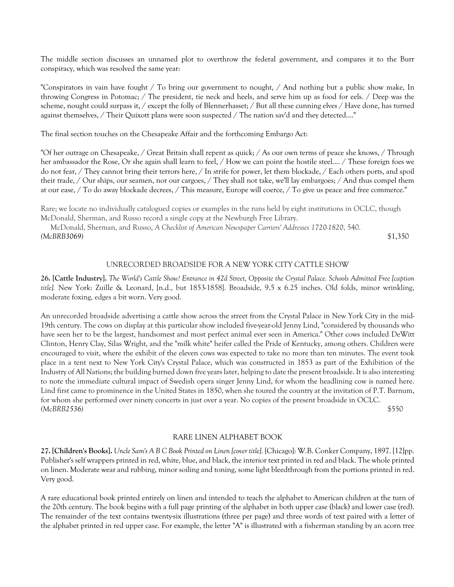The middle section discusses an unnamed plot to overthrow the federal government, and compares it to the Burr conspiracy, which was resolved the same year:

"Conspirators in vain have fought / To bring our government to nought, / And nothing but a public show make, In throwing Congress in Potomac; / The president, tie neck and heels, and serve him up as food for eels. / Deep was the scheme, nought could surpass it, / except the folly of Blennerhasset; / But all these cunning elves / Have done, has turned against themselves, / Their Quixott plans were soon suspected / The nation sav'd and they detected...."

The final section touches on the Chesapeake Affair and the forthcoming Embargo Act:

"Of her outrage on Chesapeake, / Great Britain shall repent as quick; / As our own terms of peace she knows, / Through her ambassador the Rose, Or she again shall learn to feel, / How we can point the hostile steel.... / These foreign foes we do not fear, / They cannot bring their terrors here, / In strife for power, let them blockade, / Each others ports, and spoil their trade, / Our ships, our seamen, nor our cargoes, / They shall not take, we'll lay embargoes; / And thus compel them at our ease, / To do away blockade decrees, / This measure, Europe will coerce, / To give us peace and free commerce."

Rare; we locate no individually catalogued copies or examples in the runs held by eight institutions in OCLC, though McDonald, Sherman, and Russo record a single copy at the Newburgh Free Library.

 McDonald, Sherman, and Russo, *A Checklist of American Newspaper Carriers' Addresses 1720-1820*, 540. *(McBRB3069)* \$1,350

## UNRECORDED BROADSIDE FOR A NEW YORK CITY CATTLE SHOW

**26. [Cattle Industry].** *The World's Cattle Show! Entrance in 42d Street, Opposite the Crystal Palace. Schools Admitted Free [caption title].* New York: Zuille & Leonard, [n.d., but 1853-1858]. Broadside, 9.5 x 6.25 inches. Old folds, minor wrinkling, moderate foxing, edges a bit worn. Very good.

An unrecorded broadside advertising a cattle show across the street from the Crystal Palace in New York City in the mid-19th century. The cows on display at this particular show included five-year-old Jenny Lind, "considered by thousands who have seen her to be the largest, handsomest and most perfect animal ever seen in America." Other cows included DeWitt Clinton, Henry Clay, Silas Wright, and the "milk white" heifer called the Pride of Kentucky, among others. Children were encouraged to visit, where the exhibit of the eleven cows was expected to take no more than ten minutes. The event took place in a tent next to New York City's Crystal Palace, which was constructed in 1853 as part of the Exhibition of the Industry of All Nations; the building burned down five years later, helping to date the present broadside. It is also interesting to note the immediate cultural impact of Swedish opera singer Jenny Lind, for whom the headlining cow is named here. Lind first came to prominence in the United States in 1850, when she toured the country at the invitation of P.T. Barnum, for whom she performed over ninety concerts in just over a year. No copies of the present broadside in OCLC. *(McBRB2536)* \$550

#### RARE LINEN ALPHABET BOOK

**27. [Children's Books].** *Uncle Sam's A B C Book Printed on Linen [cover title].* [Chicago]: W.B. Conker Company, 1897. [12]pp. Publisher's self wrappers printed in red, white, blue, and black, the interior text printed in red and black. The whole printed on linen. Moderate wear and rubbing, minor soiling and toning, some light bleedthrough from the portions printed in red. Very good.

A rare educational book printed entirely on linen and intended to teach the alphabet to American children at the turn of the 20th century. The book begins with a full page printing of the alphabet in both upper case (black) and lower case (red). The remainder of the text contains twenty-six illustrations (three per page) and three words of text paired with a letter of the alphabet printed in red upper case. For example, the letter "A" is illustrated with a fisherman standing by an acorn tree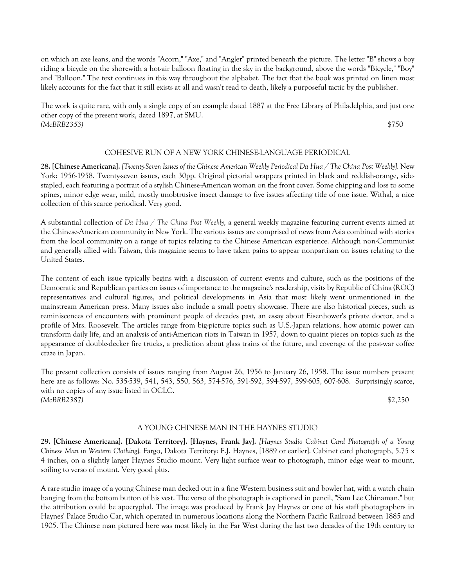on which an axe leans, and the words "Acorn," "Axe," and "Angler" printed beneath the picture. The letter "B" shows a boy riding a bicycle on the shorewith a hot-air balloon floating in the sky in the background, above the words "Bicycle," "Boy" and "Balloon." The text continues in this way throughout the alphabet. The fact that the book was printed on linen most likely accounts for the fact that it still exists at all and wasn't read to death, likely a purposeful tactic by the publisher.

The work is quite rare, with only a single copy of an example dated 1887 at the Free Library of Philadelphia, and just one other copy of the present work, dated 1897, at SMU. *(McBRB2353)* \$750

## COHESIVE RUN OF A NEW YORK CHINESE-LANGUAGE PERIODICAL

**28. [Chinese Americana].** *[Twenty-Seven Issues of the Chinese American Weekly Periodical Da Hua / The China Post Weekly].* New York: 1956-1958. Twenty-seven issues, each 30pp. Original pictorial wrappers printed in black and reddish-orange, sidestapled, each featuring a portrait of a stylish Chinese-American woman on the front cover. Some chipping and loss to some spines, minor edge wear, mild, mostly unobtrusive insect damage to five issues affecting title of one issue. Withal, a nice collection of this scarce periodical. Very good.

A substantial collection of *Da Hua / The China Post Weekly,* a general weekly magazine featuring current events aimed at the Chinese-American community in New York. The various issues are comprised of news from Asia combined with stories from the local community on a range of topics relating to the Chinese American experience. Although non-Communist and generally allied with Taiwan, this magazine seems to have taken pains to appear nonpartisan on issues relating to the United States.

The content of each issue typically begins with a discussion of current events and culture, such as the positions of the Democratic and Republican parties on issues of importance to the magazine's readership, visits by Republic of China (ROC) representatives and cultural figures, and political developments in Asia that most likely went unmentioned in the mainstream American press. Many issues also include a small poetry showcase. There are also historical pieces, such as reminiscences of encounters with prominent people of decades past, an essay about Eisenhower's private doctor, and a profile of Mrs. Roosevelt. The articles range from big-picture topics such as U.S.-Japan relations, how atomic power can transform daily life, and an analysis of anti-American riots in Taiwan in 1957, down to quaint pieces on topics such as the appearance of double-decker fire trucks, a prediction about glass trains of the future, and coverage of the post-war coffee craze in Japan.

The present collection consists of issues ranging from August 26, 1956 to January 26, 1958. The issue numbers present here are as follows: No. 535-539, 541, 543, 550, 563, 574-576, 591-592, 594-597, 599-605, 607-608. Surprisingly scarce, with no copies of any issue listed in OCLC. *(McBRB2387)* \$2,250

# A YOUNG CHINESE MAN IN THE HAYNES STUDIO

**29. [Chinese Americana]. [Dakota Territory]. [Haynes, Frank Jay].** *[Haynes Studio Cabinet Card Photograph of a Young Chinese Man in Western Clothing].* Fargo, Dakota Territory: F.J. Haynes, [1889 or earlier]. Cabinet card photograph, 5.75 x 4 inches, on a slightly larger Haynes Studio mount. Very light surface wear to photograph, minor edge wear to mount, soiling to verso of mount. Very good plus.

A rare studio image of a young Chinese man decked out in a fine Western business suit and bowler hat, with a watch chain hanging from the bottom button of his vest. The verso of the photograph is captioned in pencil, "Sam Lee Chinaman," but the attribution could be apocryphal. The image was produced by Frank Jay Haynes or one of his staff photographers in Haynes' Palace Studio Car, which operated in numerous locations along the Northern Pacific Railroad between 1885 and 1905. The Chinese man pictured here was most likely in the Far West during the last two decades of the 19th century to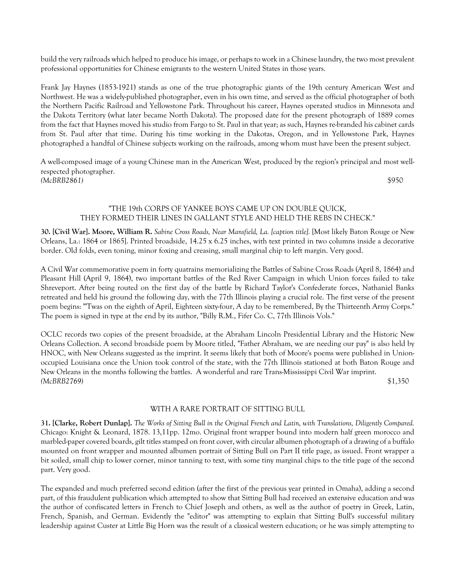build the very railroads which helped to produce his image, or perhaps to work in a Chinese laundry, the two most prevalent professional opportunities for Chinese emigrants to the western United States in those years.

Frank Jay Haynes (1853-1921) stands as one of the true photographic giants of the 19th century American West and Northwest. He was a widely-published photographer, even in his own time, and served as the official photographer of both the Northern Pacific Railroad and Yellowstone Park. Throughout his career, Haynes operated studios in Minnesota and the Dakota Territory (what later became North Dakota). The proposed date for the present photograph of 1889 comes from the fact that Haynes moved his studio from Fargo to St. Paul in that year; as such, Haynes re-branded his cabinet cards from St. Paul after that time. During his time working in the Dakotas, Oregon, and in Yellowstone Park, Haynes photographed a handful of Chinese subjects working on the railroads, among whom must have been the present subject.

A well-composed image of a young Chinese man in the American West, produced by the region's principal and most wellrespected photographer. *(McBRB2861)* \$950

# "THE 19th CORPS OF YANKEE BOYS CAME UP ON DOUBLE QUICK, THEY FORMED THEIR LINES IN GALLANT STYLE AND HELD THE REBS IN CHECK."

**30. [Civil War]. Moore, William R.** *Sabine Cross Roads, Near Mansfield, La. [caption title].* [Most likely Baton Rouge or New Orleans, La.: 1864 or 1865]. Printed broadside, 14.25 x 6.25 inches, with text printed in two columns inside a decorative border. Old folds, even toning, minor foxing and creasing, small marginal chip to left margin. Very good.

A Civil War commemorative poem in forty quatrains memorializing the Battles of Sabine Cross Roads (April 8, 1864) and Pleasant Hill (April 9, 1864), two important battles of the Red River Campaign in which Union forces failed to take Shreveport. After being routed on the first day of the battle by Richard Taylor's Confederate forces, Nathaniel Banks retreated and held his ground the following day, with the 77th Illinois playing a crucial role. The first verse of the present poem begins: "'Twas on the eighth of April, Eighteen sixty-four, A day to be remembered, By the Thirteenth Army Corps." The poem is signed in type at the end by its author, "Billy R.M., Fifer Co. C, 77th Illinois Vols."

OCLC records two copies of the present broadside, at the Abraham Lincoln Presidential Library and the Historic New Orleans Collection. A second broadside poem by Moore titled, "Father Abraham, we are needing our pay" is also held by HNOC, with New Orleans suggested as the imprint. It seems likely that both of Moore's poems were published in Unionoccupied Louisiana once the Union took control of the state, with the 77th Illinois stationed at both Baton Rouge and New Orleans in the months following the battles. A wonderful and rare Trans-Mississippi Civil War imprint. *(McBRB2769)* \$1,350

WITH A RARE PORTRAIT OF SITTING BULL

**31. [Clarke, Robert Dunlap].** *The Works of Sitting Bull in the Original French and Latin, with Translations, Diligently Compared.* Chicago: Knight & Leonard, 1878. 13,11pp. 12mo. Original front wrapper bound into modern half green morocco and marbled-paper covered boards, gilt titles stamped on front cover, with circular albumen photograph of a drawing of a buffalo mounted on front wrapper and mounted albumen portrait of Sitting Bull on Part II title page, as issued. Front wrapper a bit soiled, small chip to lower corner, minor tanning to text, with some tiny marginal chips to the title page of the second part. Very good.

The expanded and much preferred second edition (after the first of the previous year printed in Omaha), adding a second part, of this fraudulent publication which attempted to show that Sitting Bull had received an extensive education and was the author of confiscated letters in French to Chief Joseph and others, as well as the author of poetry in Greek, Latin, French, Spanish, and German. Evidently the "editor" was attempting to explain that Sitting Bull's successful military leadership against Custer at Little Big Horn was the result of a classical western education; or he was simply attempting to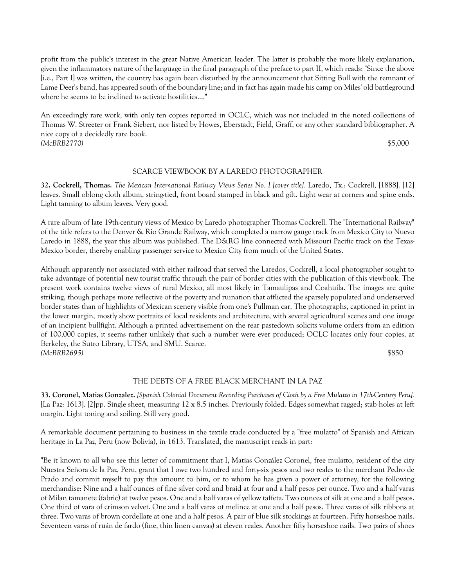profit from the public's interest in the great Native American leader. The latter is probably the more likely explanation, given the inflammatory nature of the language in the final paragraph of the preface to part II, which reads: "Since the above [i.e., Part I] was written, the country has again been disturbed by the announcement that Sitting Bull with the remnant of Lame Deer's band, has appeared south of the boundary line; and in fact has again made his camp on Miles' old battleground where he seems to be inclined to activate hostilities...."

An exceedingly rare work, with only ten copies reported in OCLC, which was not included in the noted collections of Thomas W. Streeter or Frank Siebert, nor listed by Howes, Eberstadt, Field, Graff, or any other standard bibliographer. A nice copy of a decidedly rare book. *(McBRB2770)* \$5,000

# SCARCE VIEWBOOK BY A LAREDO PHOTOGRAPHER

**32. Cockrell, Thomas.** *The Mexican International Railway Views Series No. I [cover title].* Laredo, Tx.: Cockrell, [1888]. [12] leaves. Small oblong cloth album, string-tied, front board stamped in black and gilt. Light wear at corners and spine ends. Light tanning to album leaves. Very good.

A rare album of late 19th-century views of Mexico by Laredo photographer Thomas Cockrell. The "International Railway" of the title refers to the Denver & Rio Grande Railway, which completed a narrow gauge track from Mexico City to Nuevo Laredo in 1888, the year this album was published. The D&RG line connected with Missouri Pacific track on the Texas-Mexico border, thereby enabling passenger service to Mexico City from much of the United States.

Although apparently not associated with either railroad that served the Laredos, Cockrell, a local photographer sought to take advantage of potential new tourist traffic through the pair of border cities with the publication of this viewbook. The present work contains twelve views of rural Mexico, all most likely in Tamaulipas and Coahuila. The images are quite striking, though perhaps more reflective of the poverty and ruination that afflicted the sparsely populated and underserved border states than of highlights of Mexican scenery visible from one's Pullman car. The photographs, captioned in print in the lower margin, mostly show portraits of local residents and architecture, with several agricultural scenes and one image of an incipient bullfight. Although a printed advertisement on the rear pastedown solicits volume orders from an edition of 100,000 copies, it seems rather unlikely that such a number were ever produced; OCLC locates only four copies, at Berkeley, the Sutro Library, UTSA, and SMU. Scarce. *(McBRB2695)* \$850

## THE DEBTS OF A FREE BLACK MERCHANT IN LA PAZ

**33. Coronel, Matias Gonzalez.** *[Spanish Colonial Document Recording Purchases of Cloth by a Free Mulatto in 17th-Century Peru].* [La Paz: 1613]. [2]pp. Single sheet, measuring 12 x 8.5 inches. Previously folded. Edges somewhat ragged; stab holes at left margin. Light toning and soiling. Still very good.

A remarkable document pertaining to business in the textile trade conducted by a "free mulatto" of Spanish and African heritage in La Paz, Peru (now Bolivia), in 1613. Translated, the manuscript reads in part:

"Be it known to all who see this letter of commitment that I, Matías González Coronel, free mulatto, resident of the city Nuestra Señora de la Paz, Peru, grant that I owe two hundred and forty-six pesos and two reales to the merchant Pedro de Prado and commit myself to pay this amount to him, or to whom he has given a power of attorney, for the following merchandise: Nine and a half ounces of fine silver cord and braid at four and a half pesos per ounce. Two and a half varas of Milan tamanete (fabric) at twelve pesos. One and a half varas of yellow taffeta. Two ounces of silk at one and a half pesos. One third of vara of crimson velvet. One and a half varas of melince at one and a half pesos. Three varas of silk ribbons at three. Two varas of brown cordellate at one and a half pesos. A pair of blue silk stockings at fourteen. Fifty horseshoe nails. Seventeen varas of ruán de fardo (fine, thin linen canvas) at eleven reales. Another fifty horseshoe nails. Two pairs of shoes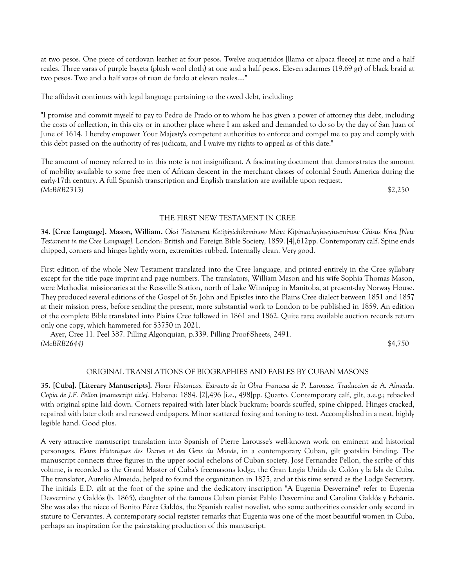at two pesos. One piece of cordovan leather at four pesos. Twelve auquénidos [llama or alpaca fleece] at nine and a half reales. Three varas of purple bayeta (plush wool cloth) at one and a half pesos. Eleven adarmes (19.69 gr) of black braid at two pesos. Two and a half varas of ruan de fardo at eleven reales...."

The affidavit continues with legal language pertaining to the owed debt, including:

"I promise and commit myself to pay to Pedro de Prado or to whom he has given a power of attorney this debt, including the costs of collection, in this city or in another place where I am asked and demanded to do so by the day of San Juan of June of 1614. I hereby empower Your Majesty's competent authorities to enforce and compel me to pay and comply with this debt passed on the authority of res judicata, and I waive my rights to appeal as of this date."

The amount of money referred to in this note is not insignificant. A fascinating document that demonstrates the amount of mobility available to some free men of African descent in the merchant classes of colonial South America during the early-17th century. A full Spanish transcription and English translation are available upon request. *(McBRB2313)* \$2,250

#### THE FIRST NEW TESTAMENT IN CREE

**34. [Cree Language]. Mason, William.** *Oksi Testament Ketipiyichikeminow Mina Kipimachiyiweyiweminow Chisus Krist [New Testament in the Cree Language].* London: British and Foreign Bible Society, 1859. [4],612pp. Contemporary calf. Spine ends chipped, corners and hinges lightly worn, extremities rubbed. Internally clean. Very good.

First edition of the whole New Testament translated into the Cree language, and printed entirely in the Cree syllabary except for the title page imprint and page numbers. The translators, William Mason and his wife Sophia Thomas Mason, were Methodist missionaries at the Rossville Station, north of Lake Winnipeg in Manitoba, at present-day Norway House. They produced several editions of the Gospel of St. John and Epistles into the Plains Cree dialect between 1851 and 1857 at their mission press, before sending the present, more substantial work to London to be published in 1859. An edition of the complete Bible translated into Plains Cree followed in 1861 and 1862. Quite rare; available auction records return only one copy, which hammered for \$3750 in 2021.

 Ayer, Cree 11. Peel 387. Pilling Algonquian, p.339. Pilling Proof-Sheets, 2491. *(McBRB2644)* \$4,750

#### ORIGINAL TRANSLATIONS OF BIOGRAPHIES AND FABLES BY CUBAN MASONS

**35. [Cuba]. [Literary Manuscripts].** *Flores Historicas. Extracto de la Obra Francesa de P. Larousse. Traduccion de A. Almeida. Copia de J.F. Pellon [manuscript title].* Habana: 1884. [2],496 [i.e., 498]pp. Quarto. Contemporary calf, gilt, a.e.g.; rebacked with original spine laid down. Corners repaired with later black buckram; boards scuffed, spine chipped. Hinges cracked, repaired with later cloth and renewed endpapers. Minor scattered foxing and toning to text. Accomplished in a neat, highly legible hand. Good plus.

A very attractive manuscript translation into Spanish of Pierre Larousse's well-known work on eminent and historical personages, *Fleurs Historiques des Dames et des Gens du Monde*, in a contemporary Cuban, gilt goatskin binding. The manuscript connects three figures in the upper social echelons of Cuban society. José Fernandez Pellon, the scribe of this volume, is recorded as the Grand Master of Cuba's freemasons lodge, the Gran Logia Unida de Colón y la Isla de Cuba. The translator, Aurelio Almeida, helped to found the organization in 1875, and at this time served as the Lodge Secretary. The initials E.D. gilt at the foot of the spine and the dedicatory inscription "A Eugenia Desvernine" refer to Eugenia Desvernine y Galdós (b. 1865), daughter of the famous Cuban pianist Pablo Desvernine and Carolina Galdós y Echániz. She was also the niece of Benito Pérez Galdós, the Spanish realist novelist, who some authorities consider only second in stature to Cervantes. A contemporary social register remarks that Eugenia was one of the most beautiful women in Cuba, perhaps an inspiration for the painstaking production of this manuscript.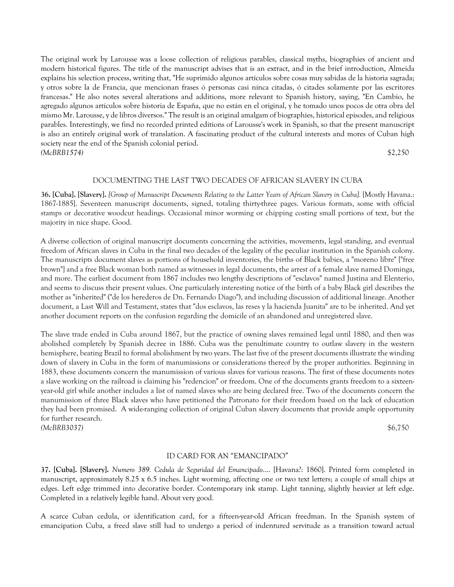The original work by Larousse was a loose collection of religious parables, classical myths, biographies of ancient and modern historical figures. The title of the manuscript advises that is an extract, and in the brief introduction, Almeida explains his selection process, writing that, "He suprimido algunos artículos sobre cosas muy sabidas de la historia sagrada; y otros sobre la de Francia, que mencionan frases ó personas casi ninca citadas, ó citades solamente por las escritores francesas." He also notes several alterations and additions, more relevant to Spanish history, saying, "En Cambio, he agregado algunos artículos sobre historia de España, que no están en el original, y he tomado unos pocos de otra obra del mismo Mr. Larousse, y de libros diversos." The result is an original amalgam of biographies, historical episodes, and religious parables. Interestingly, we find no recorded printed editions of Larousse's work in Spanish, so that the present manuscript is also an entirely original work of translation. A fascinating product of the cultural interests and mores of Cuban high society near the end of the Spanish colonial period. *(McBRB1574)* \$2,250

#### DOCUMENTING THE LAST TWO DECADES OF AFRICAN SLAVERY IN CUBA

**36. [Cuba]. [Slavery].** *[Group of Manuscript Documents Relating to the Latter Years of African Slavery in Cuba].* [Mostly Havana.: 1867-1885]. Seventeen manuscript documents, signed, totaling thirty-three pages. Various formats, some with official stamps or decorative woodcut headings. Occasional minor worming or chipping costing small portions of text, but the majority in nice shape. Good.

A diverse collection of original manuscript documents concerning the activities, movements, legal standing, and eventual freedom of African slaves in Cuba in the final two decades of the legality of the peculiar institution in the Spanish colony. The manuscripts document slaves as portions of household inventories, the births of Black babies, a "moreno libre" ["free brown"] and a free Black woman both named as witnesses in legal documents, the arrest of a female slave named Dominga, and more. The earliest document from 1867 includes two lengthy descriptions of "esclavos" named Justina and Elenterio, and seems to discuss their present values. One particularly interesting notice of the birth of a baby Black girl describes the mother as "inherited" ("de los herederos de Dn. Fernando Diago"), and including discussion of additional lineage. Another document, a Last Will and Testament, states that "dos esclavos, las reses y la hacienda Juanita" are to be inherited. And yet another document reports on the confusion regarding the domicile of an abandoned and unregistered slave.

The slave trade ended in Cuba around 1867, but the practice of owning slaves remained legal until 1880, and then was abolished completely by Spanish decree in 1886. Cuba was the penultimate country to outlaw slavery in the western hemisphere, beating Brazil to formal abolishment by two years. The last five of the present documents illustrate the winding down of slavery in Cuba in the form of manumissions or considerations thereof by the proper authorities. Beginning in 1883, these documents concern the manumission of various slaves for various reasons. The first of these documents notes a slave working on the railroad is claiming his "redencion" or freedom. One of the documents grants freedom to a sixteenyear-old girl while another includes a list of named slaves who are being declared free. Two of the documents concern the manumission of three Black slaves who have petitioned the Patronato for their freedom based on the lack of education they had been promised. A wide-ranging collection of original Cuban slavery documents that provide ample opportunity for further research.

*(McBRB3037)* \$6,750

#### ID CARD FOR AN "EMANCIPADO"

**37. [Cuba]. [Slavery].** *Numero 389. Cedula de Seguridad del Emancipado*.... [Havana?: 1860]. Printed form completed in manuscript, approximately 8.25 x 6.5 inches. Light worming, affecting one or two text letters; a couple of small chips at edges. Left edge trimmed into decorative border. Contemporary ink stamp. Light tanning, slightly heavier at left edge. Completed in a relatively legible hand. About very good.

A scarce Cuban cedula, or identification card, for a fifteen-year-old African freedman. In the Spanish system of emancipation Cuba, a freed slave still had to undergo a period of indentured servitude as a transition toward actual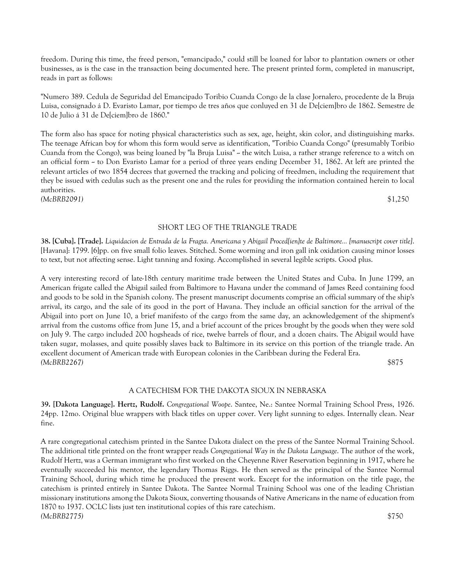freedom. During this time, the freed person, "emancipado," could still be loaned for labor to plantation owners or other businesses, as is the case in the transaction being documented here. The present printed form, completed in manuscript, reads in part as follows:

"Numero 389. Cedula de Seguridad del Emancipado Toribio Cuanda Congo de la clase Jornalero, procedente de la Bruja Luisa, consignado á D. Evaristo Lamar, por tiempo de tres años que conluyed en 31 de De[ciem]bro de 1862. Semestre de 10 de Julio á 31 de De[ciem]bro de 1860."

The form also has space for noting physical characteristics such as sex, age, height, skin color, and distinguishing marks. The teenage African boy for whom this form would serve as identification, "Toribio Cuanda Congo" (presumably Toribio Cuanda from the Congo), was being loaned by "la Bruja Luisa"  $\sim$  the witch Luisa, a rather strange reference to a witch on an official form  $\sim$  to Don Evaristo Lamar for a period of three years ending December 31, 1862. At left are printed the relevant articles of two 1854 decrees that governed the tracking and policing of freedmen, including the requirement that they be issued with cedulas such as the present one and the rules for providing the information contained herein to local authorities. *(McBRB2091)* \$1,250

#### SHORT LEG OF THE TRIANGLE TRADE

**38. [Cuba]. [Trade].** *Liquidacion de Entrada de la Fragta. Americana y Abigail Proced[ien]te de Baltimore... [manuscript cover title]*. [Havana]: 1799. [6]pp. on five small folio leaves. Stitched. Some worming and iron gall ink oxidation causing minor losses to text, but not affecting sense. Light tanning and foxing. Accomplished in several legible scripts. Good plus.

A very interesting record of late-18th century maritime trade between the United States and Cuba. In June 1799, an American frigate called the Abigail sailed from Baltimore to Havana under the command of James Reed containing food and goods to be sold in the Spanish colony. The present manuscript documents comprise an official summary of the ship's arrival, its cargo, and the sale of its good in the port of Havana. They include an official sanction for the arrival of the Abigail into port on June 10, a brief manifesto of the cargo from the same day, an acknowledgement of the shipment's arrival from the customs office from June 15, and a brief account of the prices brought by the goods when they were sold on July 9. The cargo included 200 hogsheads of rice, twelve barrels of flour, and a dozen chairs. The Abigail would have taken sugar, molasses, and quite possibly slaves back to Baltimore in its service on this portion of the triangle trade. An excellent document of American trade with European colonies in the Caribbean during the Federal Era. *(McBRB2267)* \$875

## A CATECHISM FOR THE DAKOTA SIOUX IN NEBRASKA

**39. [Dakota Language]. Hertz, Rudolf.** *Congregational Woope*. Santee, Ne.: Santee Normal Training School Press, 1926. 24pp. 12mo. Original blue wrappers with black titles on upper cover. Very light sunning to edges. Internally clean. Near fine.

A rare congregational catechism printed in the Santee Dakota dialect on the press of the Santee Normal Training School. The additional title printed on the front wrapper reads *Congregational Way in the Dakota Language*. The author of the work, Rudolf Hertz, was a German immigrant who first worked on the Cheyenne River Reservation beginning in 1917, where he eventually succeeded his mentor, the legendary Thomas Riggs. He then served as the principal of the Santee Normal Training School, during which time he produced the present work. Except for the information on the title page, the catechism is printed entirely in Santee Dakota. The Santee Normal Training School was one of the leading Christian missionary institutions among the Dakota Sioux, converting thousands of Native Americans in the name of education from 1870 to 1937. OCLC lists just ten institutional copies of this rare catechism. *(McBRB2775)* \$750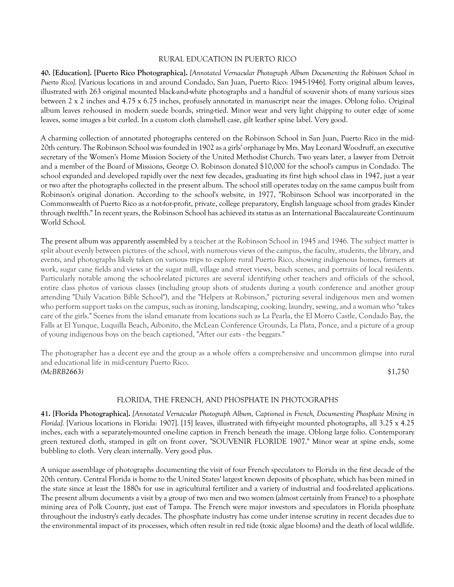## RURAL EDUCATION IN PUERTO RICO

**40. [Education]. [Puerto Rico Photographica].** *[Annotated Vernacular Photograph Album Documenting the Robinson School in Puerto Rico].* [Various locations in and around Condado, San Juan, Puerto Rico: 1945-1946]. Forty original album leaves, illustrated with 263 original mounted black-and-white photographs and a handful of souvenir shots of many various sizes between 2 x 2 inches and 4.75 x 6.75 inches, profusely annotated in manuscript near the images. Oblong folio. Original album leaves re-housed in modern suede boards, string-tied. Minor wear and very light chipping to outer edge of some leaves, some images a bit curled. In a custom cloth clamshell case, gilt leather spine label. Very good.

A charming collection of annotated photographs centered on the Robinson School in San Juan, Puerto Rico in the mid-20th century. The Robinson School was founded in 1902 as a girls' orphanage by Mrs. May Leonard Woodruff, an executive secretary of the Women's Home Mission Society of the United Methodist Church. Two years later, a lawyer from Detroit and a member of the Board of Missions, George O. Robinson donated \$10,000 for the school's campus in Condado. The school expanded and developed rapidly over the next few decades, graduating its first high school class in 1947, just a year or two after the photographs collected in the present album. The school still operates today on the same campus built from Robinson's original donation. According to the school's website, in 1977, "Robinson School was incorporated in the Commonwealth of Puerto Rico as a not-for-profit, private, college preparatory, English language school from grades Kinder through twelfth." In recent years, the Robinson School has achieved its status as an International Baccalaureate Continuum World School.

The present album was apparently assembled by a teacher at the Robinson School in 1945 and 1946. The subject matter is split about evenly between pictures of the school, with numerous views of the campus, the faculty, students, the library, and events, and photographs likely taken on various trips to explore rural Puerto Rico, showing indigenous homes, farmers at work, sugar cane fields and views at the sugar mill, village and street views, beach scenes, and portraits of local residents. Particularly notable among the school-related pictures are several identifying other teachers and officials of the school, entire class photos of various classes (including group shots of students during a youth conference and another group attending "Daily Vacation Bible School"), and the "Helpers at Robinson," picturing several indigenous men and women who perform support tasks on the campus, such as ironing, landscaping, cooking, laundry, sewing, and a woman who "takes care of the girls." Scenes from the island emanate from locations such as La Pearla, the El Morro Castle, Condado Bay, the Falls at El Yunque, Luquilla Beach, Aibonito, the McLean Conference Grounds, La Plata, Ponce, and a picture of a group of young indigenous boys on the beach captioned, "After our eats - the beggars."

The photographer has a decent eye and the group as a whole offers a comprehensive and uncommon glimpse into rural and educational life in mid-century Puerto Rico. *(McBRB2663)* \$1,750

## FLORIDA, THE FRENCH, AND PHOSPHATE IN PHOTOGRAPHS

**41. [Florida Photographica].** *[Annotated Vernacular Photograph Album, Captioned in French, Documenting Phosphate Mining in Florida].* [Various locations in Florida: 1907]. [15] leaves, illustrated with fifty-eight mounted photographs, all 3.25 x 4.25 inches, each with a separately-mounted one-line caption in French beneath the image. Oblong large folio. Contemporary green textured cloth, stamped in gilt on front cover, "SOUVENIR FLORIDE 1907." Minor wear at spine ends, some bubbling to cloth. Very clean internally. Very good plus.

A unique assemblage of photographs documenting the visit of four French speculators to Florida in the first decade of the 20th century. Central Florida is home to the United States' largest known deposits of phosphate, which has been mined in the state since at least the 1880s for use in agricultural fertilizer and a variety of industrial and food-related applications. The present album documents a visit by a group of two men and two women (almost certainly from France) to a phosphate mining area of Polk County, just east of Tampa. The French were major investors and speculators in Florida phosphate throughout the industry's early decades. The phosphate industry has come under intense scrutiny in recent decades due to the environmental impact of its processes, which often result in red tide (toxic algae blooms) and the death of local wildlife.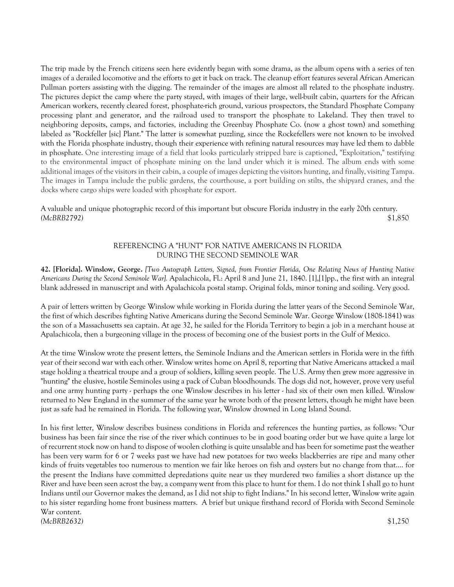The trip made by the French citizens seen here evidently began with some drama, as the album opens with a series of ten images of a derailed locomotive and the efforts to get it back on track. The cleanup effort features several African American Pullman porters assisting with the digging. The remainder of the images are almost all related to the phosphate industry. The pictures depict the camp where the party stayed, with images of their large, well-built cabin, quarters for the African American workers, recently cleared forest, phosphate-rich ground, various prospectors, the Standard Phosphate Company processing plant and generator, and the railroad used to transport the phosphate to Lakeland. They then travel to neighboring deposits, camps, and factories, including the Greenbay Phosphate Co. (now a ghost town) and something labeled as "Rockfeller [sic] Plant." The latter is somewhat puzzling, since the Rockefellers were not known to be involved with the Florida phosphate industry, though their experience with refining natural resources may have led them to dabble in phosphate. One interesting image of a field that looks particularly stripped bare is captioned, "Exploitation," testifying to the environmental impact of phosphate mining on the land under which it is mined. The album ends with some additional images of the visitors in their cabin, a couple of images depicting the visitors hunting, and finally, visiting Tampa. The images in Tampa include the public gardens, the courthouse, a port building on stilts, the shipyard cranes, and the docks where cargo ships were loaded with phosphate for export.

A valuable and unique photographic record of this important but obscure Florida industry in the early 20th century. *(McBRB2792)* \$1,850

# REFERENCING A "HUNT" FOR NATIVE AMERICANS IN FLORIDA DURING THE SECOND SEMINOLE WAR

**42. [Florida]. Winslow, George.** *[Two Autograph Letters, Signed, from Frontier Florida, One Relating News of Hunting Native Americans During the Second Seminole War].* Apalachicola, Fl.: April 8 and June 21, 1840. [1],[1]pp., the first with an integral blank addressed in manuscript and with Apalachicola postal stamp. Original folds, minor toning and soiling. Very good.

A pair of letters written by George Winslow while working in Florida during the latter years of the Second Seminole War, the first of which describes fighting Native Americans during the Second Seminole War. George Winslow (1808-1841) was the son of a Massachusetts sea captain. At age 32, he sailed for the Florida Territory to begin a job in a merchant house at Apalachicola, then a burgeoning village in the process of becoming one of the busiest ports in the Gulf of Mexico.

At the time Winslow wrote the present letters, the Seminole Indians and the American settlers in Florida were in the fifth year of their second war with each other. Winslow writes home on April 8, reporting that Native Americans attacked a mail stage holding a theatrical troupe and a group of soldiers, killing seven people. The U.S. Army then grew more aggressive in "hunting" the elusive, hostile Seminoles using a pack of Cuban bloodhounds. The dogs did not, however, prove very useful and one army hunting party - perhaps the one Winslow describes in his letter - had six of their own men killed. Winslow returned to New England in the summer of the same year he wrote both of the present letters, though he might have been just as safe had he remained in Florida. The following year, Winslow drowned in Long Island Sound.

In his first letter, Winslow describes business conditions in Florida and references the hunting parties, as follows: "Our business has been fair since the rise of the river which continues to be in good boating order but we have quite a large lot of recurrent stock now on hand to dispose of woolen clothing is quite unsalable and has been for sometime past the weather has been very warm for 6 or 7 weeks past we have had new potatoes for two weeks blackberries are ripe and many other kinds of fruits vegetables too numerous to mention we fair like heroes on fish and oysters but no change from that.... for the present the Indians have committed depredations quite near us they murdered two families a short distance up the River and have been seen acrost the bay, a company went from this place to hunt for them. I do not think I shall go to hunt Indians until our Governor makes the demand, as I did not ship to fight Indians." In his second letter, Winslow write again to his sister regarding home front business matters. A brief but unique firsthand record of Florida with Second Seminole War content. *(McBRB2632)* \$1,250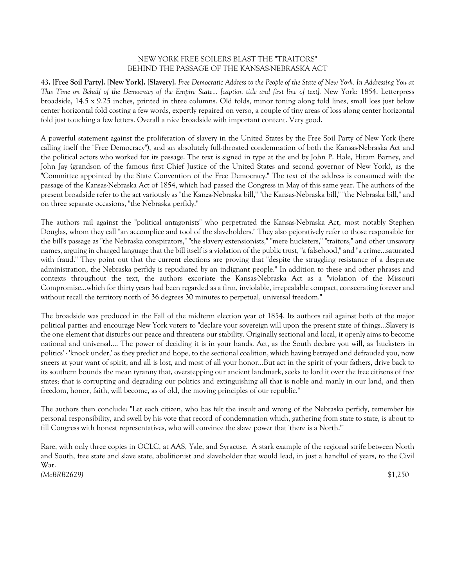# NEW YORK FREE SOILERS BLAST THE "TRAITORS" BEHIND THE PASSAGE OF THE KANSAS-NEBRASKA ACT

**43. [Free Soil Party]. [New York]. [Slavery].** *Free Democratic Address to the People of the State of New York. In Addressing You at This Time on Behalf of the Democracy of the Empire State... [caption title and first line of text].* New York: 1854. Letterpress broadside, 14.5 x 9.25 inches, printed in three columns. Old folds, minor toning along fold lines, small loss just below center horizontal fold costing a few words, expertly repaired on verso, a couple of tiny areas of loss along center horizontal fold just touching a few letters. Overall a nice broadside with important content. Very good.

A powerful statement against the proliferation of slavery in the United States by the Free Soil Party of New York (here calling itself the "Free Democracy"), and an absolutely full-throated condemnation of both the Kansas-Nebraska Act and the political actors who worked for its passage. The text is signed in type at the end by John P. Hale, Hiram Barney, and John Jay (grandson of the famous first Chief Justice of the United States and second governor of New York), as the "Committee appointed by the State Convention of the Free Democracy." The text of the address is consumed with the passage of the Kansas-Nebraska Act of 1854, which had passed the Congress in May of this same year. The authors of the present broadside refer to the act variously as "the Kanza-Nebraska bill," "the Kansas-Nebraska bill," "the Nebraska bill," and on three separate occasions, "the Nebraska perfidy."

The authors rail against the "political antagonists" who perpetrated the Kansas-Nebraska Act, most notably Stephen Douglas, whom they call "an accomplice and tool of the slaveholders." They also pejoratively refer to those responsible for the bill's passage as "the Nebraska conspirators," "the slavery extensionists," "mere hucksters," "traitors," and other unsavory names, arguing in charged language that the bill itself is a violation of the public trust, "a falsehood," and "a crime...saturated with fraud." They point out that the current elections are proving that "despite the struggling resistance of a desperate administration, the Nebraska perfidy is repudiated by an indignant people." In addition to these and other phrases and contexts throughout the text, the authors excoriate the Kansas-Nebraska Act as a "violation of the Missouri Compromise...which for thirty years had been regarded as a firm, inviolable, irrepealable compact, consecrating forever and without recall the territory north of 36 degrees 30 minutes to perpetual, universal freedom."

The broadside was produced in the Fall of the midterm election year of 1854. Its authors rail against both of the major political parties and encourage New York voters to "declare your sovereign will upon the present state of things...Slavery is the one element that disturbs our peace and threatens our stability. Originally sectional and local, it openly aims to become national and universal.... The power of deciding it is in your hands. Act, as the South declare you will, as 'hucksters in politics' - 'knock under,' as they predict and hope, to the sectional coalition, which having betrayed and defrauded you, now sneers at your want of spirit, and all is lost, and most of all your honor...But act in the spirit of your fathers, drive back to its southern bounds the mean tyranny that, overstepping our ancient landmark, seeks to lord it over the free citizens of free states; that is corrupting and degrading our politics and extinguishing all that is noble and manly in our land, and then freedom, honor, faith, will become, as of old, the moving principles of our republic."

The authors then conclude: "Let each citizen, who has felt the insult and wrong of the Nebraska perfidy, remember his personal responsibility, and swell by his vote that record of condemnation which, gathering from state to state, is about to fill Congress with honest representatives, who will convince the slave power that 'there is a North.'"

Rare, with only three copies in OCLC, at AAS, Yale, and Syracuse. A stark example of the regional strife between North and South, free state and slave state, abolitionist and slaveholder that would lead, in just a handful of years, to the Civil War. *(McBRB2629)* \$1,250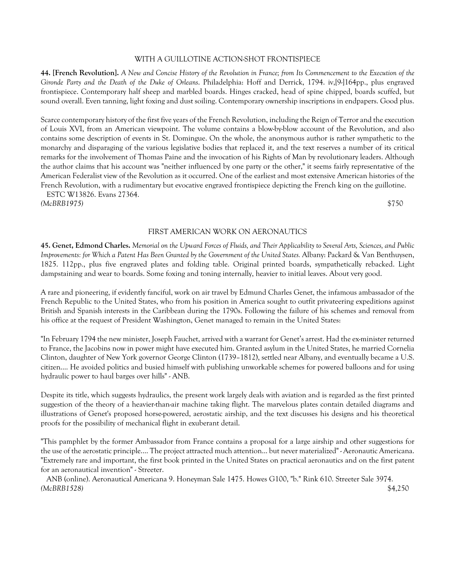#### WITH A GUILLOTINE ACTION-SHOT FRONTISPIECE

**44. [French Revolution].** *A New and Concise History of the Revolution in France; from Its Commencement to the Execution of the Gironde Party and the Death of the Duke of Orleans*. Philadelphia: Hoff and Derrick, 1794. iv,[9-]164pp., plus engraved frontispiece. Contemporary half sheep and marbled boards. Hinges cracked, head of spine chipped, boards scuffed, but sound overall. Even tanning, light foxing and dust soiling. Contemporary ownership inscriptions in endpapers. Good plus.

Scarce contemporary history of the first five years of the French Revolution, including the Reign of Terror and the execution of Louis XVI, from an American viewpoint. The volume contains a blow-by-blow account of the Revolution, and also contains some description of events in St. Domingue. On the whole, the anonymous author is rather sympathetic to the monarchy and disparaging of the various legislative bodies that replaced it, and the text reserves a number of its critical remarks for the involvement of Thomas Paine and the invocation of his Rights of Man by revolutionary leaders. Although the author claims that his account was "neither influenced by one party or the other," it seems fairly representative of the American Federalist view of the Revolution as it occurred. One of the earliest and most extensive American histories of the French Revolution, with a rudimentary but evocative engraved frontispiece depicting the French king on the guillotine.

 ESTC W13826. Evans 27364. *(McBRB1975)* \$750

## FIRST AMERICAN WORK ON AERONAUTICS

**45. Genet, Edmond Charles.** *Memorial on the Upward Forces of Fluids, and Their Applicability to Several Arts, Sciences, and Public Improvements: for Which a Patent Has Been Granted by the Government of the United States.* Albany: Packard & Van Benthuysen, 1825. 112pp., plus five engraved plates and folding table. Original printed boards, sympathetically rebacked. Light dampstaining and wear to boards. Some foxing and toning internally, heavier to initial leaves. About very good.

A rare and pioneering, if evidently fanciful, work on air travel by Edmund Charles Genet, the infamous ambassador of the French Republic to the United States, who from his position in America sought to outfit privateering expeditions against British and Spanish interests in the Caribbean during the 1790s. Following the failure of his schemes and removal from his office at the request of President Washington, Genet managed to remain in the United States:

"In February 1794 the new minister, Joseph Fauchet, arrived with a warrant for Genet's arrest. Had the ex-minister returned to France, the Jacobins now in power might have executed him. Granted asylum in the United States, he married Cornelia Clinton, daughter of New York governor George Clinton (1739–1812), settled near Albany, and eventually became a U.S. citizen.... He avoided politics and busied himself with publishing unworkable schemes for powered balloons and for using hydraulic power to haul barges over hills" - ANB.

Despite its title, which suggests hydraulics, the present work largely deals with aviation and is regarded as the first printed suggestion of the theory of a heavier-than-air machine taking flight. The marvelous plates contain detailed diagrams and illustrations of Genet's proposed horse-powered, aerostatic airship, and the text discusses his designs and his theoretical proofs for the possibility of mechanical flight in exuberant detail.

"This pamphlet by the former Ambassador from France contains a proposal for a large airship and other suggestions for the use of the aerostatic principle.... The project attracted much attention... but never materialized" - Aeronautic Americana. "Extremely rare and important, the first book printed in the United States on practical aeronautics and on the first patent for an aeronautical invention" - Streeter.

 ANB (online). Aeronautical Americana 9. Honeyman Sale 1475. Howes G100, "b." Rink 610. Streeter Sale 3974. *(McBRB1528)* \$4,250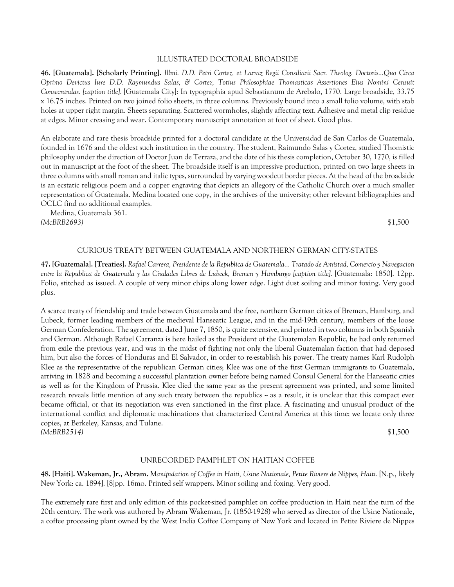#### ILLUSTRATED DOCTORAL BROADSIDE

**46. [Guatemala]. [Scholarly Printing].** *Illmi. D.D. Petri Cortez, et Larraz Regii Consiliarii Sacr. Theolog. Doctoris...Quo Circa Oprimo Devictus Iure D.D. Raymundus Salas, & Cortez, Totius Philosophiae Thomasticas Assertiones Eius Nomini Censuit Consecrandas. [caption title].* [Guatemala City]: In typographia apud Sebastianum de Arebalo, 1770. Large broadside, 33.75 x 16.75 inches. Printed on two joined folio sheets, in three columns. Previously bound into a small folio volume, with stab holes at upper right margin. Sheets separating. Scattered wormholes, slightly affecting text. Adhesive and metal clip residue at edges. Minor creasing and wear. Contemporary manuscript annotation at foot of sheet. Good plus.

An elaborate and rare thesis broadside printed for a doctoral candidate at the Universidad de San Carlos de Guatemala, founded in 1676 and the oldest such institution in the country. The student, Raimundo Salas y Cortez, studied Thomistic philosophy under the direction of Doctor Juan de Terraza, and the date of his thesis completion, October 30, 1770, is filled out in manuscript at the foot of the sheet. The broadside itself is an impressive production, printed on two large sheets in three columns with small roman and italic types, surrounded by varying woodcut border pieces. At the head of the broadside is an ecstatic religious poem and a copper engraving that depicts an allegory of the Catholic Church over a much smaller representation of Guatemala. Medina located one copy, in the archives of the university; other relevant bibliographies and OCLC find no additional examples.

 Medina, Guatemala 361. *(McBRB2693)* \$1,500

## CURIOUS TREATY BETWEEN GUATEMALA AND NORTHERN GERMAN CITY-STATES

**47. [Guatemala]. [Treaties].** *Rafael Carrera, Presidente de la Republica de Guatemala... Tratado de Amistad, Comercio y Navegacion entre la Republica de Guatemala y las Ciudades Libres de Lubeck, Bremen y Hamburgo [caption title].* [Guatemala: 1850]. 12pp. Folio, stitched as issued. A couple of very minor chips along lower edge. Light dust soiling and minor foxing. Very good plus.

A scarce treaty of friendship and trade between Guatemala and the free, northern German cities of Bremen, Hamburg, and Lubeck, former leading members of the medieval Hanseatic League, and in the mid-19th century, members of the loose German Confederation. The agreement, dated June 7, 1850, is quite extensive, and printed in two columns in both Spanish and German. Although Rafael Carranza is here hailed as the President of the Guatemalan Republic, he had only returned from exile the previous year, and was in the midst of fighting not only the liberal Guatemalan faction that had deposed him, but also the forces of Honduras and El Salvador, in order to re-establish his power. The treaty names Karl Rudolph Klee as the representative of the republican German cities; Klee was one of the first German immigrants to Guatemala, arriving in 1828 and becoming a successful plantation owner before being named Consul General for the Hanseatic cities as well as for the Kingdom of Prussia. Klee died the same year as the present agreement was printed, and some limited research reveals little mention of any such treaty between the republics  $\sim$  as a result, it is unclear that this compact ever became official, or that its negotiation was even sanctioned in the first place. A fascinating and unusual product of the international conflict and diplomatic machinations that characterized Central America at this time; we locate only three copies, at Berkeley, Kansas, and Tulane. *(McBRB2514)* \$1,500

#### UNRECORDED PAMPHLET ON HAITIAN COFFEE

**48. [Haiti]. Wakeman, Jr., Abram.** *Manipulation of Coffee in Haiti, Usine Nationale, Petite Riviere de Nippes, Haiti.* [N.p., likely New York: ca. 1894]. [8]pp. 16mo. Printed self wrappers. Minor soiling and foxing. Very good.

The extremely rare first and only edition of this pocket-sized pamphlet on coffee production in Haiti near the turn of the 20th century. The work was authored by Abram Wakeman, Jr. (1850-1928) who served as director of the Usine Nationale, a coffee processing plant owned by the West India Coffee Company of New York and located in Petite Riviere de Nippes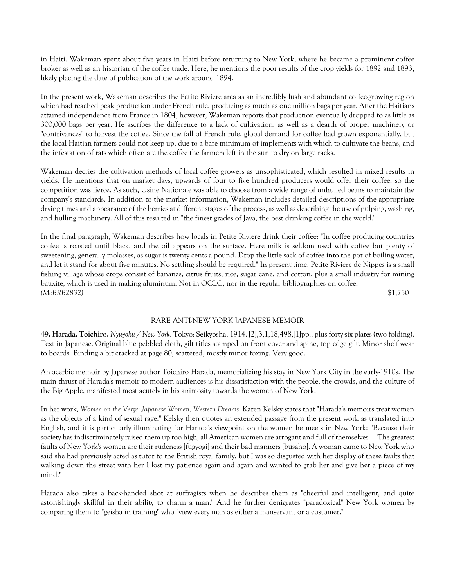in Haiti. Wakeman spent about five years in Haiti before returning to New York, where he became a prominent coffee broker as well as an historian of the coffee trade. Here, he mentions the poor results of the crop yields for 1892 and 1893, likely placing the date of publication of the work around 1894.

In the present work, Wakeman describes the Petite Riviere area as an incredibly lush and abundant coffee-growing region which had reached peak production under French rule, producing as much as one million bags per year. After the Haitians attained independence from France in 1804, however, Wakeman reports that production eventually dropped to as little as 300,000 bags per year. He ascribes the difference to a lack of cultivation, as well as a dearth of proper machinery or "contrivances" to harvest the coffee. Since the fall of French rule, global demand for coffee had grown exponentially, but the local Haitian farmers could not keep up, due to a bare minimum of implements with which to cultivate the beans, and the infestation of rats which often ate the coffee the farmers left in the sun to dry on large racks.

Wakeman decries the cultivation methods of local coffee growers as unsophisticated, which resulted in mixed results in yields. He mentions that on market days, upwards of four to five hundred producers would offer their coffee, so the competition was fierce. As such, Usine Nationale was able to choose from a wide range of unhulled beans to maintain the company's standards. In addition to the market information, Wakeman includes detailed descriptions of the appropriate drying times and appearance of the berries at different stages of the process, as well as describing the use of pulping, washing, and hulling machinery. All of this resulted in "the finest grades of Java, the best drinking coffee in the world."

In the final paragraph, Wakeman describes how locals in Petite Riviere drink their coffee: "In coffee producing countries coffee is roasted until black, and the oil appears on the surface. Here milk is seldom used with coffee but plenty of sweetening, generally molasses, as sugar is twenty cents a pound. Drop the little sack of coffee into the pot of boiling water, and let it stand for about five minutes. No settling should be required." In present time, Petite Riviere de Nippes is a small fishing village whose crops consist of bananas, citrus fruits, rice, sugar cane, and cotton, plus a small industry for mining bauxite, which is used in making aluminum. Not in OCLC, nor in the regular bibliographies on coffee. *(McBRB2832)* \$1,750

# RARE ANTI-NEW YORK JAPANESE MEMOIR

**49. Harada, Toichiro.** *Nyuyoku / New York*. Tokyo: Seikyosha, 1914. [2],3,1,18,498,[1]pp., plus forty-six plates (two folding). Text in Japanese. Original blue pebbled cloth, gilt titles stamped on front cover and spine, top edge gilt. Minor shelf wear to boards. Binding a bit cracked at page 80, scattered, mostly minor foxing. Very good.

An acerbic memoir by Japanese author Toichiro Harada, memorializing his stay in New York City in the early-1910s. The main thrust of Harada's memoir to modern audiences is his dissatisfaction with the people, the crowds, and the culture of the Big Apple, manifested most acutely in his animosity towards the women of New York.

In her work, *Women on the Verge: Japanese Women, Western Dreams*, Karen Kelsky states that "Harada's memoirs treat women as the objects of a kind of sexual rage." Kelsky then quotes an extended passage from the present work as translated into English, and it is particularly illuminating for Harada's viewpoint on the women he meets in New York: "Because their society has indiscriminately raised them up too high, all American women are arrogant and full of themselves.... The greatest faults of New York's women are their rudeness [fugyogi] and their bad manners [busaho]. A woman came to New York who said she had previously acted as tutor to the British royal family, but I was so disgusted with her display of these faults that walking down the street with her I lost my patience again and again and wanted to grab her and give her a piece of my mind."

Harada also takes a back-handed shot at suffragists when he describes them as "cheerful and intelligent, and quite astonishingly skillful in their ability to charm a man." And he further denigrates "paradoxical" New York women by comparing them to "geisha in training" who "view every man as either a manservant or a customer."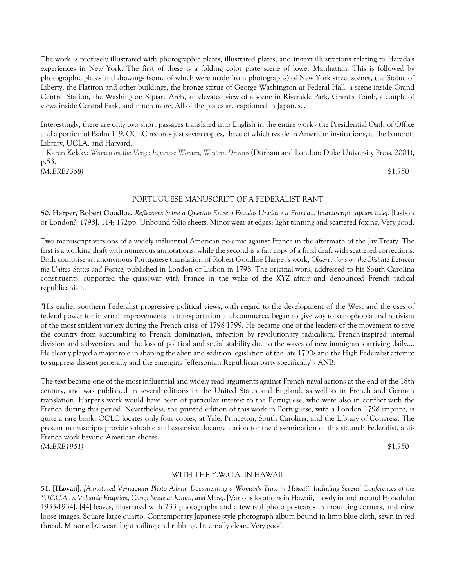The work is profusely illustrated with photographic plates, illustrated plates, and in-text illustrations relating to Harada's experiences in New York. The first of these is a folding color plate scene of lower Manhattan. This is followed by photographic plates and drawings (some of which were made from photographs) of New York street scenes, the Statue of Liberty, the Flatiron and other buildings, the bronze statue of George Washington at Federal Hall, a scene inside Grand Central Station, the Washington Square Arch, an elevated view of a scene in Riverside Park, Grant's Tomb, a couple of views inside Central Park, and much more. All of the plates are captioned in Japanese.

Interestingly, there are only two short passages translated into English in the entire work - the Presidential Oath of Office and a portion of Psalm 119. OCLC records just seven copies, three of which reside in American institutions, at the Bancroft Library, UCLA, and Harvard.

 Karen Kelsky: *Women on the Verge: Japanese Women, Western Dreams* (Durham and London: Duke University Press, 2001), p.53.

*(McBRB2358)* \$1,750

## PORTUGUESE MANUSCRIPT OF A FEDERALIST RANT

**50. Harper, Robert Goodloe.** *Reflexoens Sobre a Quertao Entre o Estados Unidos e a Franca... [manuscript caption title].* [Lisbon or London?: 1798]. 114; 172pp. Unbound folio sheets. Minor wear at edges; light tanning and scattered foxing. Very good.

Two manuscript versions of a widely influential American polemic against France in the aftermath of the Jay Treaty. The first is a working draft with numerous annotations, while the second is a fair copy of a final draft with scattered corrections. Both comprise an anonymous Portuguese translation of Robert Goodloe Harper's work, *Observations on the Dispute Between the United States and France*, published in London or Lisbon in 1798. The original work, addressed to his South Carolina constituents, supported the quasi-war with France in the wake of the XYZ affair and denounced French radical republicanism.

"His earlier southern Federalist progressive political views, with regard to the development of the West and the uses of federal power for internal improvements in transportation and commerce, began to give way to xenophobia and nativism of the most strident variety during the French crisis of 1798-1799. He became one of the leaders of the movement to save the country from succumbing to French domination, infection by revolutionary radicalism, French-inspired internal division and subversion, and the loss of political and social stability due to the waves of new immigrants arriving daily.... He clearly played a major role in shaping the alien and sedition legislation of the late 1790s and the High Federalist attempt to suppress dissent generally and the emerging Jeffersonian Republican party specifically" - ANB.

The text became one of the most influential and widely read arguments against French naval actions at the end of the 18th century, and was published in several editions in the United States and England, as well as in French and German translation. Harper's work would have been of particular interest to the Portuguese, who were also in conflict with the French during this period. Nevertheless, the printed edition of this work in Portuguese, with a London 1798 imprint, is quite a rare book; OCLC locates only four copies, at Yale, Princeton, South Carolina, and the Library of Congress. The present manuscripts provide valuable and extensive documentation for the dissemination of this staunch Federalist, anti-French work beyond American shores. *(McBRB1951)* \$1,750

## WITH THE Y.W.C.A. IN HAWAII

**51. [Hawaii].** *[Annotated Vernacular Photo Album Documenting a Woman's Time in Hawaii, Including Several Conferences of the Y.W.C.A., a Volcanic Eruption, Camp Naue at Kauai, and More].* [Various locations in Hawaii, mostly in and around Honolulu: 1933-1934]. [44] leaves, illustrated with 233 photographs and a few real photo postcards in mounting corners, and nine loose images. Square large quarto. Contemporary Japanese-style photograph album bound in limp blue cloth, sewn in red thread. Minor edge wear, light soiling and rubbing. Internally clean. Very good.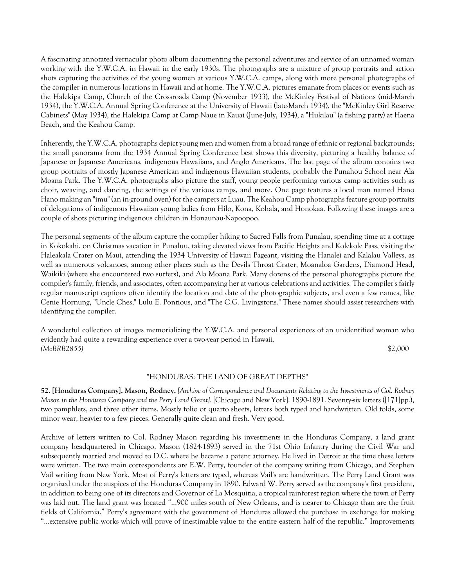A fascinating annotated vernacular photo album documenting the personal adventures and service of an unnamed woman working with the Y.W.C.A. in Hawaii in the early 1930s. The photographs are a mixture of group portraits and action shots capturing the activities of the young women at various Y.W.C.A. camps, along with more personal photographs of the compiler in numerous locations in Hawaii and at home. The Y.W.C.A. pictures emanate from places or events such as the Halekipa Camp, Church of the Crossroads Camp (November 1933), the McKinley Festival of Nations (mid-March 1934), the Y.W.C.A. Annual Spring Conference at the University of Hawaii (late-March 1934), the "McKinley Girl Reserve Cabinets" (May 1934), the Halekipa Camp at Camp Naue in Kauai (June-July, 1934), a "Hukilau" (a fishing party) at Haena Beach, and the Keahou Camp.

Inherently, the Y.W.C.A. photographs depict young men and women from a broad range of ethnic or regional backgrounds; the small panorama from the 1934 Annual Spring Conference best shows this diversity, picturing a healthy balance of Japanese or Japanese Americans, indigenous Hawaiians, and Anglo Americans. The last page of the album contains two group portraits of mostly Japanese American and indigenous Hawaiian students, probably the Punahou School near Ala Moana Park. The Y.W.C.A. photographs also picture the staff, young people performing various camp activities such as choir, weaving, and dancing, the settings of the various camps, and more. One page features a local man named Hano Hano making an "imu" (an in-ground oven) for the campers at Luau. The Keahou Camp photographs feature group portraits of delegations of indigenous Hawaiian young ladies from Hilo, Kona, Kohala, and Honokaa. Following these images are a couple of shots picturing indigenous children in Honaunau-Napoopoo.

The personal segments of the album capture the compiler hiking to Sacred Falls from Punalau, spending time at a cottage in Kokokahi, on Christmas vacation in Punaluu, taking elevated views from Pacific Heights and Kolekole Pass, visiting the Haleakala Crater on Maui, attending the 1934 University of Hawaii Pageant, visiting the Hanalei and Kalalau Valleys, as well as numerous volcanoes, among other places such as the Devils Throat Crater, Moanaloa Gardens, Diamond Head, Waikiki (where she encountered two surfers), and Ala Moana Park. Many dozens of the personal photographs picture the compiler's family, friends, and associates, often accompanying her at various celebrations and activities. The compiler's fairly regular manuscript captions often identify the location and date of the photographic subjects, and even a few names, like Cenie Hornung, "Uncle Ches," Lulu E. Pontious, and "The C.G. Livingstons." These names should assist researchers with identifying the compiler.

A wonderful collection of images memorializing the Y.W.C.A. and personal experiences of an unidentified woman who evidently had quite a rewarding experience over a two-year period in Hawaii. *(McBRB2855)* \$2,000

#### "HONDURAS: THE LAND OF GREAT DEPTHS"

**52. [Honduras Company]. Mason, Rodney.** *[Archive of Correspondence and Documents Relating to the Investments of Col. Rodney Mason in the Honduras Company and the Perry Land Grant].* [Chicago and New York]: 1890-1891. Seventy-six letters ([171]pp.), two pamphlets, and three other items. Mostly folio or quarto sheets, letters both typed and handwritten. Old folds, some minor wear, heavier to a few pieces. Generally quite clean and fresh. Very good.

Archive of letters written to Col. Rodney Mason regarding his investments in the Honduras Company, a land grant company headquartered in Chicago. Mason (1824-1893) served in the 71st Ohio Infantry during the Civil War and subsequently married and moved to D.C. where he became a patent attorney. He lived in Detroit at the time these letters were written. The two main correspondents are E.W. Perry, founder of the company writing from Chicago, and Stephen Vail writing from New York. Most of Perry's letters are typed, whereas Vail's are handwritten. The Perry Land Grant was organized under the auspices of the Honduras Company in 1890. Edward W. Perry served as the company's first president, in addition to being one of its directors and Governor of La Mosquitia, a tropical rainforest region where the town of Perry was laid out. The land grant was located "...900 miles south of New Orleans, and is nearer to Chicago than are the fruit fields of California." Perry's agreement with the government of Honduras allowed the purchase in exchange for making "...extensive public works which will prove of inestimable value to the entire eastern half of the republic." Improvements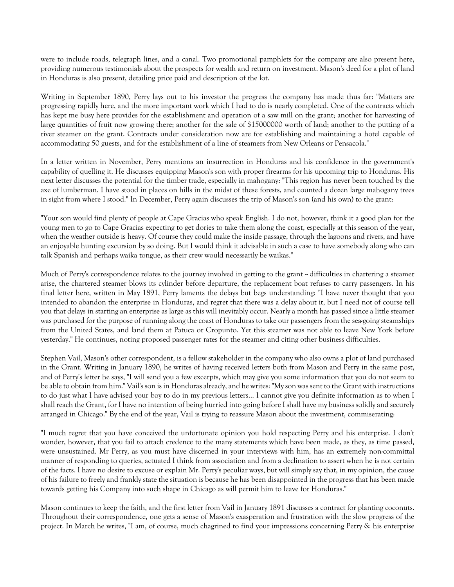were to include roads, telegraph lines, and a canal. Two promotional pamphlets for the company are also present here, providing numerous testimonials about the prospects for wealth and return on investment. Mason's deed for a plot of land in Honduras is also present, detailing price paid and description of the lot.

Writing in September 1890, Perry lays out to his investor the progress the company has made thus far: "Matters are progressing rapidly here, and the more important work which I had to do is nearly completed. One of the contracts which has kept me busy here provides for the establishment and operation of a saw mill on the grant; another for harvesting of large quantities of fruit now growing there; another for the sale of \$15000000 worth of land; another to the putting of a river steamer on the grant. Contracts under consideration now are for establishing and maintaining a hotel capable of accommodating 50 guests, and for the establishment of a line of steamers from New Orleans or Pensacola."

In a letter written in November, Perry mentions an insurrection in Honduras and his confidence in the government's capability of quelling it. He discusses equipping Mason's son with proper firearms for his upcoming trip to Honduras. His next letter discusses the potential for the timber trade, especially in mahogany: "This region has never been touched by the axe of lumberman. I have stood in places on hills in the midst of these forests, and counted a dozen large mahogany trees in sight from where I stood." In December, Perry again discusses the trip of Mason's son (and his own) to the grant:

"Your son would find plenty of people at Cape Gracias who speak English. I do not, however, think it a good plan for the young men to go to Cape Gracias expecting to get dories to take them along the coast, especially at this season of the year, when the weather outside is heavy. Of course they could make the inside passage, through the lagoons and rivers, and have an enjoyable hunting excursion by so doing. But I would think it advisable in such a case to have somebody along who can talk Spanish and perhaps waika tongue, as their crew would necessarily be waikas."

Much of Perry's correspondence relates to the journey involved in getting to the grant -- difficulties in chartering a steamer arise, the chartered steamer blows its cylinder before departure, the replacement boat refuses to carry passengers. In his final letter here, written in May 1891, Perry laments the delays but begs understanding: "I have never thought that you intended to abandon the enterprise in Honduras, and regret that there was a delay about it, but I need not of course tell you that delays in starting an enterprise as large as this will inevitably occur. Nearly a month has passed since a little steamer was purchased for the purpose of running along the coast of Honduras to take our passengers from the sea-going steamships from the United States, and land them at Patuca or Cropunto. Yet this steamer was not able to leave New York before yesterday." He continues, noting proposed passenger rates for the steamer and citing other business difficulties.

Stephen Vail, Mason's other correspondent, is a fellow stakeholder in the company who also owns a plot of land purchased in the Grant. Writing in January 1890, he writes of having received letters both from Mason and Perry in the same post, and of Perry's letter he says, "I will send you a few excerpts, which may give you some information that you do not seem to be able to obtain from him." Vail's son is in Honduras already, and he writes: "My son was sent to the Grant with instructions to do just what I have advised your boy to do in my previous letters... I cannot give you definite information as to when I shall reach the Grant, for I have no intention of being hurried into going before I shall have my business solidly and securely arranged in Chicago." By the end of the year, Vail is trying to reassure Mason about the investment, commiserating:

"I much regret that you have conceived the unfortunate opinion you hold respecting Perry and his enterprise. I don't wonder, however, that you fail to attach credence to the many statements which have been made, as they, as time passed, were unsustained. Mr Perry, as you must have discerned in your interviews with him, has an extremely non-committal manner of responding to queries, actuated I think from association and from a declination to assert when he is not certain of the facts. I have no desire to excuse or explain Mr. Perry's peculiar ways, but will simply say that, in my opinion, the cause of his failure to freely and frankly state the situation is because he has been disappointed in the progress that has been made towards getting his Company into such shape in Chicago as will permit him to leave for Honduras."

Mason continues to keep the faith, and the first letter from Vail in January 1891 discusses a contract for planting coconuts. Throughout their correspondence, one gets a sense of Mason's exasperation and frustration with the slow progress of the project. In March he writes, "I am, of course, much chagrined to find your impressions concerning Perry & his enterprise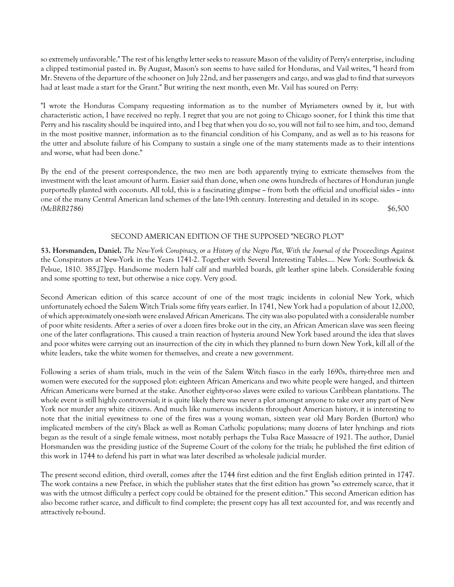so extremely unfavorable." The rest of his lengthy letter seeks to reassure Mason of the validity of Perry's enterprise, including a clipped testimonial pasted in. By August, Mason's son seems to have sailed for Honduras, and Vail writes, "I heard from Mr. Stevens of the departure of the schooner on July 22nd, and her passengers and cargo, and was glad to find that surveyors had at least made a start for the Grant." But writing the next month, even Mr. Vail has soured on Perry:

"I wrote the Honduras Company requesting information as to the number of Myriameters owned by it, but with characteristic action, I have received no reply. I regret that you are not going to Chicago sooner, for I think this time that Perry and his rascality should be inquired into, and I beg that when you do so, you will not fail to see him, and too, demand in the most positive manner, information as to the financial condition of his Company, and as well as to his reasons for the utter and absolute failure of his Company to sustain a single one of the many statements made as to their intentions and worse, what had been done."

By the end of the present correspondence, the two men are both apparently trying to extricate themselves from the investment with the least amount of harm. Easier said than done, when one owns hundreds of hectares of Honduran jungle purportedly planted with coconuts. All told, this is a fascinating glimpse  $\sim$  from both the official and unofficial sides  $\sim$  into one of the many Central American land schemes of the late-19th century. Interesting and detailed in its scope. *(McBRB2786)* \$6,500

## SECOND AMERICAN EDITION OF THE SUPPOSED "NEGRO PLOT"

**53. Horsmanden, Daniel.** *The New-York Conspiracy, or a History of the Negro Plot, With the Journal of the* Proceedings Against the Conspirators at New-York in the Years 1741-2. Together with Several Interesting Tables.... New York: Southwick & Pelsue, 1810. 385,[7]pp. Handsome modern half calf and marbled boards, gilt leather spine labels. Considerable foxing and some spotting to text, but otherwise a nice copy. Very good.

Second American edition of this scarce account of one of the most tragic incidents in colonial New York, which unfortunately echoed the Salem Witch Trials some fifty years earlier. In 1741, New York had a population of about 12,000, of which approximately one-sixth were enslaved African Americans. The city was also populated with a considerable number of poor white residents. After a series of over a dozen fires broke out in the city, an African American slave was seen fleeing one of the later conflagrations. This caused a train reaction of hysteria around New York based around the idea that slaves and poor whites were carrying out an insurrection of the city in which they planned to burn down New York, kill all of the white leaders, take the white women for themselves, and create a new government.

Following a series of sham trials, much in the vein of the Salem Witch fiasco in the early 1690s, thirty-three men and women were executed for the supposed plot: eighteen African Americans and two white people were hanged, and thirteen African Americans were burned at the stake. Another eighty-or-so slaves were exiled to various Caribbean plantations. The whole event is still highly controversial; it is quite likely there was never a plot amongst anyone to take over any part of New York nor murder any white citizens. And much like numerous incidents throughout American history, it is interesting to note that the initial eyewitness to one of the fires was a young woman, sixteen year old Mary Borden (Burton) who implicated members of the city's Black as well as Roman Catholic populations; many dozens of later lynchings and riots began as the result of a single female witness, most notably perhaps the Tulsa Race Massacre of 1921. The author, Daniel Horsmanden was the presiding justice of the Supreme Court of the colony for the trials; he published the first edition of this work in 1744 to defend his part in what was later described as wholesale judicial murder.

The present second edition, third overall, comes after the 1744 first edition and the first English edition printed in 1747. The work contains a new Preface, in which the publisher states that the first edition has grown "so extremely scarce, that it was with the utmost difficulty a perfect copy could be obtained for the present edition." This second American edition has also become rather scarce, and difficult to find complete; the present copy has all text accounted for, and was recently and attractively re-bound.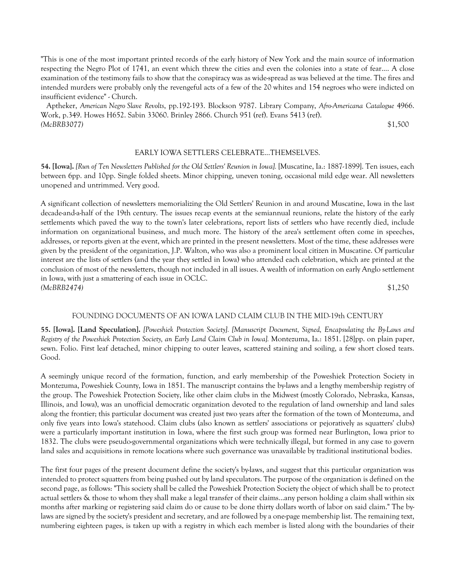"This is one of the most important printed records of the early history of New York and the main source of information respecting the Negro Plot of 1741, an event which threw the cities and even the colonies into a state of fear.... A close examination of the testimony fails to show that the conspiracy was as wide-spread as was believed at the time. The fires and intended murders were probably only the revengeful acts of a few of the 20 whites and 154 negroes who were indicted on insufficient evidence" - Church.

 Aptheker, *American Negro Slave Revolts*, pp.192-193. Blockson 9787. Library Company, *Afro-Americana Catalogue* 4966. Work, p.349. Howes H652. Sabin 33060. Brinley 2866. Church 951 (ref). Evans 5413 (ref). *(McBRB3077)* \$1,500

## EARLY IOWA SETTLERS CELEBRATE...THEMSELVES.

**54. [Iowa].** *[Run of Ten Newsletters Published for the Old Settlers' Reunion in Iowa].* [Muscatine, Ia.: 1887-1899]. Ten issues, each between 6pp. and 10pp. Single folded sheets. Minor chipping, uneven toning, occasional mild edge wear. All newsletters unopened and untrimmed. Very good.

A significant collection of newsletters memorializing the Old Settlers' Reunion in and around Muscatine, Iowa in the last decade-and-a-half of the 19th century. The issues recap events at the semiannual reunions, relate the history of the early settlements which paved the way to the town's later celebrations, report lists of settlers who have recently died, include information on organizational business, and much more. The history of the area's settlement often come in speeches, addresses, or reports given at the event, which are printed in the present newsletters. Most of the time, these addresses were given by the president of the organization, J.P. Walton, who was also a prominent local citizen in Muscatine. Of particular interest are the lists of settlers (and the year they settled in Iowa) who attended each celebration, which are printed at the conclusion of most of the newsletters, though not included in all issues. A wealth of information on early Anglo settlement in Iowa, with just a smattering of each issue in OCLC. *(McBRB2474)* \$1,250

#### FOUNDING DOCUMENTS OF AN IOWA LAND CLAIM CLUB IN THE MID-19th CENTURY

**55. [Iowa]. [Land Speculation].** *[Poweshiek Protection Society]. [Manuscript Document, Signed, Encapsulating the By-Laws and Registry of the Poweshiek Protection Society, an Early Land Claim Club in Iowa].* Montezuma, Ia.: 1851. [28]pp. on plain paper, sewn. Folio. First leaf detached, minor chipping to outer leaves, scattered staining and soiling, a few short closed tears. Good.

A seemingly unique record of the formation, function, and early membership of the Poweshiek Protection Society in Montezuma, Poweshiek County, Iowa in 1851. The manuscript contains the by-laws and a lengthy membership registry of the group. The Poweshiek Protection Society, like other claim clubs in the Midwest (mostly Colorado, Nebraska, Kansas, Illinois, and Iowa), was an unofficial democratic organization devoted to the regulation of land ownership and land sales along the frontier; this particular document was created just two years after the formation of the town of Montezuma, and only five years into Iowa's statehood. Claim clubs (also known as settlers' associations or pejoratively as squatters' clubs) were a particularly important institution in Iowa, where the first such group was formed near Burlington, Iowa prior to 1832. The clubs were pseudo-governmental organizations which were technically illegal, but formed in any case to govern land sales and acquisitions in remote locations where such governance was unavailable by traditional institutional bodies.

The first four pages of the present document define the society's by-laws, and suggest that this particular organization was intended to protect squatters from being pushed out by land speculators. The purpose of the organization is defined on the second page, as follows: "This society shall be called the Poweshiek Protection Society the object of which shall be to protect actual settlers & those to whom they shall make a legal transfer of their claims...any person holding a claim shall within six months after marking or registering said claim do or cause to be done thirty dollars worth of labor on said claim." The bylaws are signed by the society's president and secretary, and are followed by a one-page membership list. The remaining text, numbering eighteen pages, is taken up with a registry in which each member is listed along with the boundaries of their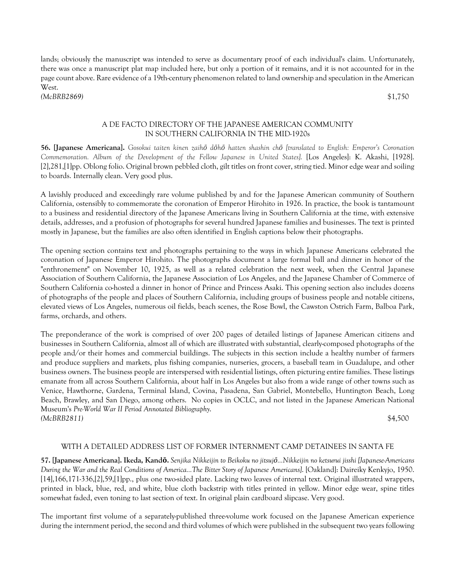lands; obviously the manuscript was intended to serve as documentary proof of each individual's claim. Unfortunately, there was once a manuscript plat map included here, but only a portion of it remains, and it is not accounted for in the page count above. Rare evidence of a 19th-century phenomenon related to land ownership and speculation in the American West. *(McBRB2869)* \$1,750

## A DE FACTO DIRECTORY OF THE JAPANESE AMERICAN COMMUNITY IN SOUTHERN CALIFORNIA IN THE MID-1920s

**56. [Japanese Americana].** *Gosokui taiten kinen zaihō dōhō hatten shashin chō [translated to English: Emperor's Coronation Commemoration. Album of the Development of the Fellow Japanese in United States].* [Los Angeles]: K. Akashi, [1928]. [2],281,[1]pp. Oblong folio. Original brown pebbled cloth, gilt titles on front cover, string tied. Minor edge wear and soiling to boards. Internally clean. Very good plus.

A lavishly produced and exceedingly rare volume published by and for the Japanese American community of Southern California, ostensibly to commemorate the coronation of Emperor Hirohito in 1926. In practice, the book is tantamount to a business and residential directory of the Japanese Americans living in Southern California at the time, with extensive details, addresses, and a profusion of photographs for several hundred Japanese families and businesses. The text is printed mostly in Japanese, but the families are also often identified in English captions below their photographs.

The opening section contains text and photographs pertaining to the ways in which Japanese Americans celebrated the coronation of Japanese Emperor Hirohito. The photographs document a large formal ball and dinner in honor of the "enthronement" on November 10, 1925, as well as a related celebration the next week, when the Central Japanese Association of Southern California, the Japanese Association of Los Angeles, and the Japanese Chamber of Commerce of Southern California co-hosted a dinner in honor of Prince and Princess Asaki. This opening section also includes dozens of photographs of the people and places of Southern California, including groups of business people and notable citizens, elevated views of Los Angeles, numerous oil fields, beach scenes, the Rose Bowl, the Cawston Ostrich Farm, Balboa Park, farms, orchards, and others.

The preponderance of the work is comprised of over 200 pages of detailed listings of Japanese American citizens and businesses in Southern California, almost all of which are illustrated with substantial, clearly-composed photographs of the people and/or their homes and commercial buildings. The subjects in this section include a healthy number of farmers and produce suppliers and markets, plus fishing companies, nurseries, grocers, a baseball team in Guadalupe, and other business owners. The business people are interspersed with residential listings, often picturing entire families. These listings emanate from all across Southern California, about half in Los Angeles but also from a wide range of other towns such as Venice, Hawthorne, Gardena, Terminal Island, Covina, Pasadena, San Gabriel, Montebello, Huntington Beach, Long Beach, Brawley, and San Diego, among others. No copies in OCLC, and not listed in the Japanese American National Museum's *Pre-World War II Period Annotated Bibliography*. *(McBRB2811)* \$4,500

## WITH A DETAILED ADDRESS LIST OF FORMER INTERNMENT CAMP DETAINEES IN SANTA FE

**57. [Japanese Americana]. Ikeda, Kandō.** *Senjika Nikkeijin to Beikoku no jitsujō...Nikkeijin no ketsurui jisshi [Japanese-Americans During the War and the Real Conditions of America...The Bitter Story of Japanese Americans]*. [Oakland]: Daireiky Kenkyjo, 1950. [14],166,171-336,[2],59,[1]pp., plus one two-sided plate. Lacking two leaves of internal text. Original illustrated wrappers, printed in black, blue, red, and white, blue cloth backstrip with titles printed in yellow. Minor edge wear, spine titles somewhat faded, even toning to last section of text. In original plain cardboard slipcase. Very good.

The important first volume of a separately-published three-volume work focused on the Japanese American experience during the internment period, the second and third volumes of which were published in the subsequent two years following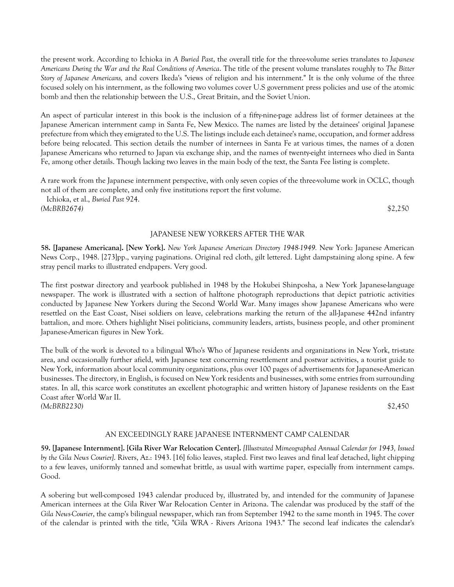the present work. According to Ichioka in *A Buried Past*, the overall title for the three-volume series translates to *Japanese Americans During the War and the Real Conditions of America*. The title of the present volume translates roughly to *The Bitter Story of Japanese Americans,* and covers Ikeda's "views of religion and his internment." It is the only volume of the three focused solely on his internment, as the following two volumes cover U.S government press policies and use of the atomic bomb and then the relationship between the U.S., Great Britain, and the Soviet Union.

An aspect of particular interest in this book is the inclusion of a fifty-nine-page address list of former detainees at the Japanese American internment camp in Santa Fe, New Mexico. The names are listed by the detainees' original Japanese prefecture from which they emigrated to the U.S. The listings include each detainee's name, occupation, and former address before being relocated. This section details the number of internees in Santa Fe at various times, the names of a dozen Japanese Americans who returned to Japan via exchange ship, and the names of twenty-eight internees who died in Santa Fe, among other details. Though lacking two leaves in the main body of the text, the Santa Fee listing is complete.

A rare work from the Japanese internment perspective, with only seven copies of the three-volume work in OCLC, though not all of them are complete, and only five institutions report the first volume. Ichioka, et al., *Buried Past* 924.

*(McBRB2674)* \$2,250

# JAPANESE NEW YORKERS AFTER THE WAR

**58. [Japanese Americana]. [New York].** *New York Japanese American Directory 1948-1949.* New York: Japanese American News Corp., 1948. [273]pp., varying paginations. Original red cloth, gilt lettered. Light dampstaining along spine. A few stray pencil marks to illustrated endpapers. Very good.

The first postwar directory and yearbook published in 1948 by the Hokubei Shinposha, a New York Japanese-language newspaper. The work is illustrated with a section of halftone photograph reproductions that depict patriotic activities conducted by Japanese New Yorkers during the Second World War. Many images show Japanese Americans who were resettled on the East Coast, Nisei soldiers on leave, celebrations marking the return of the all-Japanese 442nd infantry battalion, and more. Others highlight Nisei politicians, community leaders, artists, business people, and other prominent Japanese-American figures in New York.

The bulk of the work is devoted to a bilingual Who's Who of Japanese residents and organizations in New York, tri-state area, and occasionally further afield, with Japanese text concerning resettlement and postwar activities, a tourist guide to New York, information about local community organizations, plus over 100 pages of advertisements for Japanese-American businesses. The directory, in English, is focused on New York residents and businesses, with some entries from surrounding states. In all, this scarce work constitutes an excellent photographic and written history of Japanese residents on the East Coast after World War II. *(McBRB2230)* \$2,450

## AN EXCEEDINGLY RARE JAPANESE INTERNMENT CAMP CALENDAR

**59. [Japanese Internment]. [Gila River War Relocation Center].** *[Illustrated Mimeographed Annual Calendar for 1943, Issued by the Gila News Courier]*. Rivers, Az.: 1943. [16] folio leaves, stapled. First two leaves and final leaf detached, light chipping to a few leaves, uniformly tanned and somewhat brittle, as usual with wartime paper, especially from internment camps. Good.

A sobering but well-composed 1943 calendar produced by, illustrated by, and intended for the community of Japanese American internees at the Gila River War Relocation Center in Arizona. The calendar was produced by the staff of the *Gila News-Courier*, the camp's bilingual newspaper, which ran from September 1942 to the same month in 1945. The cover of the calendar is printed with the title, "Gila WRA - Rivers Arizona 1943." The second leaf indicates the calendar's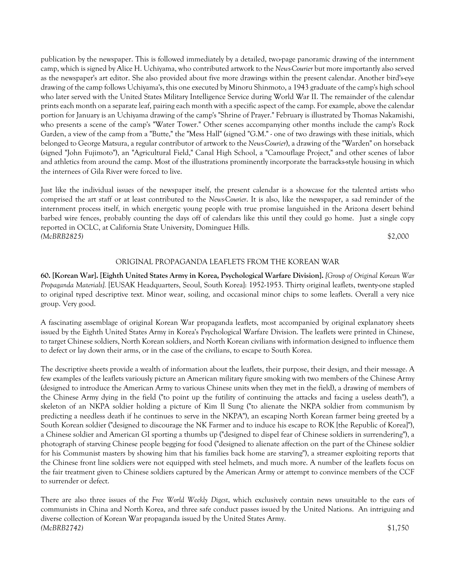publication by the newspaper. This is followed immediately by a detailed, two-page panoramic drawing of the internment camp, which is signed by Alice H. Uchiyama, who contributed artwork to the *News-Courier* but more importantly also served as the newspaper's art editor. She also provided about five more drawings within the present calendar. Another bird's-eye drawing of the camp follows Uchiyama's, this one executed by Minoru Shinmoto, a 1943 graduate of the camp's high school who later served with the United States Military Intelligence Service during World War II. The remainder of the calendar prints each month on a separate leaf, pairing each month with a specific aspect of the camp. For example, above the calendar portion for January is an Uchiyama drawing of the camp's "Shrine of Prayer." February is illustrated by Thomas Nakamishi, who presents a scene of the camp's "Water Tower." Other scenes accompanying other months include the camp's Rock Garden, a view of the camp from a "Butte," the "Mess Hall" (signed "G.M." - one of two drawings with these initials, which belonged to George Matsura, a regular contributor of artwork to the *News-Courier*), a drawing of the "Warden" on horseback (signed "John Fujimoto"), an "Agricultural Field," Canal High School, a "Camouflage Project," and other scenes of labor and athletics from around the camp. Most of the illustrations prominently incorporate the barracks-style housing in which the internees of Gila River were forced to live.

Just like the individual issues of the newspaper itself, the present calendar is a showcase for the talented artists who comprised the art staff or at least contributed to the *News-Courier*. It is also, like the newspaper, a sad reminder of the internment process itself, in which energetic young people with true promise languished in the Arizona desert behind barbed wire fences, probably counting the days off of calendars like this until they could go home. Just a single copy reported in OCLC, at California State University, Dominguez Hills. *(McBRB2825)* \$2,000

## ORIGINAL PROPAGANDA LEAFLETS FROM THE KOREAN WAR

**60. [Korean War]. [Eighth United States Army in Korea, Psychological Warfare Division].** *[Group of Original Korean War Propaganda Materials].* [EUSAK Headquarters, Seoul, South Korea]: 1952-1953. Thirty original leaflets, twenty-one stapled to original typed descriptive text. Minor wear, soiling, and occasional minor chips to some leaflets. Overall a very nice group. Very good.

A fascinating assemblage of original Korean War propaganda leaflets, most accompanied by original explanatory sheets issued by the Eighth United States Army in Korea's Psychological Warfare Division. The leaflets were printed in Chinese, to target Chinese soldiers, North Korean soldiers, and North Korean civilians with information designed to influence them to defect or lay down their arms, or in the case of the civilians, to escape to South Korea.

The descriptive sheets provide a wealth of information about the leaflets, their purpose, their design, and their message. A few examples of the leaflets variously picture an American military figure smoking with two members of the Chinese Army (designed to introduce the American Army to various Chinese units when they met in the field), a drawing of members of the Chinese Army dying in the field ("to point up the futility of continuing the attacks and facing a useless death"), a skeleton of an NKPA soldier holding a picture of Kim Il Sung ("to alienate the NKPA soldier from communism by predicting a needless death if he continues to serve in the NKPA"), an escaping North Korean farmer being greeted by a South Korean soldier ("designed to discourage the NK Farmer and to induce his escape to ROK [the Republic of Korea]"), a Chinese soldier and American GI sporting a thumbs up ("designed to dispel fear of Chinese soldiers in surrendering"), a photograph of starving Chinese people begging for food ("designed to alienate affection on the part of the Chinese soldier for his Communist masters by showing him that his families back home are starving"), a streamer exploiting reports that the Chinese front line soldiers were not equipped with steel helmets, and much more. A number of the leaflets focus on the fair treatment given to Chinese soldiers captured by the American Army or attempt to convince members of the CCF to surrender or defect.

There are also three issues of the *Free World Weekly Digest*, which exclusively contain news unsuitable to the ears of communists in China and North Korea, and three safe conduct passes issued by the United Nations. An intriguing and diverse collection of Korean War propaganda issued by the United States Army. *(McBRB2742)* \$1,750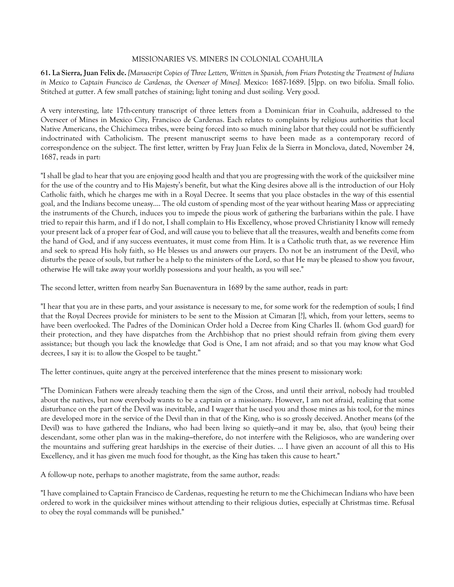## MISSIONARIES VS. MINERS IN COLONIAL COAHUILA

**61. La Sierra, Juan Felix de.** *[Manuscript Copies of Three Letters, Written in Spanish, from Friars Protesting the Treatment of Indians in Mexico to Captain Francisco de Cardenas, the Overseer of Mines].* Mexico: 1687-1689. [5]pp. on two bifolia. Small folio. Stitched at gutter. A few small patches of staining; light toning and dust soiling. Very good.

A very interesting, late 17th-century transcript of three letters from a Dominican friar in Coahuila, addressed to the Overseer of Mines in Mexico City, Francisco de Cardenas. Each relates to complaints by religious authorities that local Native Americans, the Chichimeca tribes, were being forced into so much mining labor that they could not be sufficiently indoctrinated with Catholicism. The present manuscript seems to have been made as a contemporary record of correspondence on the subject. The first letter, written by Fray Juan Felix de la Sierra in Monclova, dated, November 24, 1687, reads in part:

"I shall be glad to hear that you are enjoying good health and that you are progressing with the work of the quicksilver mine for the use of the country and to His Majesty's benefit, but what the King desires above all is the introduction of our Holy Catholic faith, which he charges me with in a Royal Decree. It seems that you place obstacles in the way of this essential goal, and the Indians become uneasy.... The old custom of spending most of the year without hearing Mass or appreciating the instruments of the Church, induces you to impede the pious work of gathering the barbarians within the pale. I have tried to repair this harm, and if I do not, I shall complain to His Excellency, whose proved Christianity I know will remedy your present lack of a proper fear of God, and will cause you to believe that all the treasures, wealth and benefits come from the hand of God, and if any success eventuates, it must come from Him. It is a Catholic truth that, as we reverence Him and seek to spread His holy faith, so He blesses us and answers our prayers. Do not be an instrument of the Devil, who disturbs the peace of souls, but rather be a help to the ministers of the Lord, so that He may be pleased to show you favour, otherwise He will take away your worldly possessions and your health, as you will see."

The second letter, written from nearby San Buenaventura in 1689 by the same author, reads in part:

"I hear that you are in these parts, and your assistance is necessary to me, for some work for the redemption of souls; I find that the Royal Decrees provide for ministers to be sent to the Mission at Cimaran [?], which, from your letters, seems to have been overlooked. The Padres of the Dominican Order hold a Decree from King Charles II. (whom God guard) for their protection, and they have dispatches from the Archbishop that no priest should refrain from giving them every assistance; but though you lack the knowledge that God is One, I am not afraid; and so that you may know what God decrees, I say it is: to allow the Gospel to be taught."

The letter continues, quite angry at the perceived interference that the mines present to missionary work:

"The Dominican Fathers were already teaching them the sign of the Cross, and until their arrival, nobody had troubled about the natives, but now everybody wants to be a captain or a missionary. However, I am not afraid, realizing that some disturbance on the part of the Devil was inevitable, and I wager that he used you and those mines as his tool, for the mines are developed more in the service of the Devil than in that of the King, who is so grossly deceived. Another means (of the Devil) was to have gathered the Indians, who had been living so quietly-and it may be, also, that (you) being their descendant, some other plan was in the making---therefore, do not interfere with the Religiosos, who are wandering over the mountains and suffering great hardships in the exercise of their duties. ... I have given an account of all this to His Excellency, and it has given me much food for thought, as the King has taken this cause to heart."

A follow-up note, perhaps to another magistrate, from the same author, reads:

"I have complained to Captain Francisco de Cardenas, requesting he return to me the Chichimecan Indians who have been ordered to work in the quicksilver mines without attending to their religious duties, especially at Christmas time. Refusal to obey the royal commands will be punished."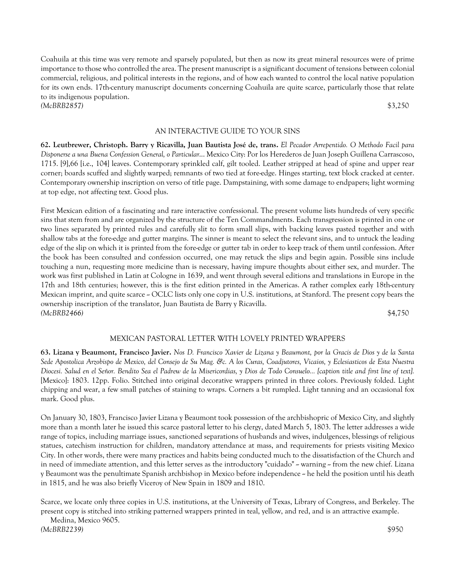Coahuila at this time was very remote and sparsely populated, but then as now its great mineral resources were of prime importance to those who controlled the area. The present manuscript is a significant document of tensions between colonial commercial, religious, and political interests in the regions, and of how each wanted to control the local native population for its own ends. 17th-century manuscript documents concerning Coahuila are quite scarce, particularly those that relate to its indigenous population. *(McBRB2857)* \$3,250

#### AN INTERACTIVE GUIDE TO YOUR SINS

**62. Leutbrewer, Christoph. Barry y Ricavilla, Juan Bautista José de, trans.** *El Pecador Arrepentido. O Methodo Facil para Disponerse a una Buena Confession General, o Particular*... Mexico City: Por los Herederos de Juan Joseph Guillena Carrascoso, 1715. [9],66 [i.e., 104] leaves. Contemporary sprinkled calf, gilt tooled. Leather stripped at head of spine and upper rear corner; boards scuffed and slightly warped; remnants of two tied at fore-edge. Hinges starting, text block cracked at center. Contemporary ownership inscription on verso of title page. Dampstaining, with some damage to endpapers; light worming at top edge, not affecting text. Good plus.

First Mexican edition of a fascinating and rare interactive confessional. The present volume lists hundreds of very specific sins that stem from and are organized by the structure of the Ten Commandments. Each transgression is printed in one or two lines separated by printed rules and carefully slit to form small slips, with backing leaves pasted together and with shallow tabs at the fore-edge and gutter margins. The sinner is meant to select the relevant sins, and to untuck the leading edge of the slip on which it is printed from the fore-edge or gutter tab in order to keep track of them until confession. After the book has been consulted and confession occurred, one may retuck the slips and begin again. Possible sins include touching a nun, requesting more medicine than is necessary, having impure thoughts about either sex, and murder. The work was first published in Latin at Cologne in 1639, and went through several editions and translations in Europe in the 17th and 18th centuries; however, this is the first edition printed in the Americas. A rather complex early 18th-century Mexican imprint, and quite scarce  $\sim$  OCLC lists only one copy in U.S. institutions, at Stanford. The present copy bears the ownership inscription of the translator, Juan Bautista de Barry y Ricavilla. *(McBRB2466)* \$4,750

## MEXICAN PASTORAL LETTER WITH LOVELY PRINTED WRAPPERS

**63. Lizana y Beaumont, Francisco Javier.** *Nos D. Francisco Xavier de Lizana y Beaumont, por la Gracis de Dios y de la Santa Sede Apostolica Arzobispo de Mexico, del Consejo de Su Mag. &c. A los Curas, Coadjutores, Vicaios, y Eclesiasticos de Esta Nuestra Diocesi. Salud en el Señor. Bendito Sea el Padrew de la Misericordias, y Dios de Todo Consuelo... [caption title and first line of text].* [Mexico]: 1803. 12pp. Folio. Stitched into original decorative wrappers printed in three colors. Previously folded. Light chipping and wear, a few small patches of staining to wraps. Corners a bit rumpled. Light tanning and an occasional fox mark. Good plus.

On January 30, 1803, Francisco Javier Lizana y Beaumont took possession of the archbishopric of Mexico City, and slightly more than a month later he issued this scarce pastoral letter to his clergy, dated March 5, 1803. The letter addresses a wide range of topics, including marriage issues, sanctioned separations of husbands and wives, indulgences, blessings of religious statues, catechism instruction for children, mandatory attendance at mass, and requirements for priests visiting Mexico City. In other words, there were many practices and habits being conducted much to the dissatisfaction of the Church and in need of immediate attention, and this letter serves as the introductory "cuidado"  $\sim$  warning  $\sim$  from the new chief. Lizana y Beaumont was the penultimate Spanish archbishop in Mexico before independence -- he held the position until his death in 1815, and he was also briefly Viceroy of New Spain in 1809 and 1810.

Scarce, we locate only three copies in U.S. institutions, at the University of Texas, Library of Congress, and Berkeley. The present copy is stitched into striking patterned wrappers printed in teal, yellow, and red, and is an attractive example.

 Medina, Mexico 9605. *(McBRB2239)* \$950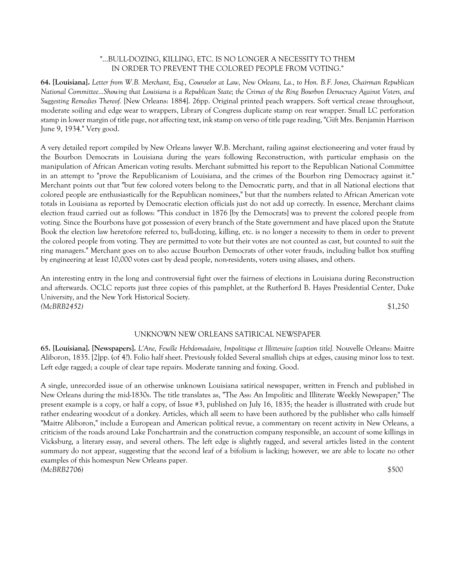## "...BULL-DOZING, KILLING, ETC. IS NO LONGER A NECESSITY TO THEM IN ORDER TO PREVENT THE COLORED PEOPLE FROM VOTING."

**64. [Louisiana].** *Letter from W.B. Merchant, Esq., Counselor at Law, New Orleans, La., to Hon. B.F. Jones, Chairman Republican National Committee...Showing that Louisiana is a Republican State; the Crimes of the Ring Bourbon Democracy Against Voters, and Suggesting Remedies Thereof.* [New Orleans: 1884]. 26pp. Original printed peach wrappers. Soft vertical crease throughout, moderate soiling and edge wear to wrappers, Library of Congress duplicate stamp on rear wrapper. Small LC perforation stamp in lower margin of title page, not affecting text, ink stamp on verso of title page reading, "Gift Mrs. Benjamin Harrison June 9, 1934." Very good.

A very detailed report compiled by New Orleans lawyer W.B. Merchant, railing against electioneering and voter fraud by the Bourbon Democrats in Louisiana during the years following Reconstruction, with particular emphasis on the manipulation of African American voting results. Merchant submitted his report to the Republican National Committee in an attempt to "prove the Republicanism of Louisiana, and the crimes of the Bourbon ring Democracy against it." Merchant points out that "but few colored voters belong to the Democratic party, and that in all National elections that colored people are enthusiastically for the Republican nominees," but that the numbers related to African American vote totals in Louisiana as reported by Democratic election officials just do not add up correctly. In essence, Merchant claims election fraud carried out as follows: "This conduct in 1876 [by the Democrats] was to prevent the colored people from voting. Since the Bourbons have got possession of every branch of the State government and have placed upon the Statute Book the election law heretofore referred to, bull-dozing, killing, etc. is no longer a necessity to them in order to prevent the colored people from voting. They are permitted to vote but their votes are not counted as cast, but counted to suit the ring managers." Merchant goes on to also accuse Bourbon Democrats of other voter frauds, including ballot box stuffing by engineering at least 10,000 votes cast by dead people, non-residents, voters using aliases, and others.

An interesting entry in the long and controversial fight over the fairness of elections in Louisiana during Reconstruction and afterwards. OCLC reports just three copies of this pamphlet, at the Rutherford B. Hayes Presidential Center, Duke University, and the New York Historical Society. *(McBRB2452)* \$1,250

## UNKNOWN NEW ORLEANS SATIRICAL NEWSPAPER

**65. [Louisiana]. [Newspapers].** *L'Ane, Feuille Hebdomadaire, Impolitique et Illitteraire [caption title].* Nouvelle Orleans: Maitre Aliboron, 1835. [2]pp. (of 4?). Folio half sheet. Previously folded Several smallish chips at edges, causing minor loss to text. Left edge ragged; a couple of clear tape repairs. Moderate tanning and foxing. Good.

A single, unrecorded issue of an otherwise unknown Louisiana satirical newspaper, written in French and published in New Orleans during the mid-1830s. The title translates as, "The Ass: An Impolitic and Illiterate Weekly Newspaper;" The present example is a copy, or half a copy, of Issue #3, published on July 16, 1835; the header is illustrated with crude but rather endearing woodcut of a donkey. Articles, which all seem to have been authored by the publisher who calls himself "Maitre Aliboron," include a European and American political revue, a commentary on recent activity in New Orleans, a criticism of the roads around Lake Ponchartrain and the construction company responsible, an account of some killings in Vicksburg, a literary essay, and several others. The left edge is slightly ragged, and several articles listed in the content summary do not appear, suggesting that the second leaf of a bifolium is lacking; however, we are able to locate no other examples of this homespun New Orleans paper. *(McBRB2706)* \$500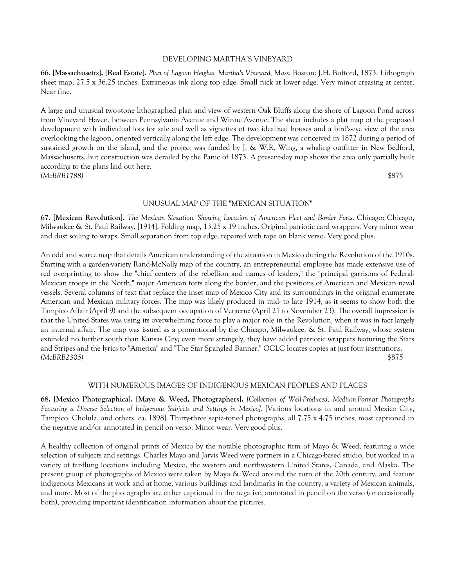#### DEVELOPING MARTHA'S VINEYARD

**66. [Massachusetts]. [Real Estate].** *Plan of Lagoon Heights, Martha's Vineyard, Mass.* Boston: J.H. Bufford, 1873. Lithograph sheet map, 27.5 x 36.25 inches. Extraneous ink along top edge. Small nick at lower edge. Very minor creasing at center. Near fine.

A large and unusual two-stone lithographed plan and view of western Oak Bluffs along the shore of Lagoon Pond across from Vineyard Haven, between Pennsylvania Avenue and Winne Avenue. The sheet includes a plat map of the proposed development with individual lots for sale and well as vignettes of two idealized houses and a bird's-eye view of the area overlooking the lagoon, oriented vertically along the left edge. The development was conceived in 1872 during a period of sustained growth on the island, and the project was funded by J. & W.R. Wing, a whaling outfitter in New Bedford, Massachusetts, but construction was derailed by the Panic of 1873. A present-day map shows the area only partially built according to the plans laid out here. *(McBRB1788)* \$875

## UNUSUAL MAP OF THE "MEXICAN SITUATION"

**67. [Mexican Revolution].** *The Mexican Situation, Showing Location of American Fleet and Border Forts*. Chicago: Chicago, Milwaukee & St. Paul Railway, [1914]. Folding map, 13.25 x 19 inches. Original patriotic card wrappers. Very minor wear and dust soiling to wraps. Small separation from top edge, repaired with tape on blank verso. Very good plus.

An odd and scarce map that details American understanding of the situation in Mexico during the Revolution of the 1910s. Starting with a garden-variety Rand-McNally map of the country, an entrepreneurial employee has made extensive use of red overprinting to show the "chief centers of the rebellion and names of leaders," the "principal garrisons of Federal-Mexican troops in the North," major American forts along the border, and the positions of American and Mexican naval vessels. Several columns of text that replace the inset map of Mexico City and its surroundings in the original enumerate American and Mexican military forces. The map was likely produced in mid- to late 1914, as it seems to show both the Tampico Affair (April 9) and the subsequent occupation of Veracruz (April 21 to November 23). The overall impression is that the United States was using its overwhelming force to play a major role in the Revolution, when it was in fact largely an internal affair. The map was issued as a promotional by the Chicago, Milwaukee, & St. Paul Railway, whose system extended no further south than Kansas City; even more strangely, they have added patriotic wrappers featuring the Stars and Stripes and the lyrics to "America" and "The Star Spangled Banner." OCLC locates copies at just four institutions. *(McBRB2305)* \$875

#### WITH NUMEROUS IMAGES OF INDIGENOUS MEXICAN PEOPLES AND PLACES

**68. [Mexico Photographica]. [Mayo & Weed, Photographers].** *[Collection of Well-Produced, Medium-Format Photographs Featuring a Diverse Selection of Indigenous Subjects and Settings in Mexico].* [Various locations in and around Mexico City, Tampico, Cholula, and others: ca. 1898]. Thirty-three sepia-toned photographs, all 7.75 x 4.75 inches, most captioned in the negative and/or annotated in pencil on verso. Minor wear. Very good plus.

A healthy collection of original prints of Mexico by the notable photographic firm of Mayo & Weed, featuring a wide selection of subjects and settings. Charles Mayo and Jarvis Weed were partners in a Chicago-based studio, but worked in a variety of far-flung locations including Mexico, the western and northwestern United States, Canada, and Alaska. The present group of photographs of Mexico were taken by Mayo & Weed around the turn of the 20th century, and feature indigenous Mexicans at work and at home, various buildings and landmarks in the country, a variety of Mexican animals, and more. Most of the photographs are either captioned in the negative, annotated in pencil on the verso (or occasionally both), providing important identification information about the pictures.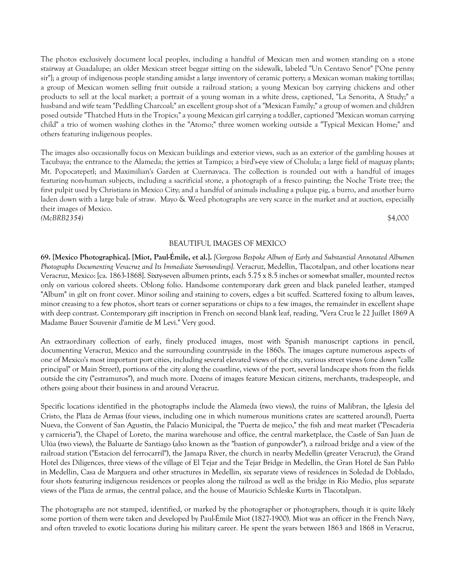The photos exclusively document local peoples, including a handful of Mexican men and women standing on a stone stairway at Guadalupe; an older Mexican street beggar sitting on the sidewalk, labeled "Un Centavo Senor" ["One penny sir"]; a group of indigenous people standing amidst a large inventory of ceramic pottery; a Mexican woman making tortillas; a group of Mexican women selling fruit outside a railroad station; a young Mexican boy carrying chickens and other products to sell at the local market; a portrait of a young woman in a white dress, captioned, "La Senorita, A Study;" a husband and wife team "Peddling Charcoal;" an excellent group shot of a "Mexican Family;" a group of women and children posed outside "Thatched Huts in the Tropics;" a young Mexican girl carrying a toddler, captioned "Mexican woman carrying child" a trio of women washing clothes in the "Atomo;" three women working outside a "Typical Mexican Home;" and others featuring indigenous peoples.

The images also occasionally focus on Mexican buildings and exterior views, such as an exterior of the gambling houses at Tacubaya; the entrance to the Alameda; the jetties at Tampico; a bird's-eye view of Cholula; a large field of maguay plants; Mt. Popocatepetl; and Maximilian's Garden at Cuernavaca. The collection is rounded out with a handful of images featuring non-human subjects, including a sacrificial stone, a photograph of a fresco painting; the Noche Triste tree; the first pulpit used by Christians in Mexico City; and a handful of animals including a pulque pig, a burro, and another burro laden down with a large bale of straw. Mayo & Weed photographs are very scarce in the market and at auction, especially their images of Mexico. *(McBRB2354)* \$4,000

## BEAUTIFUL IMAGES OF MEXICO

**69. [Mexico Photographica]. [Miot, Paul-Émile, et al.].** *[Gorgeous Bespoke Album of Early and Substantial Annotated Albumen Photographs Documenting Veracruz and Its Immediate Surroundings].* Veracruz, Medellin, Tlacotalpan, and other locations near Veracruz, Mexico: [ca. 1863-1868]. Sixty-seven albumen prints, each 5.75 x 8.5 inches or somewhat smaller, mounted rectos only on various colored sheets. Oblong folio. Handsome contemporary dark green and black paneled leather, stamped "Album" in gilt on front cover. Minor soiling and staining to covers, edges a bit scuffed. Scattered foxing to album leaves, minor creasing to a few photos, short tears or corner separations or chips to a few images, the remainder in excellent shape with deep contrast. Contemporary gift inscription in French on second blank leaf, reading, "Vera Cruz le 22 Juillet 1869 A Madame Bauer Souvenir d'amitie de M Levi." Very good.

An extraordinary collection of early, finely produced images, most with Spanish manuscript captions in pencil, documenting Veracruz, Mexico and the surrounding countryside in the 1860s. The images capture numerous aspects of one of Mexico's most important port cities, including several elevated views of the city, various street views (one down "calle principal" or Main Street), portions of the city along the coastline, views of the port, several landscape shots from the fields outside the city ("estramuros"), and much more. Dozens of images feature Mexican citizens, merchants, tradespeople, and others going about their business in and around Veracruz.

Specific locations identified in the photographs include the Alameda (two views), the ruins of Malibran, the Iglesia del Cristo, the Plaza de Armas (four views, including one in which numerous munitions crates are scattered around), Puerta Nueva, the Convent of San Agustín, the Palacio Municipal, the "Puerta de mejico," the fish and meat market ("Pescaderia y carniceria"), the Chapel of Loreto, the marina warehouse and office, the central marketplace, the Castle of San Juan de Ulúa (two views), the Baluarte de Santiago (also known as the "bastion of gunpowder"), a railroad bridge and a view of the railroad station ("Estacion del ferrocarril"), the Jamapa River, the church in nearby Medellin (greater Veracruz), the Grand Hotel des Diligences, three views of the village of El Tejar and the Tejar Bridge in Medellin, the Gran Hotel de San Pablo in Medellin, Casa de Marguera and other structures in Medellin, six separate views of residences in Soledad de Doblado, four shots featuring indigenous residences or peoples along the railroad as well as the bridge in Rio Medio, plus separate views of the Plaza de armas, the central palace, and the house of Mauricio Schleske Kurts in Tlacotalpan.

The photographs are not stamped, identified, or marked by the photographer or photographers, though it is quite likely some portion of them were taken and developed by Paul-Émile Miot (1827-1900). Miot was an officer in the French Navy, and often traveled to exotic locations during his military career. He spent the years between 1863 and 1868 in Veracruz,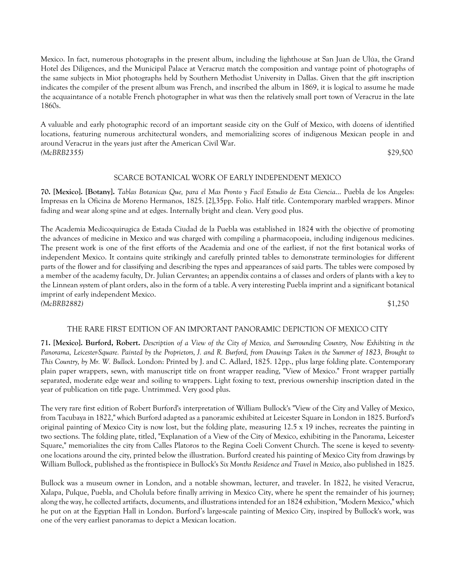Mexico. In fact, numerous photographs in the present album, including the lighthouse at San Juan de Ulúa, the Grand Hotel des Diligences, and the Municipal Palace at Veracruz match the composition and vantage point of photographs of the same subjects in Miot photographs held by Southern Methodist University in Dallas. Given that the gift inscription indicates the compiler of the present album was French, and inscribed the album in 1869, it is logical to assume he made the acquaintance of a notable French photographer in what was then the relatively small port town of Veracruz in the late 1860s.

A valuable and early photographic record of an important seaside city on the Gulf of Mexico, with dozens of identified locations, featuring numerous architectural wonders, and memorializing scores of indigenous Mexican people in and around Veracruz in the years just after the American Civil War. *(McBRB2355)* \$29,500

# SCARCE BOTANICAL WORK OF EARLY INDEPENDENT MEXICO

**70. [Mexico]. [Botany].** *Tablas Botanicas Que, para el Mas Pronto y Facil Estudio de Esta Ciencia*... Puebla de los Angeles: Impresas en la Oficina de Moreno Hermanos, 1825. [2],35pp. Folio. Half title. Contemporary marbled wrappers. Minor fading and wear along spine and at edges. Internally bright and clean. Very good plus.

The Academia Medicoquirugica de Estada Ciudad de la Puebla was established in 1824 with the objective of promoting the advances of medicine in Mexico and was charged with compiling a pharmacopoeia, including indigenous medicines. The present work is one of the first efforts of the Academia and one of the earliest, if not the first botanical works of independent Mexico. It contains quite strikingly and carefully printed tables to demonstrate terminologies for different parts of the flower and for classifying and describing the types and appearances of said parts. The tables were composed by a member of the academy faculty, Dr. Julian Cervantes; an appendix contains a of classes and orders of plants with a key to the Linnean system of plant orders, also in the form of a table. A very interesting Puebla imprint and a significant botanical imprint of early independent Mexico. *(McBRB2882)* \$1,250

## THE RARE FIRST EDITION OF AN IMPORTANT PANORAMIC DEPICTION OF MEXICO CITY

**71. [Mexico]. Burford, Robert.** *Description of a View of the City of Mexico, and Surrounding Country, Now Exhibiting in the Panorama, Leicester-Square. Painted by the Proprietors, J. and R. Burford, from Drawings Taken in the Summer of 1823, Brought to This Country, by Mr. W. Bullock*. London: Printed by J. and C. Adlard, 1825. 12pp., plus large folding plate. Contemporary plain paper wrappers, sewn, with manuscript title on front wrapper reading, "View of Mexico." Front wrapper partially separated, moderate edge wear and soiling to wrappers. Light foxing to text, previous ownership inscription dated in the year of publication on title page. Untrimmed. Very good plus.

The very rare first edition of Robert Burford's interpretation of William Bullock's "View of the City and Valley of Mexico, from Tacubaya in 1822," which Burford adapted as a panoramic exhibited at Leicester Square in London in 1825. Burford's original painting of Mexico City is now lost, but the folding plate, measuring 12.5 x 19 inches, recreates the painting in two sections. The folding plate, titled, "Explanation of a View of the City of Mexico, exhibiting in the Panorama, Leicester Square," memorializes the city from Calles Platoros to the Regina Coeli Convent Church. The scene is keyed to seventyone locations around the city, printed below the illustration. Burford created his painting of Mexico City from drawings by William Bullock, published as the frontispiece in Bullock's *Six Months Residence and Travel in Mexico*, also published in 1825.

Bullock was a museum owner in London, and a notable showman, lecturer, and traveler. In 1822, he visited Veracruz, Xalapa, Pulque, Puebla, and Cholula before finally arriving in Mexico City, where he spent the remainder of his journey; along the way, he collected artifacts, documents, and illustrations intended for an 1824 exhibition, "Modern Mexico," which he put on at the Egyptian Hall in London. Burford's large-scale painting of Mexico City, inspired by Bullock's work, was one of the very earliest panoramas to depict a Mexican location.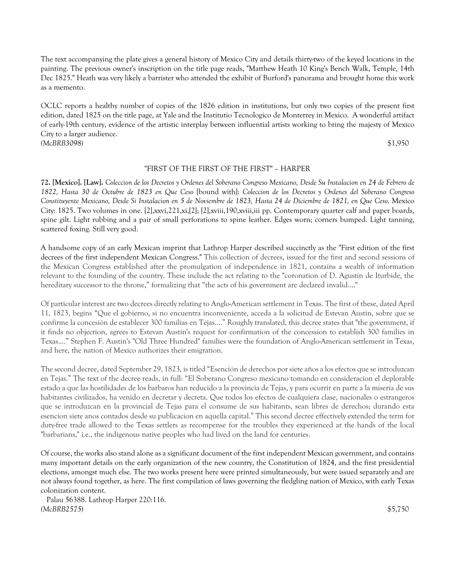The text accompanying the plate gives a general history of Mexico City and details thirty-two of the keyed locations in the painting. The previous owner's inscription on the title page reads, "Matthew Heath 10 King's Bench Walk, Temple, 14th Dec 1825." Heath was very likely a barrister who attended the exhibit of Burford's panorama and brought home this work as a memento.

OCLC reports a healthy number of copies of the 1826 edition in institutions, but only two copies of the present first edition, dated 1825 on the title page, at Yale and the Institutio Tecnologico de Monterrey in Mexico. A wonderful artifact of early-19th century, evidence of the artistic interplay between influential artists working to bring the majesty of Mexico City to a larger audience. *(McBRB3098)* \$1,950

## "FIRST OF THE FIRST OF THE FIRST" – HARPER

**72. [Mexico]. [Law].** *Coleccion de los Decretos y Ordenes del Soberano Congreso Mexicano, Desde Su Instalacion en 24 de Febrero de 1822, Hasta 30 de Octubre de 1823 en Que Ceso* [bound with]: *Coleccion de los Decretos y Ordenes del Soberano Congreso Constituyente Mexicano, Desde Si Instalacion en 5 de Noviembre de 1823, Hasta 24 de Diciembre de 1821, en Que Ceso*. Mexico City: 1825. Two volumes in one. [2],xxvi,221,xi,[2]; [2],xviii,190,xviii,iii pp. Contemporary quarter calf and paper boards, spine gilt. Light rubbing and a pair of small perforations to spine leather. Edges worn; corners bumped. Light tanning, scattered foxing. Still very good.

A handsome copy of an early Mexican imprint that Lathrop Harper described succinctly as the "First edition of the first decrees of the first independent Mexican Congress." This collection of decrees, issued for the first and second sessions of the Mexican Congress established after the promulgation of independence in 1821, contains a wealth of information relevant to the founding of the country. These include the act relating to the "coronation of D. Agustín de Iturbide, the hereditary successor to the throne," formalizing that "the acts of his government are declared invalid...."

Of particular interest are two decrees directly relating to Anglo-American settlement in Texas. The first of these, dated April 11, 1823, begins "Que el gobierno, si no encuentra inconveniente, acceda a la solicitud de Estevan Austin, sobre que se confirme la concesión de establecer 300 familias en Tejas...." Roughly translated, this decree states that "the government, if it finds no objection, agrees to Estevan Austin's request for confirmation of the concession to establish 300 families in Texas...." Stephen F. Austin's "Old Three Hundred" families were the foundation of Anglo-American settlement in Texas, and here, the nation of Mexico authorizes their emigration.

The second decree, dated September 29, 1823, is titled "Esención de derechos por siete años a los efectos que se introduzcan en Tejas." The text of the decree reads, in full: "El Soberano Congreso mexicano tomando en consideracion el deplorable estado a que las hostilidades de los barbaros han reducido a la provincia de Tejas, y para ocurrir en parte a la miseria de sus habitantes civilizados, ha venido en decretar y decreta. Que todos los efectos de cualquiera clase, nacionales o estrangeros que se introduzcan en la provincial de Tejas para el consume de sus habitants, sean libres de derechos; durando esta esencion siete anos contados desde su publicacion en aquella capital." This second decree effectively extended the term for duty-free trade allowed to the Texas settlers as recompense for the troubles they experienced at the hands of the local "barbarians," i.e., the indigenous native peoples who had lived on the land for centuries.

Of course, the works also stand alone as a significant document of the first independent Mexican government, and contains many important details on the early organization of the new country, the Constitution of 1824, and the first presidential elections, amongst much else. The two works present here were printed simultaneously, but were issued separately and are not always found together, as here. The first compilation of laws governing the fledgling nation of Mexico, with early Texas colonization content.

 Palau 56388. Lathrop Harper 220:116. *(McBRB2575)* \$5,750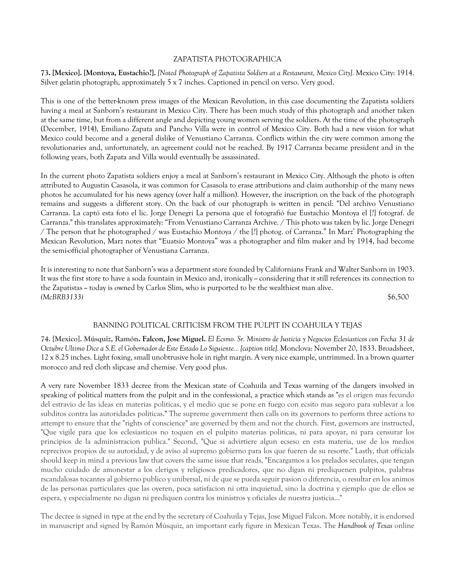## ZAPATISTA PHOTOGRAPHICA

**73. [Mexico]. [Montoya, Eustachio?].** *[Noted Photograph of Zapatista Soldiers at a Restaurant, Mexico City].* Mexico City: 1914. Silver gelatin photograph, approximately 5 x 7 inches. Captioned in pencil on verso. Very good.

This is one of the better-known press images of the Mexican Revolution, in this case documenting the Zapatista soldiers having a meal at Sanborn's restaurant in Mexico City. There has been much study of this photograph and another taken at the same time, but from a different angle and depicting young women serving the soldiers. At the time of the photograph (December, 1914), Emiliano Zapata and Pancho Villa were in control of Mexico City. Both had a new vision for what Mexico could become and a general dislike of Venustiano Carranza. Conflicts within the city were common among the revolutionaries and, unfortunately, an agreement could not be reached. By 1917 Carranza became president and in the following years, both Zapata and Villa would eventually be assassinated.

In the current photo Zapatista soldiers enjoy a meal at Sanborn's restaurant in Mexico City. Although the photo is often attributed to Augustin Casasola, it was common for Casasola to erase attributions and claim authorship of the many news photos he accumulated for his news agency (over half a million). However, the inscription on the back of the photograph remains and suggests a different story. On the back of our photograph is written in pencil: "Del archivo Venustiano Carranza. La captó esta foto el lic. Jorge Denegri La persona que el fotografió fue Eustachio Montoya el [?] fotograf. de Carranza." this translates approximately: "From Venustiano Carranza Archive. / This photo was taken by lic. Jorge Denegri / The person that he photographed / was Eustachio Montoya / the [?] photog. of Carranza." In Marz' Photographing the Mexican Revolution, Marz notes that "Euatsio Montoya" was a photographer and film maker and by 1914, had become the semi-official photographer of Venustiana Carranza.

It is interesting to note that Sanborn's was a department store founded by Californians Frank and Walter Sanborn in 1903. It was the first store to have a soda fountain in Mexico and, ironically - considering that it still references its connection to the Zapatistas -- today is owned by Carlos Slim, who is purported to be the wealthiest man alive. *(McBRB3133)* \$6,500

## BANNING POLITICAL CRITICISM FROM THE PULPIT IN COAHUILA Y TEJAS

**74. [Mexico]. Músquiz, Ramón. Falcon, Jose Miguel.** *El Ecsmo. Sr. Ministro de Justicia y Negocios Eclesiasticos con Fecha 31 de Octubre Ultimo Dice a S.E. el Gobernador de Este Estado Lo Siguiente... [caption title].* Monclova: November 20, 1833. Broadsheet, 12 x 8.25 inches. Light foxing, small unobtrusive hole in right margin. A very nice example, untrimmed. In a brown quarter morocco and red cloth slipcase and chemise. Very good plus.

A very rare November 1833 decree from the Mexican state of Coahuila and Texas warning of the dangers involved in speaking of political matters from the pulpit and in the confessional, a practice which stands as "es el origen mas fecundo del estravio de las ideas en materias politicas, y el medio que se pone en fuego con ecsito mas segoro para sublevar a los subditos contra las autoridades politicas." The supreme government then calls on its governors to perform three actions to attempt to ensure that the "rights of conscience" are governed by them and not the church. First, governors are instructed, "Que vigile para que los eclesiasticos no toquen en el pulpito materias politicas, ni para apoyar, ni para censurar los principios de la administracion publica." Second, "Que si advirtiere algun ecseso en esta materia, use de los medios reprecivos propios de su autoridad, y de aviso al supremo gobierno para los que fueren de su resorte." Lastly, that officials should keep in mind a previous law that covers the same issue that reads, "Encargamos a los prelados seculares, que tengan mucho cuidado de amonestar a los clerigos y religiosos predicadores, que no digan ni prediquenen pulpitos, palabras rscandalosas tocantes al gobierno publico y unibersal, ni de que se pueda seguir pasion o diferencia, o resultar en los animos de las personas particulares que las oyeren, poca satisfacion ni otta inquietud, sino la doctrina y ejemplo que de ellos se espera, y especialmente no digan ni prediquen contra los ministros y oficiales de nuestra justicia..."

The decree is signed in type at the end by the secretary of Coahuila y Tejas, Jose Miguel Falcon. More notably, it is endorsed in manuscript and signed by Ramón Músquiz, an important early figure in Mexican Texas. The *Handbook of Texas* online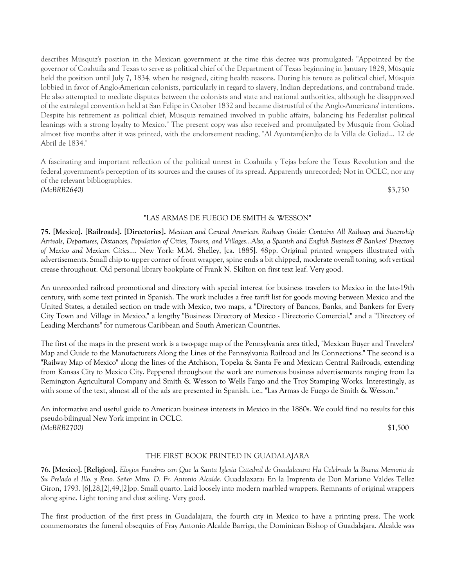describes Músquiz's position in the Mexican government at the time this decree was promulgated: "Appointed by the governor of Coahuila and Texas to serve as political chief of the Department of Texas beginning in January 1828, Músquiz held the position until July 7, 1834, when he resigned, citing health reasons. During his tenure as political chief, Músquiz lobbied in favor of Anglo-American colonists, particularly in regard to slavery, Indian depredations, and contraband trade. He also attempted to mediate disputes between the colonists and state and national authorities, although he disapproved of the extralegal convention held at San Felipe in October 1832 and became distrustful of the Anglo-Americans' intentions. Despite his retirement as political chief, Músquiz remained involved in public affairs, balancing his Federalist political leanings with a strong loyalty to Mexico." The present copy was also received and promulgated by Musquiz from Goliad almost five months after it was printed, with the endorsement reading, "Al Ayuntam[ien]to de la Villa de Goliad... 12 de Abril de 1834."

A fascinating and important reflection of the political unrest in Coahuila y Tejas before the Texas Revolution and the federal government's perception of its sources and the causes of its spread. Apparently unrecorded; Not in OCLC, nor any of the relevant bibliographies. *(McBRB2640)* \$3,750

## "LAS ARMAS DE FUEGO DE SMITH & WESSON"

**75. [Mexico]. [Railroads]. [Directories].** *Mexican and Central American Railway Guide: Contains All Railway and Steamship Arrivals, Departures, Distances, Population of Cities, Towns, and Villages...Also, a Spanish and English Business & Bankers' Directory of Mexico and Mexican Cities*.... New York: M.M. Shelley, [ca. 1885]. 48pp. Original printed wrappers illustrated with advertisements. Small chip to upper corner of front wrapper, spine ends a bit chipped, moderate overall toning, soft vertical crease throughout. Old personal library bookplate of Frank N. Skilton on first text leaf. Very good.

An unrecorded railroad promotional and directory with special interest for business travelers to Mexico in the late-19th century, with some text printed in Spanish. The work includes a free tariff list for goods moving between Mexico and the United States, a detailed section on trade with Mexico, two maps, a "Directory of Bancos, Banks, and Bankers for Every City Town and Village in Mexico," a lengthy "Business Directory of Mexico - Directorio Comercial," and a "Directory of Leading Merchants" for numerous Caribbean and South American Countries.

The first of the maps in the present work is a two-page map of the Pennsylvania area titled, "Mexican Buyer and Travelers' Map and Guide to the Manufacturers Along the Lines of the Pennsylvania Railroad and Its Connections." The second is a "Railway Map of Mexico" along the lines of the Atchison, Topeka & Santa Fe and Mexican Central Railroads, extending from Kansas City to Mexico City. Peppered throughout the work are numerous business advertisements ranging from La Remington Agricultural Company and Smith & Wesson to Wells Fargo and the Troy Stamping Works. Interestingly, as with some of the text, almost all of the ads are presented in Spanish. i.e., "Las Armas de Fuego de Smith & Wesson."

An informative and useful guide to American business interests in Mexico in the 1880s. We could find no results for this pseudo-bilingual New York imprint in OCLC. *(McBRB2700)* \$1,500

## THE FIRST BOOK PRINTED IN GUADALAJARA

**76. [Mexico]. [Religion].** *Elogios Funebres con Que la Santa Iglesia Catedral de Guadalaxara Ha Celebrado la Buena Memoria de Su Prelado el Illo. y Rmo. Señor Mtro. D. Fr. Antonio Alcalde.* Guadalaxara: En la Imprenta de Don Mariano Valdes Tellez Giron, 1793. [6],28,[2],49,[2]pp. Small quarto. Laid loosely into modern marbled wrappers. Remnants of original wrappers along spine. Light toning and dust soiling. Very good.

The first production of the first press in Guadalajara, the fourth city in Mexico to have a printing press. The work commemorates the funeral obsequies of Fray Antonio Alcalde Barriga, the Dominican Bishop of Guadalajara. Alcalde was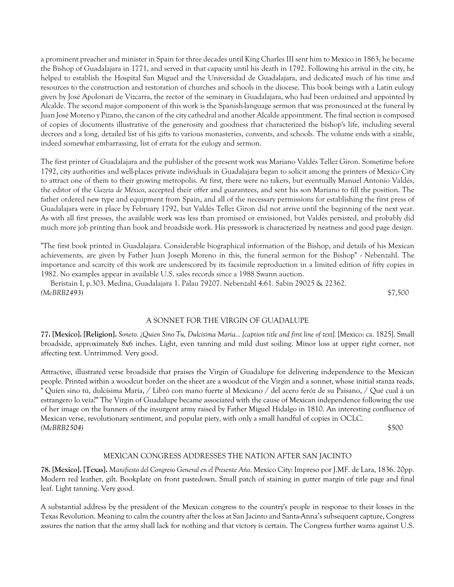a prominent preacher and minister in Spain for three decades until King Charles III sent him to Mexico in 1863; he became the Bishop of Guadalajara in 1771, and served in that capacity until his death in 1792. Following his arrival in the city, he helped to establish the Hospital San Miguel and the Universidad de Guadalajara, and dedicated much of his time and resources to the construction and restoration of churches and schools in the diocese. This book beings with a Latin eulogy given by José Apolonari de Vizcarra, the rector of the seminary in Guadalajara, who had been ordained and appointed by Alcalde. The second major component of this work is the Spanish-language sermon that was pronounced at the funeral by Juan José Moreno y Pizano, the canon of the city cathedral and another Alcalde appointment. The final section is composed of copies of documents illustrative of the generosity and goodness that characterized the bishop's life, including several decrees and a long, detailed list of his gifts to various monasteries, convents, and schools. The volume ends with a sizable, indeed somewhat embarrassing, list of errata for the eulogy and sermon.

The first printer of Guadalajara and the publisher of the present work was Mariano Valdés Tellez Giron. Sometime before 1792, city authorities and well-places private individuals in Guadalajara began to solicit among the printers of Mexico City to attract one of them to their growing metropolis. At first, there were no takers, but eventually Manuel Antonio Valdés, the editor of the *Gazeta de México*, accepted their offer and guarantees, and sent his son Mariano to fill the position. The father ordered new type and equipment from Spain, and all of the necessary permissions for establishing the first press of Guadalajara were in place by February 1792, but Valdés Tellez Giron did not arrive until the beginning of the next year. As with all first presses, the available work was less than promised or envisioned, but Valdés persisted, and probably did much more job printing than book and broadside work. His presswork is characterized by neatness and good page design.

"The first book printed in Guadalajara. Considerable biographical information of the Bishop, and details of his Mexican achievements, are given by Father Juan Joseph Moreno in this, the funeral sermon for the Bishop" - Nebenzahl. The importance and scarcity of this work are underscored by its facsimile reproduction in a limited edition of fifty copies in 1982. No examples appear in available U.S. sales records since a 1988 Swann auction.

 Beristain I, p.303. Medina, Guadalajara 1. Palau 79207. Nebenzahl 4:61. Sabin 29025 & 22362. *(McBRB2493)* \$7,500

## A SONNET FOR THE VIRGIN OF GUADALUPE

**77. [Mexico]. [Religion].** *Soneto. ¿Quien Sino Tu, Dulcisima Maria... [caption title and first line of text].* [Mexico: ca. 1825]. Small broadside, approximately 8x6 inches. Light, even tanning and mild dust soiling. Minor loss at upper right corner, not affecting text. Untrimmed. Very good.

Attractive, illustrated verse broadside that praises the Virgin of Guadalupe for delivering independence to the Mexican people. Printed within a woodcut border on the sheet are a woodcut of the Virgin and a sonnet, whose initial stanza reads, " Quíen sino tú, dulcísima María, / Libró con mano fuerte al Mexícano / del acero feróz de su Paisano, / Qué cual á un estrangero lo veía?" The Virgin of Guadalupe became associated with the cause of Mexican independence following the use of her image on the banners of the insurgent army raised by Father Miguel Hidalgo in 1810. An interesting confluence of Mexican verse, revolutionary sentiment, and popular piety, with only a small handful of copies in OCLC. *(McBRB2504)* \$500

## MEXICAN CONGRESS ADDRESSES THE NATION AFTER SAN JACINTO

**78. [Mexico]. [Texas].** *Manifiesto del Congreso General en el Presente Año*. Mexico City: Impreso por J.MF. de Lara, 1836. 20pp. Modern red leather, gilt. Bookplate on front pastedown. Small patch of staining in gutter margin of title page and final leaf. Light tanning. Very good.

A substantial address by the president of the Mexican congress to the country's people in response to their losses in the Texas Revolution. Meaning to calm the country after the loss at San Jacinto and Santa-Anna's subsequent capture, Congress assures the nation that the army shall lack for nothing and that victory is certain. The Congress further warns against U.S.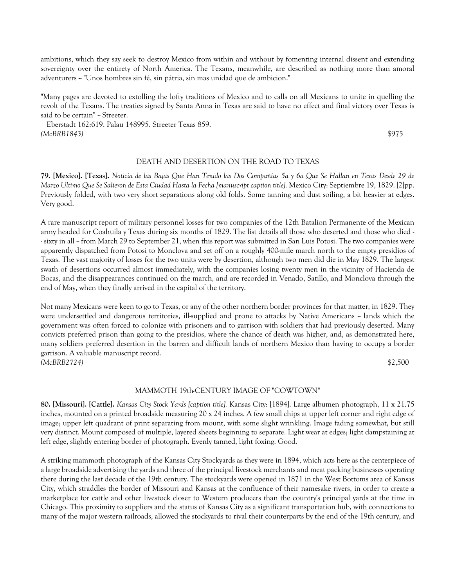ambitions, which they say seek to destroy Mexico from within and without by fomenting internal dissent and extending sovereignty over the entirety of North America. The Texans, meanwhile, are described as nothing more than amoral adventurers -- "Unos hombres sin fé, sin pátria, sin mas unidad que de ambicion."

"Many pages are devoted to extolling the lofty traditions of Mexico and to calls on all Mexicans to unite in quelling the revolt of the Texans. The treaties signed by Santa Anna in Texas are said to have no effect and final victory over Texas is said to be certain" - Streeter.

 Eberstadt 162:619. Palau 148995. Streeter Texas 859. *(McBRB1843)* \$975

## DEATH AND DESERTION ON THE ROAD TO TEXAS

**79. [Mexico]. [Texas].** *Noticia de las Bajas Que Han Tenido las Dos Compañías 5a y 6a Que Se Hallan en Texas Desde 29 de Marzo Ultimo Que Se Salieron de Esta Ciudad Hasta la Fecha [manuscript caption title].* Mexico City: Septiembre 19, 1829. [2]pp. Previously folded, with two very short separations along old folds. Some tanning and dust soiling, a bit heavier at edges. Very good.

A rare manuscript report of military personnel losses for two companies of the 12th Batalion Permanente of the Mexican army headed for Coahuila y Texas during six months of 1829. The list details all those who deserted and those who died - - sixty in all - from March 29 to September 21, when this report was submitted in San Luis Potosi. The two companies were apparently dispatched from Potosi to Monclova and set off on a roughly 400-mile march north to the empty presidios of Texas. The vast majority of losses for the two units were by desertion, although two men did die in May 1829. The largest swath of desertions occurred almost immediately, with the companies losing twenty men in the vicinity of Hacienda de Bocas, and the disappearances continued on the march, and are recorded in Venado, Satillo, and Monclova through the end of May, when they finally arrived in the capital of the territory.

Not many Mexicans were keen to go to Texas, or any of the other northern border provinces for that matter, in 1829. They were undersettled and dangerous territories, ill-supplied and prone to attacks by Native Americans -- lands which the government was often forced to colonize with prisoners and to garrison with soldiers that had previously deserted. Many convicts preferred prison than going to the presidios, where the chance of death was higher, and, as demonstrated here, many soldiers preferred desertion in the barren and difficult lands of northern Mexico than having to occupy a border garrison. A valuable manuscript record. *(McBRB2724)* \$2,500

## MAMMOTH 19th-CENTURY IMAGE OF "COWTOWN"

**80. [Missouri]. [Cattle].** *Kansas City Stock Yards [caption title].* Kansas City: [1894]. Large albumen photograph, 11 x 21.75 inches, mounted on a printed broadside measuring 20 x 24 inches. A few small chips at upper left corner and right edge of image; upper left quadrant of print separating from mount, with some slight wrinkling. Image fading somewhat, but still very distinct. Mount composed of multiple, layered sheets beginning to separate. Light wear at edges; light dampstaining at left edge, slightly entering border of photograph. Evenly tanned, light foxing. Good.

A striking mammoth photograph of the Kansas City Stockyards as they were in 1894, which acts here as the centerpiece of a large broadside advertising the yards and three of the principal livestock merchants and meat packing businesses operating there during the last decade of the 19th century. The stockyards were opened in 1871 in the West Bottoms area of Kansas City, which straddles the border of Missouri and Kansas at the confluence of their namesake rivers, in order to create a marketplace for cattle and other livestock closer to Western producers than the country's principal yards at the time in Chicago. This proximity to suppliers and the status of Kansas City as a significant transportation hub, with connections to many of the major western railroads, allowed the stockyards to rival their counterparts by the end of the 19th century, and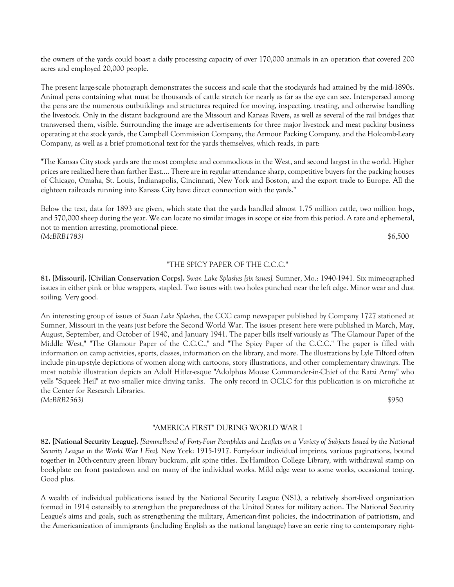the owners of the yards could boast a daily processing capacity of over 170,000 animals in an operation that covered 200 acres and employed 20,000 people.

The present large-scale photograph demonstrates the success and scale that the stockyards had attained by the mid-1890s. Animal pens containing what must be thousands of cattle stretch for nearly as far as the eye can see. Interspersed among the pens are the numerous outbuildings and structures required for moving, inspecting, treating, and otherwise handling the livestock. Only in the distant background are the Missouri and Kansas Rivers, as well as several of the rail bridges that transversed them, visible. Surrounding the image are advertisements for three major livestock and meat packing business operating at the stock yards, the Campbell Commission Company, the Armour Packing Company, and the Holcomb-Leary Company, as well as a brief promotional text for the yards themselves, which reads, in part:

"The Kansas City stock yards are the most complete and commodious in the West, and second largest in the world. Higher prices are realized here than farther East.... There are in regular attendance sharp, competitive buyers for the packing houses of Chicago, Omaha, St. Louis, Indianapolis, Cincinnati, New York and Boston, and the export trade to Europe. All the eighteen railroads running into Kansas City have direct connection with the yards."

Below the text, data for 1893 are given, which state that the yards handled almost 1.75 million cattle, two million hogs, and 570,000 sheep during the year. We can locate no similar images in scope or size from this period. A rare and ephemeral, not to mention arresting, promotional piece. *(McBRB1783)* \$6,500

## "THE SPICY PAPER OF THE C.C.C."

**81. [Missouri]. [Civilian Conservation Corps].** *Swan Lake Splashes [six issues].* Sumner, Mo.: 1940-1941. Six mimeographed issues in either pink or blue wrappers, stapled. Two issues with two holes punched near the left edge. Minor wear and dust soiling. Very good.

An interesting group of issues of *Swan Lake Splashes*, the CCC camp newspaper published by Company 1727 stationed at Sumner, Missouri in the years just before the Second World War. The issues present here were published in March, May, August, September, and October of 1940, and January 1941. The paper bills itself variously as "The Glamour Paper of the Middle West," "The Glamour Paper of the C.C.C.," and "The Spicy Paper of the C.C.C." The paper is filled with information on camp activities, sports, classes, information on the library, and more. The illustrations by Lyle Tilford often include pin-up-style depictions of women along with cartoons, story illustrations, and other complementary drawings. The most notable illustration depicts an Adolf Hitler-esque "Adolphus Mouse Commander-in-Chief of the Ratzi Army" who yells "Squeek Heil" at two smaller mice driving tanks. The only record in OCLC for this publication is on microfiche at the Center for Research Libraries. *(McBRB2563)* \$950

## "AMERICA FIRST" DURING WORLD WAR I

**82. [National Security League].** *[Sammelband of Forty-Four Pamphlets and Leaflets on a Variety of Subjects Issued by the National Security League in the World War I Era].* New York: 1915-1917. Forty-four individual imprints, various paginations, bound together in 20th-century green library buckram, gilt spine titles. Ex-Hamilton College Library, with withdrawal stamp on bookplate on front pastedown and on many of the individual works. Mild edge wear to some works, occasional toning. Good plus.

A wealth of individual publications issued by the National Security League (NSL), a relatively short-lived organization formed in 1914 ostensibly to strengthen the preparedness of the United States for military action. The National Security League's aims and goals, such as strengthening the military, American-first policies, the indoctrination of patriotism, and the Americanization of immigrants (including English as the national language) have an eerie ring to contemporary right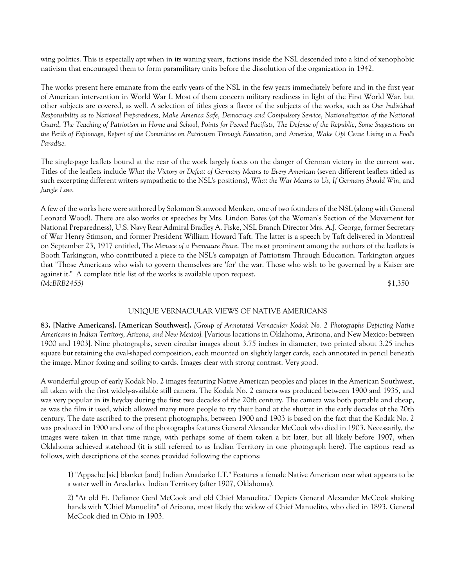wing politics. This is especially apt when in its waning years, factions inside the NSL descended into a kind of xenophobic nativism that encouraged them to form paramilitary units before the dissolution of the organization in 1942.

The works present here emanate from the early years of the NSL in the few years immediately before and in the first year of American intervention in World War I. Most of them concern military readiness in light of the First World War, but other subjects are covered, as well. A selection of titles gives a flavor of the subjects of the works, such as *Our Individual Responsibility as to National Preparedness*, *Make America Safe*, *Democracy and Compulsory Service*, *Nationalization of the National Guard*, *The Teaching of Patriotism in Home and School*, *Points for Peeved Pacifists*, *The Defense of the Republic*, *Some Suggestions on the Perils of Espionage*, *Report of the Committee on Patriotism Through Education*, and *America, Wake Up! Cease Living in a Fool's Paradise*.

The single-page leaflets bound at the rear of the work largely focus on the danger of German victory in the current war. Titles of the leaflets include What the Victory or Defeat of Germany Means to Every American (seven different leaflets titled as such excerpting different writers sympathetic to the NSL's positions), *What the War Means to Us*, *If Germany Should Win*, and *Jungle Law*.

A few of the works here were authored by Solomon Stanwood Menken, one of two founders of the NSL (along with General Leonard Wood). There are also works or speeches by Mrs. Lindon Bates (of the Woman's Section of the Movement for National Preparedness), U.S. Navy Rear Admiral Bradley A. Fiske, NSL Branch Director Mrs. A.J. George, former Secretary of War Henry Stimson, and former President William Howard Taft. The latter is a speech by Taft delivered in Montreal on September 23, 1917 entitled, *The Menace of a Premature Peace*. The most prominent among the authors of the leaflets is Booth Tarkington, who contributed a piece to the NSL's campaign of Patriotism Through Education. Tarkington argues that "Those Americans who wish to govern themselves are 'for' the war. Those who wish to be governed by a Kaiser are against it." A complete title list of the works is available upon request. *(McBRB2455)* \$1,350

#### UNIQUE VERNACULAR VIEWS OF NATIVE AMERICANS

**83. [Native Americans]. [American Southwest].** *[Group of Annotated Vernacular Kodak No. 2 Photographs Depicting Native Americans in Indian Territory, Arizona, and New Mexico].* [Various locations in Oklahoma, Arizona, and New Mexico: between 1900 and 1903]. Nine photographs, seven circular images about 3.75 inches in diameter, two printed about 3.25 inches square but retaining the oval-shaped composition, each mounted on slightly larger cards, each annotated in pencil beneath the image. Minor foxing and soiling to cards. Images clear with strong contrast. Very good.

A wonderful group of early Kodak No. 2 images featuring Native American peoples and places in the American Southwest, all taken with the first widely-available still camera. The Kodak No. 2 camera was produced between 1900 and 1935, and was very popular in its heyday during the first two decades of the 20th century. The camera was both portable and cheap, as was the film it used, which allowed many more people to try their hand at the shutter in the early decades of the 20th century. The date ascribed to the present photographs, between 1900 and 1903 is based on the fact that the Kodak No. 2 was produced in 1900 and one of the photographs features General Alexander McCook who died in 1903. Necessarily, the images were taken in that time range, with perhaps some of them taken a bit later, but all likely before 1907, when Oklahoma achieved statehood (it is still referred to as Indian Territory in one photograph here). The captions read as follows, with descriptions of the scenes provided following the captions:

1) "Appache [sic] blanket [and] Indian Anadarko I.T." Features a female Native American near what appears to be a water well in Anadarko, Indian Territory (after 1907, Oklahoma).

2) "At old Ft. Defiance Genl McCook and old Chief Manuelita." Depicts General Alexander McCook shaking hands with "Chief Manuelita" of Arizona, most likely the widow of Chief Manuelito, who died in 1893. General McCook died in Ohio in 1903.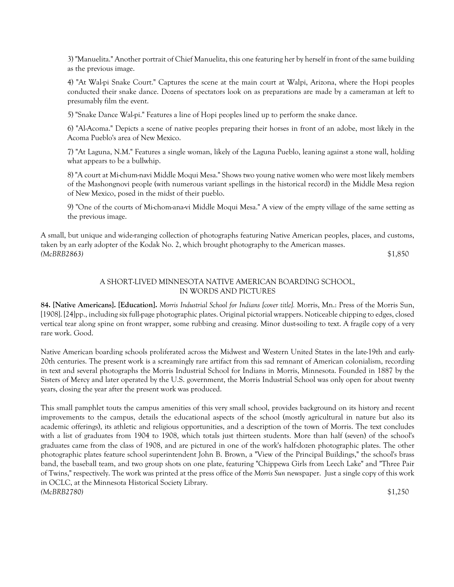3) "Manuelita." Another portrait of Chief Manuelita, this one featuring her by herself in front of the same building as the previous image.

4) "At Wal-pi Snake Court." Captures the scene at the main court at Walpi, Arizona, where the Hopi peoples conducted their snake dance. Dozens of spectators look on as preparations are made by a cameraman at left to presumably film the event.

5) "Snake Dance Wal-pi." Features a line of Hopi peoples lined up to perform the snake dance.

6) "Al-Acoma." Depicts a scene of native peoples preparing their horses in front of an adobe, most likely in the Acoma Pueblo's area of New Mexico.

7) "At Laguna, N.M." Features a single woman, likely of the Laguna Pueblo, leaning against a stone wall, holding what appears to be a bullwhip.

8) "A court at Mi-chum-navi Middle Moqui Mesa." Shows two young native women who were most likely members of the Mashongnovi people (with numerous variant spellings in the historical record) in the Middle Mesa region of New Mexico, posed in the midst of their pueblo.

9) "One of the courts of Mi-chom-ana-vi Middle Moqui Mesa." A view of the empty village of the same setting as the previous image.

A small, but unique and wide-ranging collection of photographs featuring Native American peoples, places, and customs, taken by an early adopter of the Kodak No. 2, which brought photography to the American masses. *(McBRB2863)* \$1,850

## A SHORT-LIVED MINNESOTA NATIVE AMERICAN BOARDING SCHOOL, IN WORDS AND PICTURES

**84. [Native Americans]. [Education].** *Morris Industrial School for Indians [cover title].* Morris, Mn.: Press of the Morris Sun, [1908]. [24]pp., including six full-page photographic plates. Original pictorial wrappers. Noticeable chipping to edges, closed vertical tear along spine on front wrapper, some rubbing and creasing. Minor dust-soiling to text. A fragile copy of a very rare work. Good.

Native American boarding schools proliferated across the Midwest and Western United States in the late-19th and early-20th centuries. The present work is a screamingly rare artifact from this sad remnant of American colonialism, recording in text and several photographs the Morris Industrial School for Indians in Morris, Minnesota. Founded in 1887 by the Sisters of Mercy and later operated by the U.S. government, the Morris Industrial School was only open for about twenty years, closing the year after the present work was produced.

This small pamphlet touts the campus amenities of this very small school, provides background on its history and recent improvements to the campus, details the educational aspects of the school (mostly agricultural in nature but also its academic offerings), its athletic and religious opportunities, and a description of the town of Morris. The text concludes with a list of graduates from 1904 to 1908, which totals just thirteen students. More than half (seven) of the school's graduates came from the class of 1908, and are pictured in one of the work's half-dozen photographic plates. The other photographic plates feature school superintendent John B. Brown, a "View of the Principal Buildings," the school's brass band, the baseball team, and two group shots on one plate, featuring "Chippewa Girls from Leech Lake" and "Three Pair of Twins," respectively. The work was printed at the press office of the *Morris Sun* newspaper. Just a single copy of this work in OCLC, at the Minnesota Historical Society Library. *(McBRB2780)* \$1,250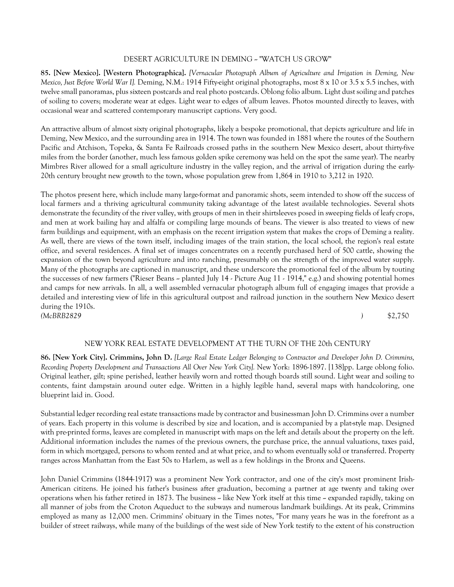## DESERT AGRICULTURE IN DEMING ~ "WATCH US GROW"

**85. [New Mexico]. [Western Photographica].** *[Vernacular Photograph Album of Agriculture and Irrigation in Deming, New Mexico, Just Before World War I].* Deming, N.M.: 1914 Fifty-eight original photographs, most 8 x 10 or 3.5 x 5.5 inches, with twelve small panoramas, plus sixteen postcards and real photo postcards. Oblong folio album. Light dust soiling and patches of soiling to covers; moderate wear at edges. Light wear to edges of album leaves. Photos mounted directly to leaves, with occasional wear and scattered contemporary manuscript captions. Very good.

An attractive album of almost sixty original photographs, likely a bespoke promotional, that depicts agriculture and life in Deming, New Mexico, and the surrounding area in 1914. The town was founded in 1881 where the routes of the Southern Pacific and Atchison, Topeka, & Santa Fe Railroads crossed paths in the southern New Mexico desert, about thirty-five miles from the border (another, much less famous golden spike ceremony was held on the spot the same year). The nearby Mimbres River allowed for a small agriculture industry in the valley region, and the arrival of irrigation during the early-20th century brought new growth to the town, whose population grew from 1,864 in 1910 to 3,212 in 1920.

The photos present here, which include many large-format and panoramic shots, seem intended to show off the success of local farmers and a thriving agricultural community taking advantage of the latest available technologies. Several shots demonstrate the fecundity of the river valley, with groups of men in their shirtsleeves posed in sweeping fields of leafy crops, and men at work bailing hay and alfalfa or compiling large mounds of beans. The viewer is also treated to views of new farm buildings and equipment, with an emphasis on the recent irrigation system that makes the crops of Deming a reality. As well, there are views of the town itself, including images of the train station, the local school, the region's real estate office, and several residences. A final set of images concentrates on a recently purchased herd of 500 cattle, showing the expansion of the town beyond agriculture and into ranching, presumably on the strength of the improved water supply. Many of the photographs are captioned in manuscript, and these underscore the promotional feel of the album by touting the successes of new farmers ("Rieser Beans  $\sim$  planted July 14  $\cdot$  Picture Aug 11  $\cdot$  1914," e.g.) and showing potential homes and camps for new arrivals. In all, a well assembled vernacular photograph album full of engaging images that provide a detailed and interesting view of life in this agricultural outpost and railroad junction in the southern New Mexico desert during the 1910s. *(McBRB2829 )* \$2,750

## NEW YORK REAL ESTATE DEVELOPMENT AT THE TURN OF THE 20th CENTURY

**86. [New York City]. Crimmins, John D.** *[Large Real Estate Ledger Belonging to Contractor and Developer John D. Crimmins, Recording Property Development and Transactions All Over New York City].* New York: 1896-1897. [138]pp. Large oblong folio. Original leather, gilt; spine perished, leather heavily worn and rotted though boards still sound. Light wear and soiling to contents, faint dampstain around outer edge. Written in a highly legible hand, several maps with handcoloring, one blueprint laid in. Good.

Substantial ledger recording real estate transactions made by contractor and businessman John D. Crimmins over a number of years. Each property in this volume is described by size and location, and is accompanied by a plat-style map. Designed with pre-printed forms, leaves are completed in manuscript with maps on the left and details about the property on the left. Additional information includes the names of the previous owners, the purchase price, the annual valuations, taxes paid, form in which mortgaged, persons to whom rented and at what price, and to whom eventually sold or transferred. Property ranges across Manhattan from the East 50s to Harlem, as well as a few holdings in the Bronx and Queens.

John Daniel Crimmins (1844-1917) was a prominent New York contractor, and one of the city's most prominent Irish-American citizens. He joined his father's business after graduation, becoming a partner at age twenty and taking over operations when his father retired in 1873. The business ~ like New York itself at this time ~ expanded rapidly, taking on all manner of jobs from the Croton Aqueduct to the subways and numerous landmark buildings. At its peak, Crimmins employed as many as 12,000 men. Crimmins' obituary in the Times notes, "For many years he was in the forefront as a builder of street railways, while many of the buildings of the west side of New York testify to the extent of his construction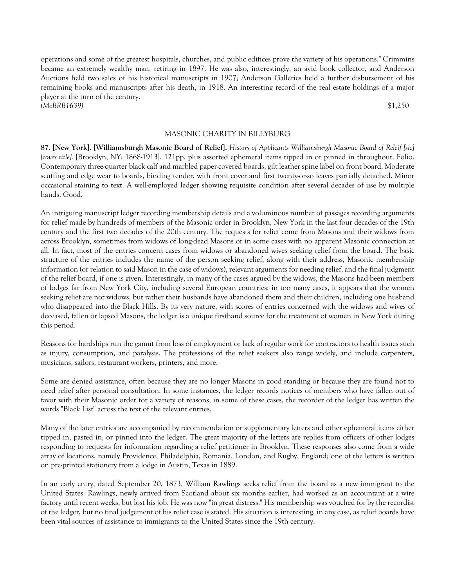operations and some of the greatest hospitals, churches, and public edifices prove the variety of his operations." Crimmins became an extremely wealthy man, retiring in 1897. He was also, interestingly, an avid book collector, and Anderson Auctions held two sales of his historical manuscripts in 1907; Anderson Galleries held a further disbursement of his remaining books and manuscripts after his death, in 1918. An interesting record of the real estate holdings of a major player at the turn of the century. *(McBRB1639)* \$1,250

## MASONIC CHARITY IN BILLYBURG

**87. [New York]. [Williamsburgh Masonic Board of Relief].** *History of Applicants Williamsburgh Masonic Board of Releif [sic] [cover title].* [Brooklyn, NY: 1868-1913]. 121pp. plus assorted ephemeral items tipped in or pinned in throughout. Folio. Contemporary three-quarter black calf and marbled paper-covered boards, gilt leather spine label on front board. Moderate scuffing and edge wear to boards, binding tender, with front cover and first twenty-or-so leaves partially detached. Minor occasional staining to text. A well-employed ledger showing requisite condition after several decades of use by multiple hands. Good.

An intriguing manuscript ledger recording membership details and a voluminous number of passages recording arguments for relief made by hundreds of members of the Masonic order in Brooklyn, New York in the last four decades of the 19th century and the first two decades of the 20th century. The requests for relief come from Masons and their widows from across Brooklyn, sometimes from widows of long-dead Masons or in some cases with no apparent Masonic connection at all. In fact, most of the entries concern cases from widows or abandoned wives seeking relief from the board. The basic structure of the entries includes the name of the person seeking relief, along with their address, Masonic membership information (or relation to said Mason in the case of widows), relevant arguments for needing relief, and the final judgment of the relief board, if one is given. Interestingly, in many of the cases argued by the widows, the Masons had been members of lodges far from New York City, including several European countries; in too many cases, it appears that the women seeking relief are not widows, but rather their husbands have abandoned them and their children, including one husband who disappeared into the Black Hills. By its very nature, with scores of entries concerned with the widows and wives of deceased, fallen or lapsed Masons, the ledger is a unique firsthand source for the treatment of women in New York during this period.

Reasons for hardships run the gamut from loss of employment or lack of regular work for contractors to health issues such as injury, consumption, and paralysis. The professions of the relief seekers also range widely, and include carpenters, musicians, sailors, restaurant workers, printers, and more.

Some are denied assistance, often because they are no longer Masons in good standing or because they are found not to need relief after personal consultation. In some instances, the ledger records notices of members who have fallen out of favor with their Masonic order for a variety of reasons; in some of these cases, the recorder of the ledger has written the words "Black List" across the text of the relevant entries.

Many of the later entries are accompanied by recommendation or supplementary letters and other ephemeral items either tipped in, pasted in, or pinned into the ledger. The great majority of the letters are replies from officers of other lodges responding to requests for information regarding a relief petitioner in Brooklyn. These responses also come from a wide array of locations, namely Providence, Philadelphia, Romania, London, and Rugby, England; one of the letters is written on pre-printed stationery from a lodge in Austin, Texas in 1889.

In an early entry, dated September 20, 1873, William Rawlings seeks relief from the board as a new immigrant to the United States. Rawlings, newly arrived from Scotland about six months earlier, had worked as an accountant at a wire factory until recent weeks, but lost his job. He was now "in great distress." His membership was vouched for by the recordist of the ledger, but no final judgement of his relief case is stated. His situation is interesting, in any case, as relief boards have been vital sources of assistance to immigrants to the United States since the 19th century.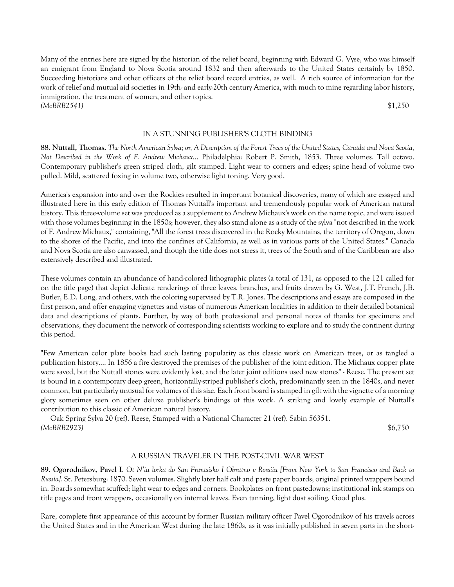Many of the entries here are signed by the historian of the relief board, beginning with Edward G. Vyse, who was himself an emigrant from England to Nova Scotia around 1832 and then afterwards to the United States certainly by 1850. Succeeding historians and other officers of the relief board record entries, as well. A rich source of information for the work of relief and mutual aid societies in 19th- and early-20th century America, with much to mine regarding labor history, immigration, the treatment of women, and other topics. *(McBRB2541)* \$1,250

# IN A STUNNING PUBLISHER'S CLOTH BINDING

**88. Nuttall, Thomas.** *The North American Sylva; or, A Description of the Forest Trees of the United States, Canada and Nova Scotia, Not Described in the Work of F. Andrew Michaux*... Philadelphia: Robert P. Smith, 1853. Three volumes. Tall octavo. Contemporary publisher's green striped cloth, gilt stamped. Light wear to corners and edges; spine head of volume two pulled. Mild, scattered foxing in volume two, otherwise light toning. Very good.

America's expansion into and over the Rockies resulted in important botanical discoveries, many of which are essayed and illustrated here in this early edition of Thomas Nuttall's important and tremendously popular work of American natural history. This three-volume set was produced as a supplement to Andrew Michaux's work on the name topic, and were issued with those volumes beginning in the 1850s; however, they also stand alone as a study of the sylva "not described in the work of F. Andrew Michaux," containing, "All the forest trees discovered in the Rocky Mountains, the territory of Oregon, down to the shores of the Pacific, and into the confines of California, as well as in various parts of the United States." Canada and Nova Scotia are also canvassed, and though the title does not stress it, trees of the South and of the Caribbean are also extensively described and illustrated.

These volumes contain an abundance of hand-colored lithographic plates (a total of 131, as opposed to the 121 called for on the title page) that depict delicate renderings of three leaves, branches, and fruits drawn by G. West, J.T. French, J.B. Butler, E.D. Long, and others, with the coloring supervised by T.R. Jones. The descriptions and essays are composed in the first person, and offer engaging vignettes and vistas of numerous American localities in addition to their detailed botanical data and descriptions of plants. Further, by way of both professional and personal notes of thanks for specimens and observations, they document the network of corresponding scientists working to explore and to study the continent during this period.

"Few American color plate books had such lasting popularity as this classic work on American trees, or as tangled a publication history.... In 1856 a fire destroyed the premises of the publisher of the joint edition. The Michaux copper plate were saved, but the Nuttall stones were evidently lost, and the later joint editions used new stones" - Reese. The present set is bound in a contemporary deep green, horizontally-striped publisher's cloth, predominantly seen in the 1840s, and never common, but particularly unusual for volumes of this size. Each front board is stamped in gilt with the vignette of a morning glory sometimes seen on other deluxe publisher's bindings of this work. A striking and lovely example of Nuttall's contribution to this classic of American natural history.

 Oak Spring Sylva 20 (ref). Reese, Stamped with a National Character 21 (ref). Sabin 56351. *(McBRB2923)* \$6,750

## A RUSSIAN TRAVELER IN THE POST-CIVIL WAR WEST

**89. Ogorodnikov, Pavel I**. *Ot N'iu lorka do San Frantsisko I Obratno v Rossiiu [From New York to San Francisco and Back to Russia].* St. Petersburg: 1870. Seven volumes. Slightly later half calf and paste paper boards; original printed wrappers bound in. Boards somewhat scuffed; light wear to edges and corners. Bookplates on front pastedowns; institutional ink stamps on title pages and front wrappers, occasionally on internal leaves. Even tanning, light dust soiling. Good plus.

Rare, complete first appearance of this account by former Russian military officer Pavel Ogorodnikov of his travels across the United States and in the American West during the late 1860s, as it was initially published in seven parts in the short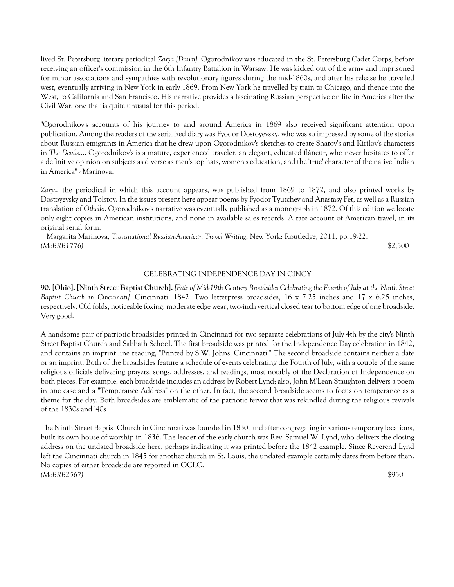lived St. Petersburg literary periodical *Zarya [Dawn]*. Ogorodnikov was educated in the St. Petersburg Cadet Corps, before receiving an officer's commission in the 6th Infantry Battalion in Warsaw. He was kicked out of the army and imprisoned for minor associations and sympathies with revolutionary figures during the mid-1860s, and after his release he travelled west, eventually arriving in New York in early 1869. From New York he travelled by train to Chicago, and thence into the West, to California and San Francisco. His narrative provides a fascinating Russian perspective on life in America after the Civil War, one that is quite unusual for this period.

"Ogorodnikov's accounts of his journey to and around America in 1869 also received significant attention upon publication. Among the readers of the serialized diary was Fyodor Dostoyevsky, who was so impressed by some of the stories about Russian emigrants in America that he drew upon Ogorodnikov's sketches to create Shatov's and Kirilov's characters in *The Devils*.... Ogorodnikov's is a mature, experienced traveler, an elegant, educated flâneur, who never hesitates to offer a definitive opinion on subjects as diverse as men's top hats, women's education, and the 'true' character of the native Indian in America" - Marinova.

*Zarya*, the periodical in which this account appears, was published from 1869 to 1872, and also printed works by Dostoyevsky and Tolstoy. In the issues present here appear poems by Fyodor Tyutchev and Anastasy Fet, as well as a Russian translation of *Othello*. Ogorodnikov's narrative was eventually published as a monograph in 1872. Of this edition we locate only eight copies in American institutions, and none in available sales records. A rare account of American travel, in its original serial form.

 Margarita Marinova, *Transnational Russian-American Travel Writing*, New York: Routledge, 2011, pp.19-22. *(McBRB1776)* \$2,500

## CELEBRATING INDEPENDENCE DAY IN CINCY

**90. [Ohio]. [Ninth Street Baptist Church].** *[Pair of Mid-19th Century Broadsides Celebrating the Fourth of July at the Ninth Street Baptist Church in Cincinnati].* Cincinnati: 1842. Two letterpress broadsides, 16 x 7.25 inches and 17 x 6.25 inches, respectively. Old folds, noticeable foxing, moderate edge wear, two-inch vertical closed tear to bottom edge of one broadside. Very good.

A handsome pair of patriotic broadsides printed in Cincinnati for two separate celebrations of July 4th by the city's Ninth Street Baptist Church and Sabbath School. The first broadside was printed for the Independence Day celebration in 1842, and contains an imprint line reading, "Printed by S.W. Johns, Cincinnati." The second broadside contains neither a date or an imprint. Both of the broadsides feature a schedule of events celebrating the Fourth of July, with a couple of the same religious officials delivering prayers, songs, addresses, and readings, most notably of the Declaration of Independence on both pieces. For example, each broadside includes an address by Robert Lynd; also, John M'Lean Staughton delivers a poem in one case and a "Temperance Address" on the other. In fact, the second broadside seems to focus on temperance as a theme for the day. Both broadsides are emblematic of the patriotic fervor that was rekindled during the religious revivals of the 1830s and '40s.

The Ninth Street Baptist Church in Cincinnati was founded in 1830, and after congregating in various temporary locations, built its own house of worship in 1836. The leader of the early church was Rev. Samuel W. Lynd, who delivers the closing address on the undated broadside here, perhaps indicating it was printed before the 1842 example. Since Reverend Lynd left the Cincinnati church in 1845 for another church in St. Louis, the undated example certainly dates from before then. No copies of either broadside are reported in OCLC. *(McBRB2567)* \$950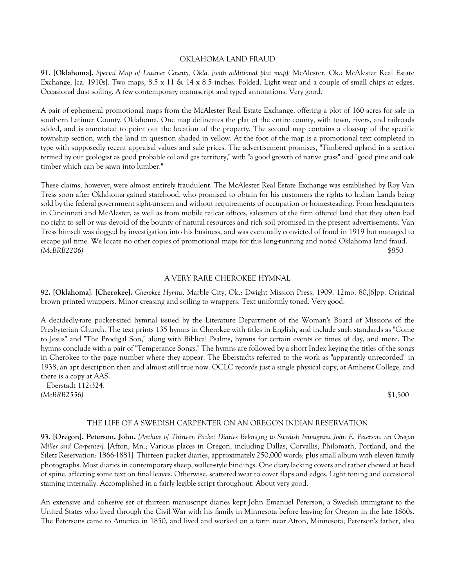#### OKLAHOMA LAND FRAUD

**91. [Oklahoma].** *Special Map of Latimer County, Okla. [with additional plat map].* McAlester, Ok.: McAlester Real Estate Exchange, [ca. 1910s]. Two maps, 8.5 x 11 & 14 x 8.5 inches. Folded. Light wear and a couple of small chips at edges. Occasional dust soiling. A few contemporary manuscript and typed annotations. Very good.

A pair of ephemeral promotional maps from the McAlester Real Estate Exchange, offering a plot of 160 acres for sale in southern Latimer County, Oklahoma. One map delineates the plat of the entire county, with town, rivers, and railroads added, and is annotated to point out the location of the property. The second map contains a close-up of the specific township section, with the land in question shaded in yellow. At the foot of the map is a promotional text completed in type with supposedly recent appraisal values and sale prices. The advertisement promises, "Timbered upland in a section termed by our geologist as good probable oil and gas territory," with "a good growth of native grass" and "good pine and oak timber which can be sawn into lumber."

These claims, however, were almost entirely fraudulent. The McAlester Real Estate Exchange was established by Roy Van Tress soon after Oklahoma gained statehood, who promised to obtain for his customers the rights to Indian Lands being sold by the federal government sight-unseen and without requirements of occupation or homesteading. From headquarters in Cincinnati and McAlester, as well as from mobile railcar offices, salesmen of the firm offered land that they often had no right to sell or was devoid of the bounty of natural resources and rich soil promised in the present advertisements. Van Tress himself was dogged by investigation into his business, and was eventually convicted of fraud in 1919 but managed to escape jail time. We locate no other copies of promotional maps for this long-running and noted Oklahoma land fraud. *(McBRB2206)* \$850

## A VERY RARE CHEROKEE HYMNAL

**92. [Oklahoma]. [Cherokee].** *Cherokee Hymns*. Marble City, Ok.: Dwight Mission Press, 1909. 12mo. 80,[6]pp. Original brown printed wrappers. Minor creasing and soiling to wrappers. Text uniformly toned. Very good.

A decidedly-rare pocket-sized hymnal issued by the Literature Department of the Woman's Board of Missions of the Presbyterian Church. The text prints 135 hymns in Cherokee with titles in English, and include such standards as "Come to Jesus" and "The Prodigal Son," along with Biblical Psalms, hymns for certain events or times of day, and more. The hymns conclude with a pair of "Temperance Songs." The hymns are followed by a short Index keying the titles of the songs in Cherokee to the page number where they appear. The Eberstadts referred to the work as "apparently unrecorded" in 1938, an apt description then and almost still true now. OCLC records just a single physical copy, at Amherst College, and there is a copy at AAS.

 Eberstadt 112:324. *(McBRB2556)* \$1,500

#### THE LIFE OF A SWEDISH CARPENTER ON AN OREGON INDIAN RESERVATION

**93. [Oregon]. Peterson, John.** *[Archive of Thirteen Pocket Diaries Belonging to Swedish Immigrant John E. Peterson, an Oregon Miller and Carpenter].* [Afton, Mn.; Various places in Oregon, including Dallas, Corvallis, Philomath, Portland, and the Siletz Reservation: 1866-1881]. Thirteen pocket diaries, approximately 250,000 words; plus small album with eleven family photographs. Most diaries in contemporary sheep, wallet-style bindings. One diary lacking covers and rather chewed at head of spine, affecting some text on final leaves. Otherwise, scattered wear to cover flaps and edges. Light toning and occasional staining internally. Accomplished in a fairly legible script throughout. About very good.

An extensive and cohesive set of thirteen manuscript diaries kept John Emanuel Peterson, a Swedish immigrant to the United States who lived through the Civil War with his family in Minnesota before leaving for Oregon in the late 1860s. The Petersons came to America in 1850, and lived and worked on a farm near Afton, Minnesota; Peterson's father, also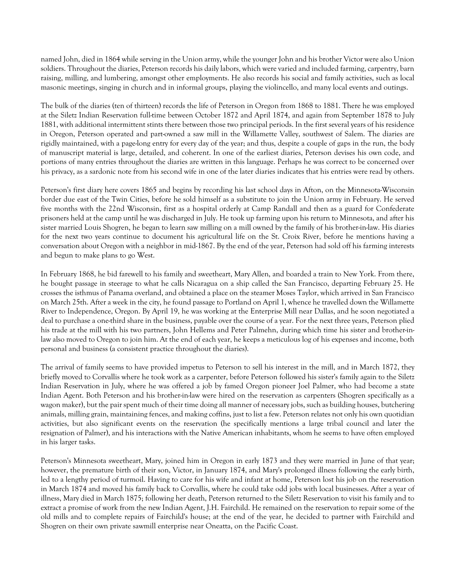named John, died in 1864 while serving in the Union army, while the younger John and his brother Victor were also Union soldiers. Throughout the diaries, Peterson records his daily labors, which were varied and included farming, carpentry, barn raising, milling, and lumbering, amongst other employments. He also records his social and family activities, such as local masonic meetings, singing in church and in informal groups, playing the violincello, and many local events and outings.

The bulk of the diaries (ten of thirteen) records the life of Peterson in Oregon from 1868 to 1881. There he was employed at the Siletz Indian Reservation full-time between October 1872 and April 1874, and again from September 1878 to July 1881, with additional intermittent stints there between those two principal periods. In the first several years of his residence in Oregon, Peterson operated and part-owned a saw mill in the Willamette Valley, southwest of Salem. The diaries are rigidly maintained, with a page-long entry for every day of the year; and thus, despite a couple of gaps in the run, the body of manuscript material is large, detailed, and coherent. In one of the earliest diaries, Peterson devises his own code, and portions of many entries throughout the diaries are written in this language. Perhaps he was correct to be concerned over his privacy, as a sardonic note from his second wife in one of the later diaries indicates that his entries were read by others.

Peterson's first diary here covers 1865 and begins by recording his last school days in Afton, on the Minnesota-Wisconsin border due east of the Twin Cities, before he sold himself as a substitute to join the Union army in February. He served five months with the 22nd Wisconsin, first as a hospital orderly at Camp Randall and then as a guard for Confederate prisoners held at the camp until he was discharged in July. He took up farming upon his return to Minnesota, and after his sister married Louis Shogren, he began to learn saw milling on a mill owned by the family of his brother-in-law. His diaries for the next two years continue to document his agricultural life on the St. Croix River, before he mentions having a conversation about Oregon with a neighbor in mid-1867. By the end of the year, Peterson had sold off his farming interests and begun to make plans to go West.

In February 1868, he bid farewell to his family and sweetheart, Mary Allen, and boarded a train to New York. From there, he bought passage in steerage to what he calls Nicaragua on a ship called the San Francisco, departing February 25. He crosses the isthmus of Panama overland, and obtained a place on the steamer Moses Taylor, which arrived in San Francisco on March 25th. After a week in the city, he found passage to Portland on April 1, whence he travelled down the Willamette River to Independence, Oregon. By April 19, he was working at the Enterprise Mill near Dallas, and he soon negotiated a deal to purchase a one-third share in the business, payable over the course of a year. For the next three years, Peterson plied his trade at the mill with his two partners, John Hellems and Peter Palmehn, during which time his sister and brother-inlaw also moved to Oregon to join him. At the end of each year, he keeps a meticulous log of his expenses and income, both personal and business (a consistent practice throughout the diaries).

The arrival of family seems to have provided impetus to Peterson to sell his interest in the mill, and in March 1872, they briefly moved to Corvallis where he took work as a carpenter, before Peterson followed his sister's family again to the Siletz Indian Reservation in July, where he was offered a job by famed Oregon pioneer Joel Palmer, who had become a state Indian Agent. Both Peterson and his brother-in-law were hired on the reservation as carpenters (Shogren specifically as a wagon maker), but the pair spent much of their time doing all manner of necessary jobs, such as building houses, butchering animals, milling grain, maintaining fences, and making coffins, just to list a few. Peterson relates not only his own quotidian activities, but also significant events on the reservation (he specifically mentions a large tribal council and later the resignation of Palmer), and his interactions with the Native American inhabitants, whom he seems to have often employed in his larger tasks.

Peterson's Minnesota sweetheart, Mary, joined him in Oregon in early 1873 and they were married in June of that year; however, the premature birth of their son, Victor, in January 1874, and Mary's prolonged illness following the early birth, led to a lengthy period of turmoil. Having to care for his wife and infant at home, Peterson lost his job on the reservation in March 1874 and moved his family back to Corvallis, where he could take odd jobs with local businesses. After a year of illness, Mary died in March 1875; following her death, Peterson returned to the Siletz Reservation to visit his family and to extract a promise of work from the new Indian Agent, J.H. Fairchild. He remained on the reservation to repair some of the old mills and to complete repairs of Fairchild's house; at the end of the year, he decided to partner with Fairchild and Shogren on their own private sawmill enterprise near Oneatta, on the Pacific Coast.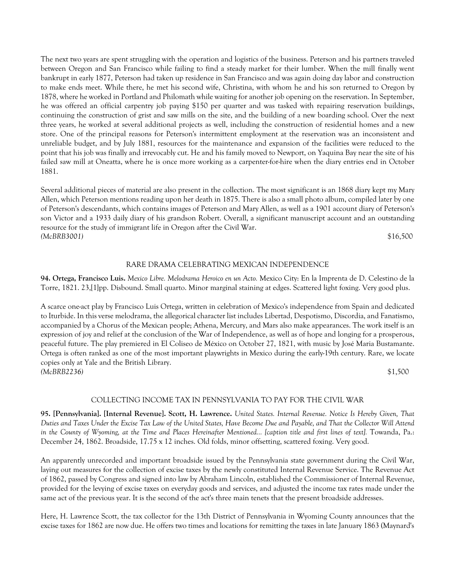The next two years are spent struggling with the operation and logistics of the business. Peterson and his partners traveled between Oregon and San Francisco while failing to find a steady market for their lumber. When the mill finally went bankrupt in early 1877, Peterson had taken up residence in San Francisco and was again doing day labor and construction to make ends meet. While there, he met his second wife, Christina, with whom he and his son returned to Oregon by 1878, where he worked in Portland and Philomath while waiting for another job opening on the reservation. In September, he was offered an official carpentry job paying \$150 per quarter and was tasked with repairing reservation buildings, continuing the construction of grist and saw mills on the site, and the building of a new boarding school. Over the next three years, he worked at several additional projects as well, including the construction of residential homes and a new store. One of the principal reasons for Peterson's intermittent employment at the reservation was an inconsistent and unreliable budget, and by July 1881, resources for the maintenance and expansion of the facilities were reduced to the point that his job was finally and irrevocably cut. He and his family moved to Newport, on Yaquina Bay near the site of his failed saw mill at Oneatta, where he is once more working as a carpenter-for-hire when the diary entries end in October 1881.

Several additional pieces of material are also present in the collection. The most significant is an 1868 diary kept my Mary Allen, which Peterson mentions reading upon her death in 1875. There is also a small photo album, compiled later by one of Peterson's descendants, which contains images of Peterson and Mary Allen, as well as a 1901 account diary of Peterson's son Victor and a 1933 daily diary of his grandson Robert. Overall, a significant manuscript account and an outstanding resource for the study of immigrant life in Oregon after the Civil War. *(McBRB3001)* \$16,500

## RARE DRAMA CELEBRATING MEXICAN INDEPENDENCE

**94. Ortega, Francisco Luis.** *Mexico Libre. Melodrama Heroico en un Acto.* Mexico City: En la Imprenta de D. Celestino de la Torre, 1821. 23,[1]pp. Disbound. Small quarto. Minor marginal staining at edges. Scattered light foxing. Very good plus.

A scarce one-act play by Francisco Luis Ortega, written in celebration of Mexico's independence from Spain and dedicated to Iturbide. In this verse melodrama, the allegorical character list includes Libertad, Despotismo, Discordia, and Fanatismo, accompanied by a Chorus of the Mexican people; Athena, Mercury, and Mars also make appearances. The work itself is an expression of joy and relief at the conclusion of the War of Independence, as well as of hope and longing for a prosperous, peaceful future. The play premiered in El Coliseo de México on October 27, 1821, with music by José Maria Bustamante. Ortega is often ranked as one of the most important playwrights in Mexico during the early-19th century. Rare, we locate copies only at Yale and the British Library. *(McBRB2236)* \$1,500

## COLLECTING INCOME TAX IN PENNSYLVANIA TO PAY FOR THE CIVIL WAR

**95. [Pennsylvania]. [Internal Revenue]. Scott, H. Lawrence.** *United States. Internal Revenue. Notice Is Hereby Given, That Duties and Taxes Under the Excise Tax Law of the United States, Have Become Due and Payable, and That the Collector Will Attend in the County of Wyoming, at the Time and Places Hereinafter Mentioned... [caption title and first lines of text].* Towanda, Pa.: December 24, 1862. Broadside, 17.75 x 12 inches. Old folds, minor offsetting, scattered foxing. Very good.

An apparently unrecorded and important broadside issued by the Pennsylvania state government during the Civil War, laying out measures for the collection of excise taxes by the newly constituted Internal Revenue Service. The Revenue Act of 1862, passed by Congress and signed into law by Abraham Lincoln, established the Commissioner of Internal Revenue, provided for the levying of excise taxes on everyday goods and services, and adjusted the income tax rates made under the same act of the previous year. It is the second of the act's three main tenets that the present broadside addresses.

Here, H. Lawrence Scott, the tax collector for the 13th District of Pennsylvania in Wyoming County announces that the excise taxes for 1862 are now due. He offers two times and locations for remitting the taxes in late January 1863 (Maynard's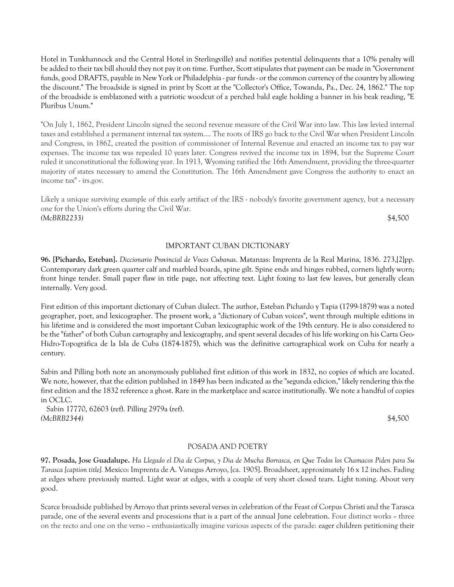Hotel in Tunkhannock and the Central Hotel in Sterlingville) and notifies potential delinquents that a 10% penalty will be added to their tax bill should they not pay it on time. Further, Scott stipulates that payment can be made in "Government funds, good DRAFTS, payable in New York or Philadelphia - par funds - or the common currency of the country by allowing the discount." The broadside is signed in print by Scott at the "Collector's Office, Towanda, Pa., Dec. 24, 1862." The top of the broadside is emblazoned with a patriotic woodcut of a perched bald eagle holding a banner in his beak reading, "E Pluribus Unum."

"On July 1, 1862, President Lincoln signed the second revenue measure of the Civil War into law. This law levied internal taxes and established a permanent internal tax system.... The roots of IRS go back to the Civil War when President Lincoln and Congress, in 1862, created the position of commissioner of Internal Revenue and enacted an income tax to pay war expenses. The income tax was repealed 10 years later. Congress revived the income tax in 1894, but the Supreme Court ruled it unconstitutional the following year. In 1913, Wyoming ratified the 16th Amendment, providing the three-quarter majority of states necessary to amend the Constitution. The 16th Amendment gave Congress the authority to enact an income tax" - irs.gov.

Likely a unique surviving example of this early artifact of the IRS - nobody's favorite government agency, but a necessary one for the Union's efforts during the Civil War. *(McBRB2233)* \$4,500

## IMPORTANT CUBAN DICTIONARY

**96. [Pichardo, Esteban].** *Diccionario Provincial de Voces Cubanas*. Matanzas: Imprenta de la Real Marina, 1836. 273,[2]pp. Contemporary dark green quarter calf and marbled boards, spine gilt. Spine ends and hinges rubbed, corners lightly worn; front hinge tender. Small paper flaw in title page, not affecting text. Light foxing to last few leaves, but generally clean internally. Very good.

First edition of this important dictionary of Cuban dialect. The author, Esteban Pichardo y Tapia (1799-1879) was a noted geographer, poet, and lexicographer. The present work, a "dictionary of Cuban voices", went through multiple editions in his lifetime and is considered the most important Cuban lexicographic work of the 19th century. He is also considered to be the "father" of both Cuban cartography and lexicography, and spent several decades of his life working on his Carta Geo-Hidro-Topográfica de la Isla de Cuba (1874-1875), which was the definitive cartographical work on Cuba for nearly a century.

Sabin and Pilling both note an anonymously published first edition of this work in 1832, no copies of which are located. We note, however, that the edition published in 1849 has been indicated as the "segunda edicion," likely rendering this the first edition and the 1832 reference a ghost. Rare in the marketplace and scarce institutionally. We note a handful of copies in OCLC.

 Sabin 17770, 62603 (ref). Pilling 2979a (ref). *(McBRB2344)* \$4,500

## POSADA AND POETRY

**97. Posada, Jose Guadalupe.** *Ha Llegado el Dia de Corpus, y Dia de Mucha Borrasca, en Que Todos los Chamacos Piden para Su Tarasca [caption title].* Mexico: Imprenta de A. Vanegas Arroyo, [ca. 1905]. Broadsheet, approximately 16 x 12 inches. Fading at edges where previously matted. Light wear at edges, with a couple of very short closed tears. Light toning. About very good.

Scarce broadside published by Arroyo that prints several verses in celebration of the Feast of Corpus Christi and the Tarasca parade, one of the several events and processions that is a part of the annual June celebration. Four distinct works – three on the recto and one on the verso -- enthusiastically imagine various aspects of the parade: eager children petitioning their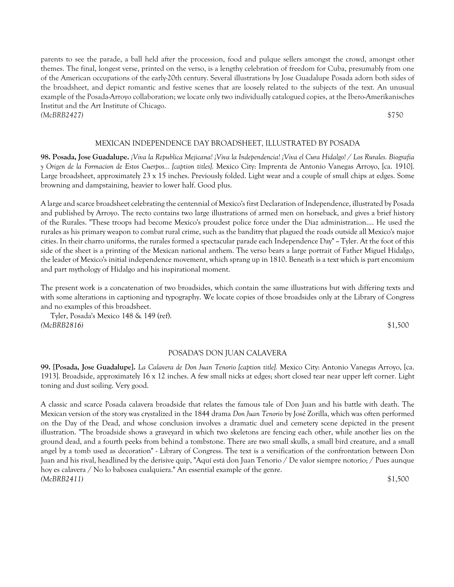parents to see the parade, a ball held after the procession, food and pulque sellers amongst the crowd, amongst other themes. The final, longest verse, printed on the verso, is a lengthy celebration of freedom for Cuba, presumably from one of the American occupations of the early-20th century. Several illustrations by Jose Guadalupe Posada adorn both sides of the broadsheet, and depict romantic and festive scenes that are loosely related to the subjects of the text. An unusual example of the Posada-Arroyo collaboration; we locate only two individually catalogued copies, at the Ibero-Amerikanisches Institut and the Art Institute of Chicago. *(McBRB2427)* \$750

## MEXICAN INDEPENDENCE DAY BROADSHEET, ILLUSTRATED BY POSADA

**98. Posada, Jose Guadalupe.** *¡Viva la Republica Mejicana! ¡Viva la Independencia! ¡Viva el Cura Hidalgo! / Los Rurales. Biografia y Origen de la Formacion de Estos Cuerpos... [caption titles].* Mexico City: Imprenta de Antonio Vanegas Arroyo, [ca. 1910]. Large broadsheet, approximately 23 x 15 inches. Previously folded. Light wear and a couple of small chips at edges. Some browning and dampstaining, heavier to lower half. Good plus.

A large and scarce broadsheet celebrating the centennial of Mexico's first Declaration of Independence, illustrated by Posada and published by Arroyo. The recto contains two large illustrations of armed men on horseback, and gives a brief history of the Rurales. "These troops had become Mexico's proudest police force under the Diaz administration.... He used the rurales as his primary weapon to combat rural crime, such as the banditry that plagued the roads outside all Mexico's major cities. In their charro uniforms, the rurales formed a spectacular parade each Independence Day"  $\sim$  Tyler. At the foot of this side of the sheet is a printing of the Mexican national anthem. The verso bears a large portrait of Father Miguel Hidalgo, the leader of Mexico's initial independence movement, which sprang up in 1810. Beneath is a text which is part encomium and part mythology of Hidalgo and his inspirational moment.

The present work is a concatenation of two broadsides, which contain the same illustrations but with differing texts and with some alterations in captioning and typography. We locate copies of those broadsides only at the Library of Congress and no examples of this broadsheet.

 Tyler, Posada's Mexico 148 & 149 (ref). *(McBRB2816)* \$1,500

## POSADA'S DON JUAN CALAVERA

**99. [Posada, Jose Guadalupe].** *La Calavera de Don Juan Tenorio [caption title].* Mexico City: Antonio Vanegas Arroyo, [ca. 1913]. Broadside, approximately 16 x 12 inches. A few small nicks at edges; short closed tear near upper left corner. Light toning and dust soiling. Very good.

A classic and scarce Posada calavera broadside that relates the famous tale of Don Juan and his battle with death. The Mexican version of the story was crystalized in the 1844 drama *Don Juan Tenorio* by José Zorilla, which was often performed on the Day of the Dead, and whose conclusion involves a dramatic duel and cemetery scene depicted in the present illustration. "The broadside shows a graveyard in which two skeletons are fencing each other, while another lies on the ground dead, and a fourth peeks from behind a tombstone. There are two small skulls, a small bird creature, and a small angel by a tomb used as decoration" - Library of Congress. The text is a versification of the confrontation between Don Juan and his rival, headlined by the derisive quip, "Aquí está don Juan Tenorio / De valor siempre notorio; / Pues aunque hoy es calavera / No lo babosea cualquiera." An essential example of the genre. *(McBRB2411)* \$1,500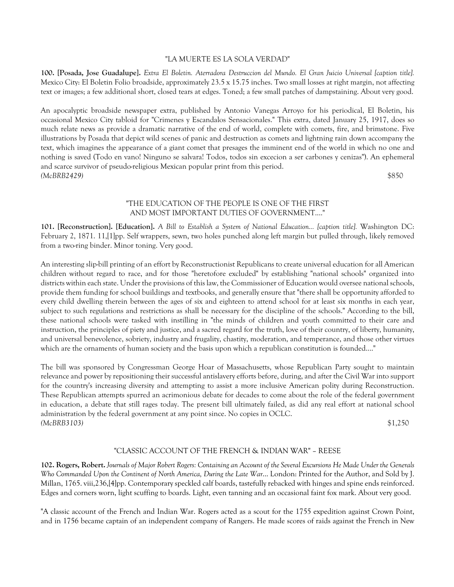## "LA MUERTE ES LA SOLA VERDAD"

**100. [Posada, Jose Guadalupe].** *Extra El Boletin. Aterradora Destruccion del Mundo. El Gran Juicio Universal [caption title].* Mexico City: El Boletin Folio broadside, approximately  $23.5 \times 15.75$  inches. Two small losses at right margin, not affecting text or images; a few additional short, closed tears at edges. Toned; a few small patches of dampstaining. About very good.

An apocalyptic broadside newspaper extra, published by Antonio Vanegas Arroyo for his periodical, El Boletin, his occasional Mexico City tabloid for "Crimenes y Escandalos Sensacionales." This extra, dated January 25, 1917, does so much relate news as provide a dramatic narrative of the end of world, complete with comets, fire, and brimstone. Five illustrations by Posada that depict wild scenes of panic and destruction as comets and lightning rain down accompany the text, which imagines the appearance of a giant comet that presages the imminent end of the world in which no one and nothing is saved (Todo en vano! Ninguno se salvara! Todos, todos sin excecion a ser carbones y cenizas"). An ephemeral and scarce survivor of pseudo-religious Mexican popular print from this period. *(McBRB2429)* \$850

## "THE EDUCATION OF THE PEOPLE IS ONE OF THE FIRST AND MOST IMPORTANT DUTIES OF GOVERNMENT...."

**101. [Reconstruction]. [Education].** *A Bill to Establish a System of National Education... [caption title].* Washington DC: February 2, 1871. 11,[1]pp. Self wrappers, sewn, two holes punched along left margin but pulled through, likely removed from a two-ring binder. Minor toning. Very good.

An interesting slip-bill printing of an effort by Reconstructionist Republicans to create universal education for all American children without regard to race, and for those "heretofore excluded" by establishing "national schools" organized into districts within each state. Under the provisions of this law, the Commissioner of Education would oversee national schools, provide them funding for school buildings and textbooks, and generally ensure that "there shall be opportunity afforded to every child dwelling therein between the ages of six and eighteen to attend school for at least six months in each year, subject to such regulations and restrictions as shall be necessary for the discipline of the schools." According to the bill, these national schools were tasked with instilling in "the minds of children and youth committed to their care and instruction, the principles of piety and justice, and a sacred regard for the truth, love of their country, of liberty, humanity, and universal benevolence, sobriety, industry and frugality, chastity, moderation, and temperance, and those other virtues which are the ornaments of human society and the basis upon which a republican constitution is founded...."

The bill was sponsored by Congressman George Hoar of Massachusetts, whose Republican Party sought to maintain relevance and power by repositioning their successful antislavery efforts before, during, and after the Civil War into support for the country's increasing diversity and attempting to assist a more inclusive American polity during Reconstruction. These Republican attempts spurred an acrimonious debate for decades to come about the role of the federal government in education, a debate that still rages today. The present bill ultimately failed, as did any real effort at national school administration by the federal government at any point since. No copies in OCLC. *(McBRB3103)* \$1,250

## "CLASSIC ACCOUNT OF THE FRENCH & INDIAN WAR" – REESE

**102. Rogers, Robert.** *Journals of Major Robert Rogers: Containing an Account of the Several Excursions He Made Under the Generals Who Commanded Upon the Continent of North America, During the Late War*... London: Printed for the Author, and Sold by J. Millan, 1765. viii,236,[4]pp. Contemporary speckled calf boards, tastefully rebacked with hinges and spine ends reinforced. Edges and corners worn, light scuffing to boards. Light, even tanning and an occasional faint fox mark. About very good.

"A classic account of the French and Indian War. Rogers acted as a scout for the 1755 expedition against Crown Point, and in 1756 became captain of an independent company of Rangers. He made scores of raids against the French in New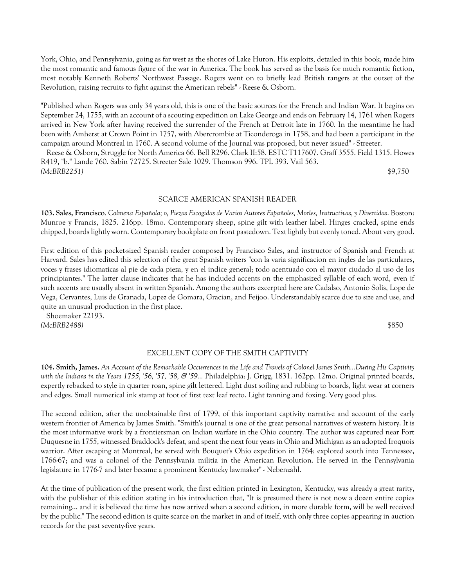York, Ohio, and Pennsylvania, going as far west as the shores of Lake Huron. His exploits, detailed in this book, made him the most romantic and famous figure of the war in America. The book has served as the basis for much romantic fiction, most notably Kenneth Roberts' Northwest Passage. Rogers went on to briefly lead British rangers at the outset of the Revolution, raising recruits to fight against the American rebels" - Reese & Osborn.

"Published when Rogers was only 34 years old, this is one of the basic sources for the French and Indian War. It begins on September 24, 1755, with an account of a scouting expedition on Lake George and ends on February 14, 1761 when Rogers arrived in New York after having received the surrender of the French at Detroit late in 1760. In the meantime he had been with Amherst at Crown Point in 1757, with Abercrombie at Ticonderoga in 1758, and had been a participant in the campaign around Montreal in 1760. A second volume of the Journal was proposed, but never issued" - Streeter.

 Reese & Osborn, Struggle for North America 66. Bell R296. Clark II:58. ESTC T117607. Graff 3555. Field 1315. Howes R419, "b." Lande 760. Sabin 72725. Streeter Sale 1029. Thomson 996. TPL 393. Vail 563. *(McBRB2251)* \$9,750

#### SCARCE AMERICAN SPANISH READER

**103. Sales, Francisco**. *Colmena Española; o, Piezas Escogidas de Varios Autores Españoles, Morles, Instructivas, y Divertidas*. Boston: Munroe y Francis, 1825. 216pp. 18mo. Contemporary sheep, spine gilt with leather label. Hinges cracked, spine ends chipped, boards lightly worn. Contemporary bookplate on front pastedown. Text lightly but evenly toned. About very good.

First edition of this pocket-sized Spanish reader composed by Francisco Sales, and instructor of Spanish and French at Harvard. Sales has edited this selection of the great Spanish writers "con la varia significacion en ingles de las particulares, voces y frases idiomaticas al pie de cada pieza, y en el indice general; todo acentuado con el mayor ciudado al uso de los principiantes." The latter clause indicates that he has included accents on the emphasized syllable of each word, even if such accents are usually absent in written Spanish. Among the authors excerpted here are Cadalso, Antonio Solis, Lope de Vega, Cervantes, Luis de Granada, Lopez de Gomara, Gracian, and Feijoo. Understandably scarce due to size and use, and quite an unusual production in the first place.

 Shoemaker 22193. *(McBRB2488)* \$850

## EXCELLENT COPY OF THE SMITH CAPTIVITY

**104. Smith, James.** *An Account of the Remarkable Occurrences in the Life and Travels of Colonel James Smith...During His Captivity with the Indians in the Years 1755, '56, '57, '58, & '59...* Philadelphia: J. Grigg, 1831. 162pp. 12mo. Original printed boards, expertly rebacked to style in quarter roan, spine gilt lettered. Light dust soiling and rubbing to boards, light wear at corners and edges. Small numerical ink stamp at foot of first text leaf recto. Light tanning and foxing. Very good plus.

The second edition, after the unobtainable first of 1799, of this important captivity narrative and account of the early western frontier of America by James Smith. "Smith's journal is one of the great personal narratives of western history. It is the most informative work by a frontiersman on Indian warfare in the Ohio country. The author was captured near Fort Duquesne in 1755, witnessed Braddock's defeat, and spent the next four years in Ohio and Michigan as an adopted Iroquois warrior. After escaping at Montreal, he served with Bouquet's Ohio expedition in 1764; explored south into Tennessee, 1766-67; and was a colonel of the Pennsylvania militia in the American Revolution. He served in the Pennsylvania legislature in 1776-7 and later became a prominent Kentucky lawmaker" - Nebenzahl.

At the time of publication of the present work, the first edition printed in Lexington, Kentucky, was already a great rarity, with the publisher of this edition stating in his introduction that, "It is presumed there is not now a dozen entire copies remaining... and it is believed the time has now arrived when a second edition, in more durable form, will be well received by the public." The second edition is quite scarce on the market in and of itself, with only three copies appearing in auction records for the past seventy-five years.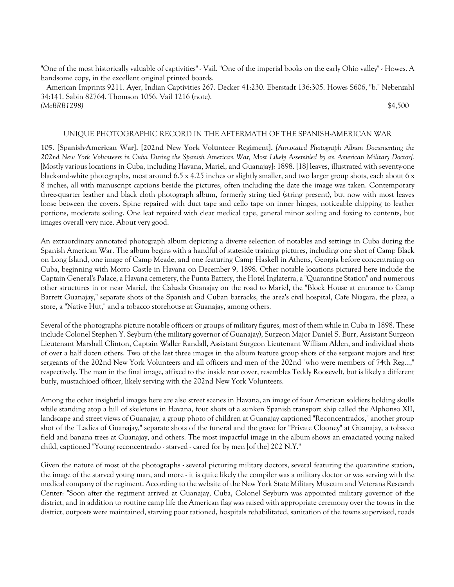"One of the most historically valuable of captivities" - Vail. "One of the imperial books on the early Ohio valley" - Howes. A handsome copy, in the excellent original printed boards.

 American Imprints 9211. Ayer, Indian Captivities 267. Decker 41:230. Eberstadt 136:305. Howes S606, "b." Nebenzahl 34:141. Sabin 82764. Thomson 1056. Vail 1216 (note). *(McBRB1298)* \$4,500

## UNIQUE PHOTOGRAPHIC RECORD IN THE AFTERMATH OF THE SPANISH-AMERICAN WAR

**105. [Spanish-American War]. [202nd New York Volunteer Regiment].** *[Annotated Photograph Album Documenting the 202nd New York Volunteers in Cuba During the Spanish American War, Most Likely Assembled by an American Military Doctor].*  [Mostly various locations in Cuba, including Havana, Mariel, and Guanajay]: 1898. [18] leaves, illustrated with seventy-one black-and-white photographs, most around 6.5 x 4.25 inches or slightly smaller, and two larger group shots, each about 6 x 8 inches, all with manuscript captions beside the pictures, often including the date the image was taken. Contemporary three-quarter leather and black cloth photograph album, formerly string tied (string present), but now with most leaves loose between the covers. Spine repaired with duct tape and cello tape on inner hinges, noticeable chipping to leather portions, moderate soiling. One leaf repaired with clear medical tape, general minor soiling and foxing to contents, but images overall very nice. About very good.

An extraordinary annotated photograph album depicting a diverse selection of notables and settings in Cuba during the Spanish American War. The album begins with a handful of stateside training pictures, including one shot of Camp Black on Long Island, one image of Camp Meade, and one featuring Camp Haskell in Athens, Georgia before concentrating on Cuba, beginning with Morro Castle in Havana on December 9, 1898. Other notable locations pictured here include the Captain General's Palace, a Havana cemetery, the Punta Battery, the Hotel Inglaterra, a "Quarantine Station" and numerous other structures in or near Mariel, the Calzada Guanajay on the road to Mariel, the "Block House at entrance to Camp Barrett Guanajay," separate shots of the Spanish and Cuban barracks, the area's civil hospital, Cafe Niagara, the plaza, a store, a "Native Hut," and a tobacco storehouse at Guanajay, among others.

Several of the photographs picture notable officers or groups of military figures, most of them while in Cuba in 1898. These include Colonel Stephen Y. Seyburn (the military governor of Guanajay), Surgeon Major Daniel S. Burr, Assistant Surgeon Lieutenant Marshall Clinton, Captain Waller Randall, Assistant Surgeon Lieutenant William Alden, and individual shots of over a half dozen others. Two of the last three images in the album feature group shots of the sergeant majors and first sergeants of the 202nd New York Volunteers and all officers and men of the 202nd "who were members of 74th Reg...," respectively. The man in the final image, affixed to the inside rear cover, resembles Teddy Roosevelt, but is likely a different burly, mustachioed officer, likely serving with the 202nd New York Volunteers.

Among the other insightful images here are also street scenes in Havana, an image of four American soldiers holding skulls while standing atop a hill of skeletons in Havana, four shots of a sunken Spanish transport ship called the Alphonso XII, landscape and street views of Guanajay, a group photo of children at Guanajay captioned "Reconcentrados," another group shot of the "Ladies of Guanajay," separate shots of the funeral and the grave for "Private Clooney" at Guanajay, a tobacco field and banana trees at Guanajay, and others. The most impactful image in the album shows an emaciated young naked child, captioned "Young reconcentrado - starved - cared for by men [of the] 202 N.Y."

Given the nature of most of the photographs - several picturing military doctors, several featuring the quarantine station, the image of the starved young man, and more - it is quite likely the compiler was a military doctor or was serving with the medical company of the regiment. According to the website of the New York State Military Museum and Veterans Research Center: "Soon after the regiment arrived at Guanajay, Cuba, Colonel Seyburn was appointed military governor of the district, and in addition to routine camp life the American flag was raised with appropriate ceremony over the towns in the district, outposts were maintained, starving poor rationed, hospitals rehabilitated, sanitation of the towns supervised, roads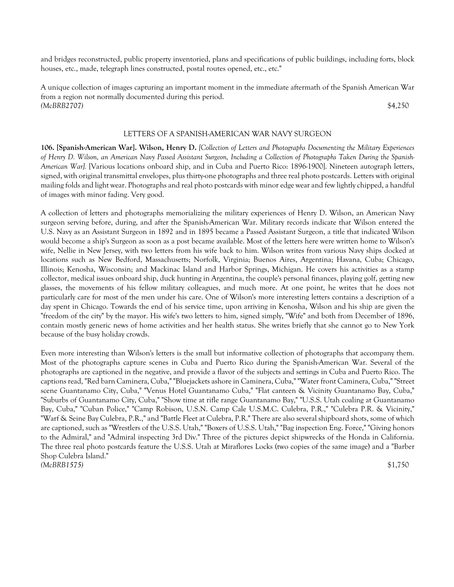and bridges reconstructed, public property inventoried, plans and specifications of public buildings, including forts, block houses, etc., made, telegraph lines constructed, postal routes opened, etc., etc."

A unique collection of images capturing an important moment in the immediate aftermath of the Spanish American War from a region not normally documented during this period. *(McBRB2707)* \$4,250

#### LETTERS OF A SPANISH-AMERICAN WAR NAVY SURGEON

**106. [Spanish-American War]. Wilson, Henry D.** *[Collection of Letters and Photographs Documenting the Military Experiences of Henry D. Wilson, an American Navy Passed Assistant Surgeon, Including a Collection of Photographs Taken During the Spanish-American War].* [Various locations onboard ship, and in Cuba and Puerto Rico: 1896-1900]. Nineteen autograph letters, signed, with original transmittal envelopes, plus thirty-one photographs and three real photo postcards. Letters with original mailing folds and light wear. Photographs and real photo postcards with minor edge wear and few lightly chipped, a handful of images with minor fading. Very good.

A collection of letters and photographs memorializing the military experiences of Henry D. Wilson, an American Navy surgeon serving before, during, and after the Spanish-American War. Military records indicate that Wilson entered the U.S. Navy as an Assistant Surgeon in 1892 and in 1895 became a Passed Assistant Surgeon, a title that indicated Wilson would become a ship's Surgeon as soon as a post became available. Most of the letters here were written home to Wilson's wife, Nellie in New Jersey, with two letters from his wife back to him. Wilson writes from various Navy ships docked at locations such as New Bedford, Massachusetts; Norfolk, Virginia; Buenos Aires, Argentina; Havana, Cuba; Chicago, Illinois; Kenosha, Wisconsin; and Mackinac Island and Harbor Springs, Michigan. He covers his activities as a stamp collector, medical issues onboard ship, duck hunting in Argentina, the couple's personal finances, playing golf, getting new glasses, the movements of his fellow military colleagues, and much more. At one point, he writes that he does not particularly care for most of the men under his care. One of Wilson's more interesting letters contains a description of a day spent in Chicago. Towards the end of his service time, upon arriving in Kenosha, Wilson and his ship are given the "freedom of the city" by the mayor. His wife's two letters to him, signed simply, "Wife" and both from December of 1896, contain mostly generic news of home activities and her health status. She writes briefly that she cannot go to New York because of the busy holiday crowds.

Even more interesting than Wilson's letters is the small but informative collection of photographs that accompany them. Most of the photographs capture scenes in Cuba and Puerto Rico during the Spanish-American War. Several of the photographs are captioned in the negative, and provide a flavor of the subjects and settings in Cuba and Puerto Rico. The captions read, "Red barn Caminera, Cuba," "Bluejackets ashore in Caminera, Cuba," "Water front Caminera, Cuba," "Street scene Guantanamo City, Cuba," "Venus Hotel Guantanamo Cuba," "Flat canteen & Vicinity Guantanamo Bay, Cuba," "Suburbs of Guantanamo City, Cuba," "Show time at rifle range Guantanamo Bay," "U.S.S. Utah coaling at Guantanamo Bay, Cuba," "Cuban Police," "Camp Robison, U.S.N. Camp Cale U.S.M.C. Culebra, P.R.," "Culebra P.R. & Vicinity," "Warf & Seine Bay Culebra, P.R.," and "Battle Fleet at Culebra, P.R." There are also several shipboard shots, some of which are captioned, such as "Wrestlers of the U.S.S. Utah," "Boxers of U.S.S. Utah," "Bag inspection Eng. Force," "Giving honors to the Admiral," and "Admiral inspecting 3rd Div." Three of the pictures depict shipwrecks of the Honda in California. The three real photo postcards feature the U.S.S. Utah at Miraflores Locks (two copies of the same image) and a "Barber Shop Culebra Island." *(McBRB1575)* \$1,750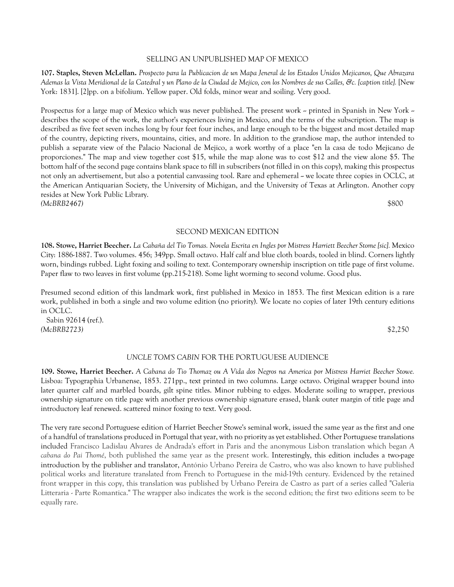#### SELLING AN UNPUBLISHED MAP OF MEXICO

**107. Staples, Steven McLellan.** *Prospecto para la Publicacion de un Mapa Jeneral de los Estados Unidos Mejicanos, Que Abrazara Ademas la Vista Meridional de la Catedral y un Plano de la Ciudad de Mejico, con los Nombres de sus Calles, &c. [caption title].* [New York: 1831]. [2]pp. on a bifolium. Yellow paper. Old folds, minor wear and soiling. Very good.

Prospectus for a large map of Mexico which was never published. The present work -- printed in Spanish in New York -describes the scope of the work, the author's experiences living in Mexico, and the terms of the subscription. The map is described as five feet seven inches long by four feet four inches, and large enough to be the biggest and most detailed map of the country, depicting rivers, mountains, cities, and more. In addition to the grandiose map, the author intended to publish a separate view of the Palacio Nacional de Mejico, a work worthy of a place "en la casa de todo Mejicano de proporciones." The map and view together cost \$15, while the map alone was to cost \$12 and the view alone \$5. The bottom half of the second page contains blank space to fill in subscribers (not filled in on this copy), making this prospectus not only an advertisement, but also a potential canvassing tool. Rare and ephemeral  $\sim$  we locate three copies in OCLC, at the American Antiquarian Society, the University of Michigan, and the University of Texas at Arlington. Another copy resides at New York Public Library. *(McBRB2467)* \$800

## SECOND MEXICAN EDITION

**108. Stowe, Harriet Beecher.** *La Cabaña del Tio Tomas. Novela Escrita en Ingles por Mistress Harriett Beecher Stome [sic].* Mexico City: 1886-1887. Two volumes. 456; 349pp. Small octavo. Half calf and blue cloth boards, tooled in blind. Corners lightly worn, bindings rubbed. Light foxing and soiling to text. Contemporary ownership inscription on title page of first volume. Paper flaw to two leaves in first volume (pp.215-218). Some light worming to second volume. Good plus.

Presumed second edition of this landmark work, first published in Mexico in 1853. The first Mexican edition is a rare work, published in both a single and two volume edition (no priority). We locate no copies of later 19th century editions in OCLC.

 Sabin 92614 (ref.). *(McBRB2723)* \$2,250

## *UNCLE TOM'S CABIN* FOR THE PORTUGUESE AUDIENCE

**109. Stowe, Harriet Beecher.** *A Cabana do Tio Thomaz ou A Vida dos Negros na America por Mistress Harriet Beecher Stowe.*  Lisboa: Typographia Urbanense, 1853. 271pp., text printed in two columns. Large octavo. Original wrapper bound into later quarter calf and marbled boards, gilt spine titles. Minor rubbing to edges. Moderate soiling to wrapper, previous ownership signature on title page with another previous ownership signature erased, blank outer margin of title page and introductory leaf renewed. scattered minor foxing to text. Very good.

The very rare second Portuguese edition of Harriet Beecher Stowe's seminal work, issued the same year as the first and one of a handful of translations produced in Portugal that year, with no priority as yet established. Other Portuguese translations included Francisco Ladislau Alvares de Andrada's effort in Paris and the anonymous Lisbon translation which began *A cabana do Pai Thomé*, both published the same year as the present work. Interestingly, this edition includes a two-page introduction by the publisher and translator, António Urbano Pereira de Castro, who was also known to have published political works and literature translated from French to Portuguese in the mid-19th century. Evidenced by the retained front wrapper in this copy, this translation was published by Urbano Pereira de Castro as part of a series called "Galeria Litteraria - Parte Romantica." The wrapper also indicates the work is the second edition; the first two editions seem to be equally rare.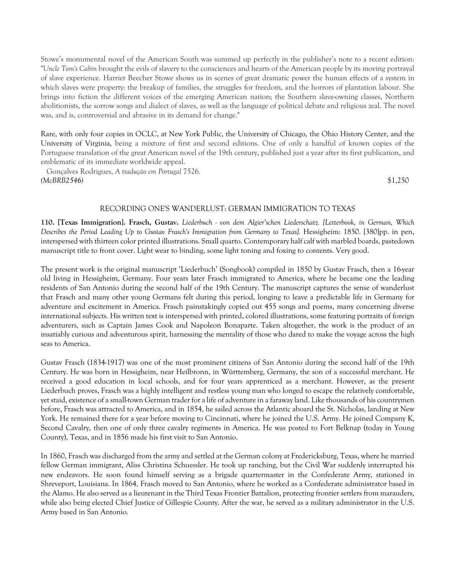Stowe's monumental novel of the American South was summed up perfectly in the publisher's note to a recent edition: "*Uncle Tom's Cabin* brought the evils of slavery to the consciences and hearts of the American people by its moving portrayal of slave experience. Harriet Beecher Stowe shows us in scenes of great dramatic power the human effects of a system in which slaves were property: the breakup of families, the struggles for freedom, and the horrors of plantation labour. She brings into fiction the different voices of the emerging American nation; the Southern slave-owning classes, Northern abolitionists, the sorrow songs and dialect of slaves, as well as the language of political debate and religious zeal. The novel was, and is, controversial and abrasive in its demand for change."

Rare, with only four copies in OCLC, at New York Public, the University of Chicago, the Ohio History Center, and the University of Virginia, being a mixture of first and second editions. One of only a handful of known copies of the Portuguese translation of the great American novel of the 19th century, published just a year after its first publication, and emblematic of its immediate worldwide appeal.

 Gonçalves Rodrigues, *A tradução em Portugal* 7526. *(McBRB2546)* \$1,250

## RECORDING ONE'S WANDERLUST: GERMAN IMMIGRATION TO TEXAS

**110. [Texas Immigration]. Frasch, Gustav.** *Liederbuch - von dem Algier'schen Liederschatz. [Letterbook, in German, Which Describes the Period Leading Up to Gustav Frasch's Immigration from Germany to Texas].* Hessigheim: 1850. [380]pp. in pen, interspersed with thirteen color printed illustrations. Small quarto. Contemporary half calf with marbled boards, pastedown manuscript title to front cover. Light wear to binding, some light toning and foxing to contents. Very good.

The present work is the original manuscript 'Liederbuch' (Songbook) compiled in 1850 by Gustav Frasch, then a 16-year old living in Hessigheim, Germany. Four years later Frasch immigrated to America, where he became one the leading residents of San Antonio during the second half of the 19th Century. The manuscript captures the sense of wanderlust that Frasch and many other young Germans felt during this period, longing to leave a predictable life in Germany for adventure and excitement in America. Frasch painstakingly copied out 455 songs and poems, many concerning diverse international subjects. His written text is interspersed with printed, colored illustrations, some featuring portraits of foreign adventurers, such as Captain James Cook and Napoleon Bonaparte. Taken altogether, the work is the product of an insatiably curious and adventurous spirit, harnessing the mentality of those who dared to make the voyage across the high seas to America.

Gustav Frasch (1834-1917) was one of the most prominent citizens of San Antonio during the second half of the 19th Century. He was born in Hessigheim, near Heilbronn, in Württemberg, Germany, the son of a successful merchant. He received a good education in local schools, and for four years apprenticed as a merchant. However, as the present Liederbuch proves, Frasch was a highly intelligent and restless young man who longed to escape the relatively comfortable, yet staid, existence of a small-town German trader for a life of adventure in a faraway land. Like thousands of his countrymen before, Frasch was attracted to America, and in 1854, he sailed across the Atlantic aboard the St. Nicholas, landing at New York. He remained there for a year before moving to Cincinnati, where he joined the U.S. Army. He joined Company K, Second Cavalry, then one of only three cavalry regiments in America. He was posted to Fort Belknap (today in Young County), Texas, and in 1856 made his first visit to San Antonio.

In 1860, Frasch was discharged from the army and settled at the German colony at Fredericksburg, Texas, where he married fellow German immigrant, Aliss Christina Schuessler. He took up ranching, but the Civil War suddenly interrupted his new endeavors. He soon found himself serving as a brigade quartermaster in the Confederate Army, stationed in Shreveport, Louisiana. In 1864, Frasch moved to San Antonio, where he worked as a Confederate administrator based in the Alamo. He also served as a lieutenant in the Third Texas Frontier Battalion, protecting frontier settlers from marauders, while also being elected Chief Justice of Gillespie County. After the war, he served as a military administrator in the U.S. Army based in San Antonio.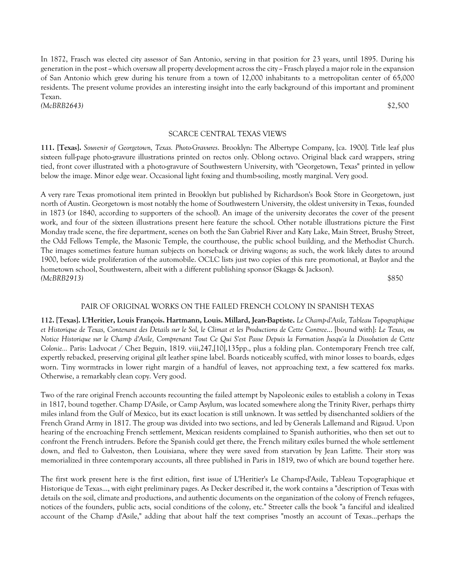In 1872, Frasch was elected city assessor of San Antonio, serving in that position for 23 years, until 1895. During his generation in the post -- which oversaw all property development across the city -- Frasch played a major role in the expansion of San Antonio which grew during his tenure from a town of 12,000 inhabitants to a metropolitan center of 65,000 residents. The present volume provides an interesting insight into the early background of this important and prominent Texan. *(McBRB2643)* \$2,500

## SCARCE CENTRAL TEXAS VIEWS

**111. [Texas].** *Souvenir of Georgetown, Texas. Photo-Gravures*. Brooklyn: The Albertype Company, [ca. 1900]. Title leaf plus sixteen full-page photo-gravure illustrations printed on rectos only. Oblong octavo. Original black card wrappers, string tied, front cover illustrated with a photo-gravure of Southwestern University, with "Georgetown, Texas" printed in yellow below the image. Minor edge wear. Occasional light foxing and thumb-soiling, mostly marginal. Very good.

A very rare Texas promotional item printed in Brooklyn but published by Richardson's Book Store in Georgetown, just north of Austin. Georgetown is most notably the home of Southwestern University, the oldest university in Texas, founded in 1873 (or 1840, according to supporters of the school). An image of the university decorates the cover of the present work, and four of the sixteen illustrations present here feature the school. Other notable illustrations picture the First Monday trade scene, the fire department, scenes on both the San Gabriel River and Katy Lake, Main Street, Brushy Street, the Odd Fellows Temple, the Masonic Temple, the courthouse, the public school building, and the Methodist Church. The images sometimes feature human subjects on horseback or driving wagons; as such, the work likely dates to around 1900, before wide proliferation of the automobile. OCLC lists just two copies of this rare promotional, at Baylor and the hometown school, Southwestern, albeit with a different publishing sponsor (Skaggs & Jackson). *(McBRB2913)* \$850

## PAIR OF ORIGINAL WORKS ON THE FAILED FRENCH COLONY IN SPANISH TEXAS

**112. [Texas]. L'Heritier, Louis François. Hartmann, Louis. Millard, Jean-Baptiste.** *Le Champ-d'Asile, Tableau Topographique et Historique de Texas, Contenant des Details sur le Sol, le Climat et les Productions de Cette Contree*... [bound with]: *Le Texas, ou Notice Historique sur le Champ d'Asile, Comprenant Tout Ce Qui S'est Passe Depuis la Formation Jusqu'a la Dissolution de Cette Colonie...* Paris: Ladvocat / Chez Beguin, 1819. viii,247,[10],135pp., plus a folding plan. Contemporary French tree calf, expertly rebacked, preserving original gilt leather spine label. Boards noticeably scuffed, with minor losses to boards, edges worn. Tiny wormtracks in lower right margin of a handful of leaves, not approaching text, a few scattered fox marks. Otherwise, a remarkably clean copy. Very good.

Two of the rare original French accounts recounting the failed attempt by Napoleonic exiles to establish a colony in Texas in 1817, bound together. Champ D'Asile, or Camp Asylum, was located somewhere along the Trinity River, perhaps thirty miles inland from the Gulf of Mexico, but its exact location is still unknown. It was settled by disenchanted soldiers of the French Grand Army in 1817. The group was divided into two sections, and led by Generals Lallemand and Rigaud. Upon hearing of the encroaching French settlement, Mexican residents complained to Spanish authorities, who then set out to confront the French intruders. Before the Spanish could get there, the French military exiles burned the whole settlement down, and fled to Galveston, then Louisiana, where they were saved from starvation by Jean Lafitte. Their story was memorialized in three contemporary accounts, all three published in Paris in 1819, two of which are bound together here.

The first work present here is the first edition, first issue of L'Heritier's Le Champ-d'Asile, Tableau Topographique et Historique de Texas..., with eight preliminary pages. As Decker described it, the work contains a "description of Texas with details on the soil, climate and productions, and authentic documents on the organization of the colony of French refugees, notices of the founders, public acts, social conditions of the colony, etc." Streeter calls the book "a fanciful and idealized account of the Champ d'Asile," adding that about half the text comprises "mostly an account of Texas...perhaps the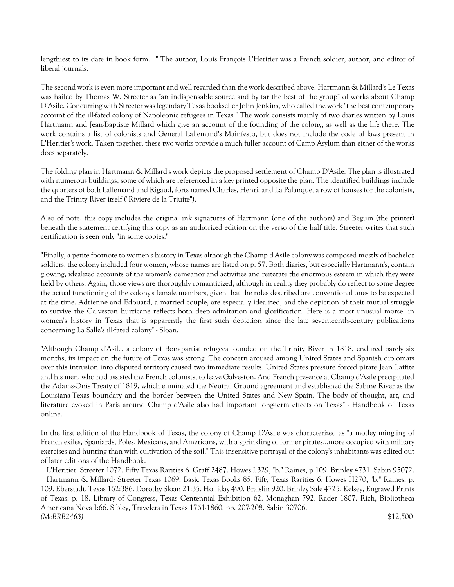lengthiest to its date in book form...." The author, Louis François L'Heritier was a French soldier, author, and editor of liberal journals.

The second work is even more important and well regarded than the work described above. Hartmann & Millard's Le Texas was hailed by Thomas W. Streeter as "an indispensable source and by far the best of the group" of works about Champ D'Asile. Concurring with Streeter was legendary Texas bookseller John Jenkins, who called the work "the best contemporary account of the ill-fated colony of Napoleonic refugees in Texas." The work consists mainly of two diaries written by Louis Hartmann and Jean-Baptiste Millard which give an account of the founding of the colony, as well as the life there. The work contains a list of colonists and General Lallemand's Mainfesto, but does not include the code of laws present in L'Heritier's work. Taken together, these two works provide a much fuller account of Camp Asylum than either of the works does separately.

The folding plan in Hartmann & Millard's work depicts the proposed settlement of Champ D'Asile. The plan is illustrated with numerous buildings, some of which are referenced in a key printed opposite the plan. The identified buildings include the quarters of both Lallemand and Rigaud, forts named Charles, Henri, and La Palanque, a row of houses for the colonists, and the Trinity River itself ("Riviere de la Triuite").

Also of note, this copy includes the original ink signatures of Hartmann (one of the authors) and Beguin (the printer) beneath the statement certifying this copy as an authorized edition on the verso of the half title. Streeter writes that such certification is seen only "in some copies."

"Finally, a petite footnote to women's history in Texas-although the Champ d'Asile colony was composed mostly of bachelor soldiers, the colony included four women, whose names are listed on p. 57. Both diaries, but especially Hartmann's, contain glowing, idealized accounts of the women's demeanor and activities and reiterate the enormous esteem in which they were held by others. Again, those views are thoroughly romanticized, although in reality they probably do reflect to some degree the actual functioning of the colony's female members, given that the roles described are conventional ones to be expected at the time. Adrienne and Edouard, a married couple, are especially idealized, and the depiction of their mutual struggle to survive the Galveston hurricane reflects both deep admiration and glorification. Here is a most unusual morsel in women's history in Texas that is apparently the first such depiction since the late seventeenth-century publications concerning La Salle's ill-fated colony" - Sloan.

"Although Champ d'Asile, a colony of Bonapartist refugees founded on the Trinity River in 1818, endured barely six months, its impact on the future of Texas was strong. The concern aroused among United States and Spanish diplomats over this intrusion into disputed territory caused two immediate results. United States pressure forced pirate Jean Laffite and his men, who had assisted the French colonists, to leave Galveston. And French presence at Champ d'Asile precipitated the Adams-Onis Treaty of 1819, which eliminated the Neutral Ground agreement and established the Sabine River as the Louisiana-Texas boundary and the border between the United States and New Spain. The body of thought, art, and literature evoked in Paris around Champ d'Asile also had important long-term effects on Texas" - Handbook of Texas online.

In the first edition of the Handbook of Texas, the colony of Champ D'Asile was characterized as "a motley mingling of French exiles, Spaniards, Poles, Mexicans, and Americans, with a sprinkling of former pirates...more occupied with military exercises and hunting than with cultivation of the soil." This insensitive portrayal of the colony's inhabitants was edited out of later editions of the Handbook.

 L'Heritier: Streeter 1072. Fifty Texas Rarities 6. Graff 2487. Howes L329, "b." Raines, p.109. Brinley 4731. Sabin 95072. Hartmann & Millard: Streeter Texas 1069. Basic Texas Books 85. Fifty Texas Rarities 6. Howes H270, "b." Raines, p. 109. Eberstadt, Texas 162:386. Dorothy Sloan 21:35. Holliday 490. Braislin 920. Brinley Sale 4725. Kelsey, Engraved Prints of Texas, p. 18. Library of Congress, Texas Centennial Exhibition 62. Monaghan 792. Rader 1807. Rich, Bibliotheca Americana Nova I:66. Sibley, Travelers in Texas 1761-1860, pp. 207-208. Sabin 30706. *(McBRB2463)* \$12,500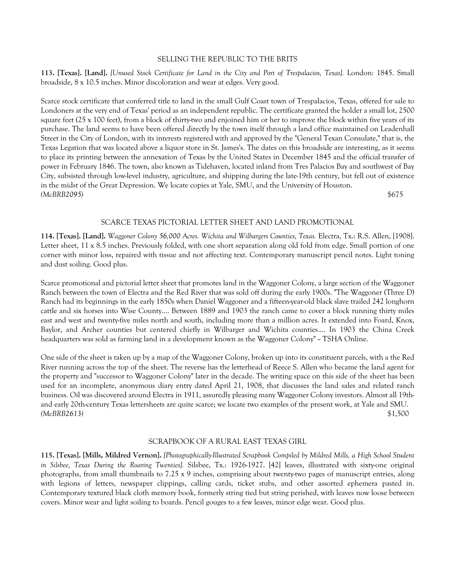## SELLING THE REPUBLIC TO THE BRITS

**113. [Texas]. [Land].** *[Unused Stock Certificate for Land in the City and Port of Trespalacios, Texas].* London: 1845. Small broadside, 8 x 10.5 inches. Minor discoloration and wear at edges. Very good.

Scarce stock certificate that conferred title to land in the small Gulf Coast town of Trespalacios, Texas, offered for sale to Londoners at the very end of Texas' period as an independent republic. The certificate granted the holder a small lot, 2500 square feet ( $25 \times 100$  feet), from a block of thirty-two and enjoined him or her to improve the block within five years of its purchase. The land seems to have been offered directly by the town itself through a land office maintained on Leadenhall Street in the City of London, with its interests registered with and approved by the "General Texan Consulate," that is, the Texas Legation that was located above a liquor store in St. James's. The dates on this broadside are interesting, as it seems to place its printing between the annexation of Texas by the United States in December 1845 and the official transfer of power in February 1846. The town, also known as Tidehaven, located inland from Tres Palacios Bay and southwest of Bay City, subsisted through low-level industry, agriculture, and shipping during the late-19th century, but fell out of existence in the midst of the Great Depression. We locate copies at Yale, SMU, and the University of Houston. *(McBRB2095)* \$675

# SCARCE TEXAS PICTORIAL LETTER SHEET AND LAND PROMOTIONAL

**114. [Texas]. [Land].** *Waggoner Colony 56,000 Acres. Wichita and Wilbargers Counties, Texas.* Electra, Tx.: R.S. Allen, [1908]. Letter sheet, 11 x 8.5 inches. Previously folded, with one short separation along old fold from edge. Small portion of one corner with minor loss, repaired with tissue and not affecting text. Contemporary manuscript pencil notes. Light toning and dust soiling. Good plus.

Scarce promotional and pictorial letter sheet that promotes land in the Waggoner Colony, a large section of the Waggoner Ranch between the town of Electra and the Red River that was sold off during the early 1900s. "The Waggoner (Three D) Ranch had its beginnings in the early 1850s when Daniel Waggoner and a fifteen-year-old black slave trailed 242 longhorn cattle and six horses into Wise County.... Between 1889 and 1903 the ranch came to cover a block running thirty miles east and west and twenty-five miles north and south, including more than a million acres. It extended into Foard, Knox, Baylor, and Archer counties but centered chiefly in Wilbarger and Wichita counties.... In 1903 the China Creek headquarters was sold as farming land in a development known as the Waggoner Colony" ~ TSHA Online.

One side of the sheet is taken up by a map of the Waggoner Colony, broken up into its constituent parcels, with a the Red River running across the top of the sheet. The reverse has the letterhead of Reece S. Allen who became the land agent for the property and "successor to Waggoner Colony" later in the decade. The writing space on this side of the sheet has been used for an incomplete, anonymous diary entry dated April 21, 1908, that discusses the land sales and related ranch business. Oil was discovered around Electra in 1911, assuredly pleasing many Waggoner Colony investors. Almost all 19thand early 20th-century Texas lettersheets are quite scarce; we locate two examples of the present work, at Yale and SMU. *(McBRB2613)* \$1,500

## SCRAPBOOK OF A RURAL EAST TEXAS GIRL

**115. [Texas]. [Mills, Mildred Vernon].** *[Photographically-Illustrated Scrapbook Compiled by Mildred Mills, a High School Student in Silsbee, Texas During the Roaring Twenties].* Silsbee, Tx.: 1926-1927. [42] leaves, illustrated with sixty-one original photographs, from small thumbnails to 7.25 x 9 inches, comprising about twenty-two pages of manuscript entries, along with legions of letters, newspaper clippings, calling cards, ticket stubs, and other assorted ephemera pasted in. Contemporary textured black cloth memory book, formerly string tied but string perished, with leaves now loose between covers. Minor wear and light soiling to boards. Pencil gouges to a few leaves, minor edge wear. Good plus.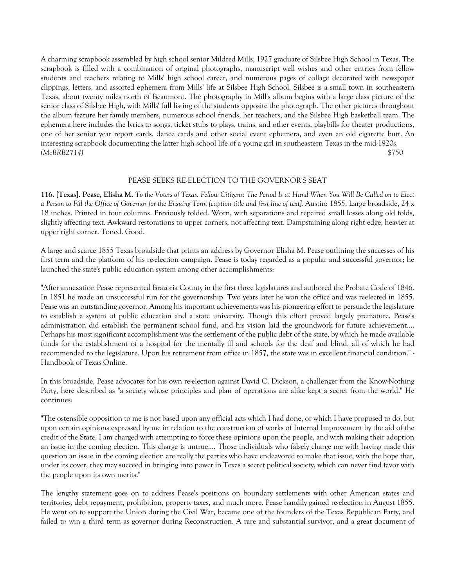A charming scrapbook assembled by high school senior Mildred Mills, 1927 graduate of Silsbee High School in Texas. The scrapbook is filled with a combination of original photographs, manuscript well wishes and other entries from fellow students and teachers relating to Mills' high school career, and numerous pages of collage decorated with newspaper clippings, letters, and assorted ephemera from Mills' life at Silsbee High School. Silsbee is a small town in southeastern Texas, about twenty miles north of Beaumont. The photography in Mill's album begins with a large class picture of the senior class of Silsbee High, with Mills' full listing of the students opposite the photograph. The other pictures throughout the album feature her family members, numerous school friends, her teachers, and the Silsbee High basketball team. The ephemera here includes the lyrics to songs, ticket stubs to plays, trains, and other events, playbills for theater productions, one of her senior year report cards, dance cards and other social event ephemera, and even an old cigarette butt. An interesting scrapbook documenting the latter high school life of a young girl in southeastern Texas in the mid-1920s. *(McBRB2714)* \$750

# PEASE SEEKS RE-ELECTION TO THE GOVERNOR'S SEAT

**116. [Texas]. Pease, Elisha M.** *To the Voters of Texas. Fellow Citizens: The Period Is at Hand When You Will Be Called on to Elect a Person to Fill the Office of Governor for the Ensuing Term [caption title and first line of text].* Austin: 1855. Large broadside, 24 x 18 inches. Printed in four columns. Previously folded. Worn, with separations and repaired small losses along old folds, slightly affecting text. Awkward restorations to upper corners, not affecting text. Dampstaining along right edge, heavier at upper right corner. Toned. Good.

A large and scarce 1855 Texas broadside that prints an address by Governor Elisha M. Pease outlining the successes of his first term and the platform of his re-election campaign. Pease is today regarded as a popular and successful governor; he launched the state's public education system among other accomplishments:

"After annexation Pease represented Brazoria County in the first three legislatures and authored the Probate Code of 1846. In 1851 he made an unsuccessful run for the governorship. Two years later he won the office and was reelected in 1855. Pease was an outstanding governor. Among his important achievements was his pioneering effort to persuade the legislature to establish a system of public education and a state university. Though this effort proved largely premature, Pease's administration did establish the permanent school fund, and his vision laid the groundwork for future achievement.... Perhaps his most significant accomplishment was the settlement of the public debt of the state, by which he made available funds for the establishment of a hospital for the mentally ill and schools for the deaf and blind, all of which he had recommended to the legislature. Upon his retirement from office in 1857, the state was in excellent financial condition." - Handbook of Texas Online.

In this broadside, Pease advocates for his own re-election against David C. Dickson, a challenger from the Know-Nothing Party, here described as "a society whose principles and plan of operations are alike kept a secret from the world." He continues:

"The ostensible opposition to me is not based upon any official acts which I had done, or which I have proposed to do, but upon certain opinions expressed by me in relation to the construction of works of Internal Improvement by the aid of the credit of the State. I am charged with attempting to force these opinions upon the people, and with making their adoption an issue in the coming election. This charge is untrue.... Those individuals who falsely charge me with having made this question an issue in the coming election are really the parties who have endeavored to make that issue, with the hope that, under its cover, they may succeed in bringing into power in Texas a secret political society, which can never find favor with the people upon its own merits."

The lengthy statement goes on to address Pease's positions on boundary settlements with other American states and territories, debt repayment, prohibition, property taxes, and much more. Pease handily gained re-election in August 1855. He went on to support the Union during the Civil War, became one of the founders of the Texas Republican Party, and failed to win a third term as governor during Reconstruction. A rare and substantial survivor, and a great document of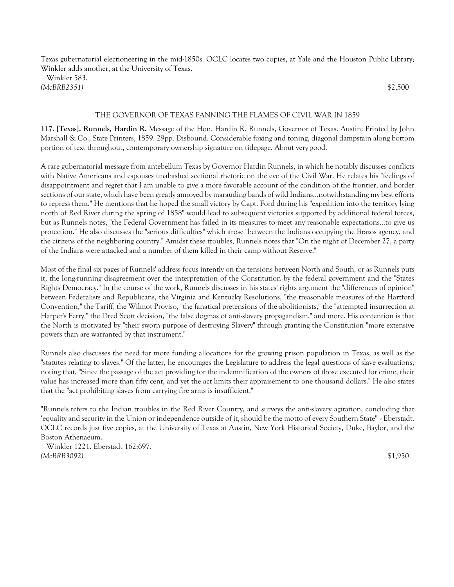Texas gubernatorial electioneering in the mid-1850s. OCLC locates two copies, at Yale and the Houston Public Library; Winkler adds another, at the University of Texas.

 Winkler 583. *(McBRB2351)* \$2,500

#### THE GOVERNOR OF TEXAS FANNING THE FLAMES OF CIVIL WAR IN 1859

**117. [Texas]. Runnels, Hardin R.** Message of the Hon. Hardin R. Runnels, Governor of Texas. Austin: Printed by John Marshall & Co., State Printers, 1859. 29pp. Disbound. Considerable foxing and toning, diagonal dampstain along bottom portion of text throughout, contemporary ownership signature on titlepage. About very good.

A rare gubernatorial message from antebellum Texas by Governor Hardin Runnels, in which he notably discusses conflicts with Native Americans and espouses unabashed sectional rhetoric on the eve of the Civil War. He relates his "feelings of disappointment and regret that I am unable to give a more favorable account of the condition of the frontier, and border sections of our state, which have been greatly annoyed by marauding bands of wild Indians...notwithstanding my best efforts to repress them." He mentions that he hoped the small victory by Capt. Ford during his "expedition into the territory lying north of Red River during the spring of 1858" would lead to subsequent victories supported by additional federal forces, but as Runnels notes, "the Federal Government has failed in its measures to meet any reasonable expectations...to give us protection." He also discusses the "serious difficulties" which arose "between the Indians occupying the Brazos agency, and the citizens of the neighboring country." Amidst these troubles, Runnels notes that "On the night of December 27, a party of the Indians were attacked and a number of them killed in their camp without Reserve."

Most of the final six pages of Runnels' address focus intently on the tensions between North and South, or as Runnels puts it, the long-running disagreement over the interpretation of the Constitution by the federal government and the "States Rights Democracy." In the course of the work, Runnels discusses in his states' rights argument the "differences of opinion" between Federalists and Republicans, the Virginia and Kentucky Resolutions, "the treasonable measures of the Hartford Convention," the Tariff, the Wilmot Proviso, "the fanatical pretensions of the abolitionists," the "attempted insurrection at Harper's Ferry," the Dred Scott decision, "the false dogmas of anti-slavery propagandism," and more. His contention is that the North is motivated by "their sworn purpose of destroying Slavery" through granting the Constitution "more extensive powers than are warranted by that instrument."

Runnels also discusses the need for more funding allocations for the growing prison population in Texas, as well as the "statutes relating to slaves." Of the latter, he encourages the Legislature to address the legal questions of slave evaluations, noting that, "Since the passage of the act providing for the indemnification of the owners of those executed for crime, their value has increased more than fifty cent, and yet the act limits their appraisement to one thousand dollars." He also states that the "act prohibiting slaves from carrying fire arms is insufficient."

"Runnels refers to the Indian troubles in the Red River Country, and surveys the anti-slavery agitation, concluding that 'equality and security in the Union or independence outside of it, should be the motto of every Southern State'" - Eberstadt. OCLC records just five copies, at the University of Texas at Austin, New York Historical Society, Duke, Baylor, and the Boston Athenaeum.

 Winkler 1221. Eberstadt 162:697. *(McBRB3092)* \$1,950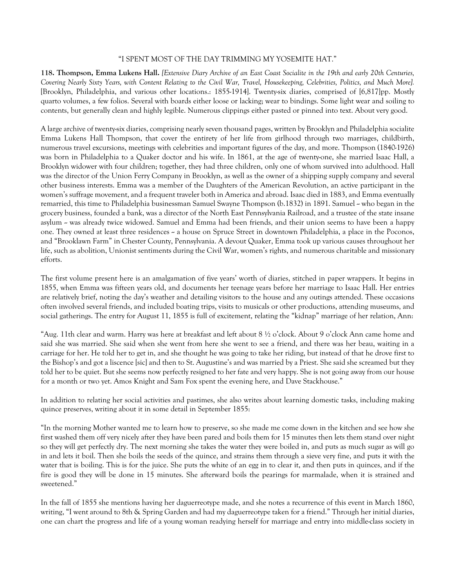# "I SPENT MOST OF THE DAY TRIMMING MY YOSEMITE HAT."

**118. Thompson, Emma Lukens Hall.** *[Extensive Diary Archive of an East Coast Socialite in the 19th and early 20th Centuries, Covering Nearly Sixty Years, with Content Relating to the Civil War, Travel, Housekeeping, Celebrities, Politics, and Much More].* [Brooklyn, Philadelphia, and various other locations.: 1855-1914]. Twenty-six diaries, comprised of [6,817]pp. Mostly quarto volumes, a few folios. Several with boards either loose or lacking; wear to bindings. Some light wear and soiling to contents, but generally clean and highly legible. Numerous clippings either pasted or pinned into text. About very good.

A large archive of twenty-six diaries, comprising nearly seven thousand pages, written by Brooklyn and Philadelphia socialite Emma Lukens Hall Thompson, that cover the entirety of her life from girlhood through two marriages, childbirth, numerous travel excursions, meetings with celebrities and important figures of the day, and more. Thompson (1840-1926) was born in Philadelphia to a Quaker doctor and his wife. In 1861, at the age of twenty-one, she married Isaac Hall, a Brooklyn widower with four children; together, they had three children, only one of whom survived into adulthood. Hall was the director of the Union Ferry Company in Brooklyn, as well as the owner of a shipping supply company and several other business interests. Emma was a member of the Daughters of the American Revolution, an active participant in the women's suffrage movement, and a frequent traveler both in America and abroad. Isaac died in 1883, and Emma eventually remarried, this time to Philadelphia businessman Samuel Swayne Thompson (b.1832) in 1891. Samuel -- who began in the grocery business, founded a bank, was a director of the North East Pennsylvania Railroad, and a trustee of the state insane asylum - was already twice widowed. Samuel and Emma had been friends, and their union seems to have been a happy one. They owned at least three residences - a house on Spruce Street in downtown Philadelphia, a place in the Poconos, and "Brooklawn Farm" in Chester County, Pennsylvania. A devout Quaker, Emma took up various causes throughout her life, such as abolition, Unionist sentiments during the Civil War, women's rights, and numerous charitable and missionary efforts.

The first volume present here is an amalgamation of five years' worth of diaries, stitched in paper wrappers. It begins in 1855, when Emma was fifteen years old, and documents her teenage years before her marriage to Isaac Hall. Her entries are relatively brief, noting the day's weather and detailing visitors to the house and any outings attended. These occasions often involved several friends, and included boating trips, visits to musicals or other productions, attending museums, and social gatherings. The entry for August 11, 1855 is full of excitement, relating the "kidnap" marriage of her relation, Ann:

"Aug. 11th clear and warm. Harry was here at breakfast and left about 8 ½ o'clock. About 9 o'clock Ann came home and said she was married. She said when she went from here she went to see a friend, and there was her beau, waiting in a carriage for her. He told her to get in, and she thought he was going to take her riding, but instead of that he drove first to the Bishop's and got a liscence [sic] and then to St. Augustine's and was married by a Priest. She said she screamed but they told her to be quiet. But she seems now perfectly resigned to her fate and very happy. She is not going away from our house for a month or two yet. Amos Knight and Sam Fox spent the evening here, and Dave Stackhouse."

In addition to relating her social activities and pastimes, she also writes about learning domestic tasks, including making quince preserves, writing about it in some detail in September 1855:

"In the morning Mother wanted me to learn how to preserve, so she made me come down in the kitchen and see how she first washed them off very nicely after they have been pared and boils them for 15 minutes then lets them stand over night so they will get perfectly dry. The next morning she takes the water they were boiled in, and puts as much sugar as will go in and lets it boil. Then she boils the seeds of the quince, and strains them through a sieve very fine, and puts it with the water that is boiling. This is for the juice. She puts the white of an egg in to clear it, and then puts in quinces, and if the fire is good they will be done in 15 minutes. She afterward boils the pearings for marmalade, when it is strained and sweetened."

In the fall of 1855 she mentions having her daguerreotype made, and she notes a recurrence of this event in March 1860, writing, "I went around to 8th & Spring Garden and had my daguerreotype taken for a friend." Through her initial diaries, one can chart the progress and life of a young woman readying herself for marriage and entry into middle-class society in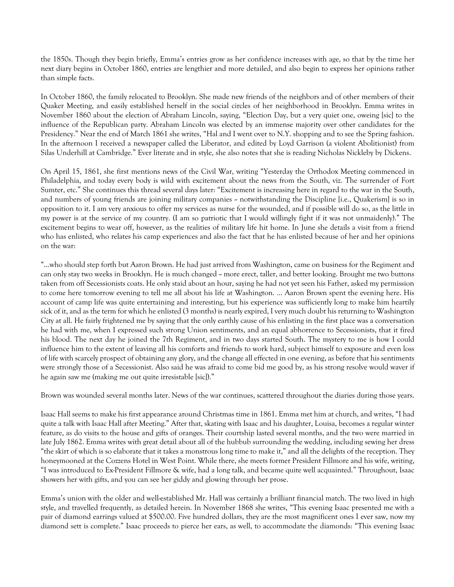the 1850s. Though they begin briefly, Emma's entries grow as her confidence increases with age, so that by the time her next diary begins in October 1860, entries are lengthier and more detailed, and also begin to express her opinions rather than simple facts.

In October 1860, the family relocated to Brooklyn. She made new friends of the neighbors and of other members of their Quaker Meeting, and easily established herself in the social circles of her neighborhood in Brooklyn. Emma writes in November 1860 about the election of Abraham Lincoln, saying, "Election Day, but a very quiet one, oweing [sic] to the influence of the Republican party. Abraham Lincoln was elected by an immense majority over other candidates for the Presidency." Near the end of March 1861 she writes, "Hal and I went over to N.Y. shopping and to see the Spring fashion. In the afternoon I received a newspaper called the Liberator, and edited by Loyd Garrison (a violent Abolitionist) from Silas Underhill at Cambridge." Ever literate and in style, she also notes that she is reading Nicholas Nickleby by Dickens.

On April 15, 1861, she first mentions news of the Civil War, writing "Yesterday the Orthodox Meeting commenced in Philadelphia, and today every body is wild with excitement about the news from the South, viz. The surrender of Fort Sumter, etc." She continues this thread several days later: "Excitement is increasing here in regard to the war in the South, and numbers of young friends are joining military companies – notwithstanding the Discipline [i.e., Quakerism] is so in opposition to it. I am very anxious to offer my services as nurse for the wounded, and if possible will do so, as the little in my power is at the service of my country. (I am so patriotic that I would willingly fight if it was not unmaidenly)." The excitement begins to wear off, however, as the realities of military life hit home. In June she details a visit from a friend who has enlisted, who relates his camp experiences and also the fact that he has enlisted because of her and her opinions on the war:

"...who should step forth but Aaron Brown. He had just arrived from Washington, came on business for the Regiment and can only stay two weeks in Brooklyn. He is much changed – more erect, taller, and better looking. Brought me two buttons taken from off Secessionists coats. He only staid about an hour, saying he had not yet seen his Father, asked my permission to come here tomorrow evening to tell me all about his life at Washington. … Aaron Brown spent the evening here. His account of camp life was quite entertaining and interesting, but his experience was sufficiently long to make him heartily sick of it, and as the term for which he enlisted (3 months) is nearly expired, I very much doubt his returning to Washington City at all. He fairly frightened me by saying that the only earthly cause of his enlisting in the first place was a conversation he had with me, when I expressed such strong Union sentiments, and an equal abhorrence to Secessionists, that it fired his blood. The next day he joined the 7th Regiment, and in two days started South. The mystery to me is how I could influence him to the extent of leaving all his comforts and friends to work hard, subject himself to exposure and even loss of life with scarcely prospect of obtaining any glory, and the change all effected in one evening, as before that his sentiments were strongly those of a Secessionist. Also said he was afraid to come bid me good by, as his strong resolve would waver if he again saw me (making me out quite irresistable [sic])."

Brown was wounded several months later. News of the war continues, scattered throughout the diaries during those years.

Isaac Hall seems to make his first appearance around Christmas time in 1861. Emma met him at church, and writes, "I had quite a talk with Isaac Hall after Meeting." After that, skating with Isaac and his daughter, Louisa, becomes a regular winter feature, as do visits to the house and gifts of oranges. Their courtship lasted several months, and the two were married in late July 1862. Emma writes with great detail about all of the hubbub surrounding the wedding, including sewing her dress "the skirt of which is so elaborate that it takes a monstrous long time to make it," and all the delights of the reception. They honeymooned at the Cozzens Hotel in West Point. While there, she meets former President Fillmore and his wife, writing, "I was introduced to Ex-President Fillmore & wife, had a long talk, and became quite well acquainted." Throughout, Isaac showers her with gifts, and you can see her giddy and glowing through her prose.

Emma's union with the older and well-established Mr. Hall was certainly a brilliant financial match. The two lived in high style, and travelled frequently, as detailed herein. In November 1868 she writes, "This evening Isaac presented me with a pair of diamond earrings valued at \$500.00. Five hundred dollars, they are the most magnificent ones I ever saw, now my diamond sett is complete." Isaac proceeds to pierce her ears, as well, to accommodate the diamonds: "This evening Isaac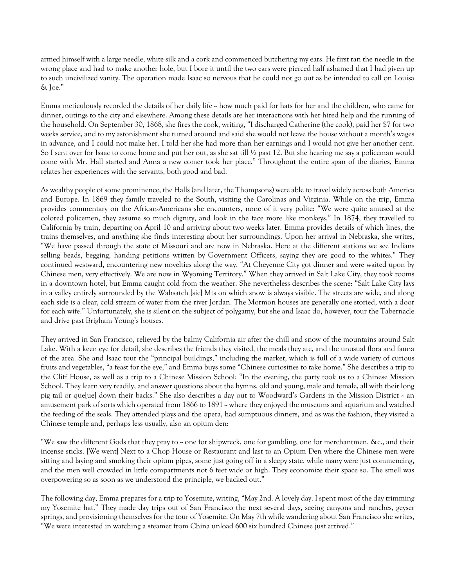armed himself with a large needle, white silk and a cork and commenced butchering my ears. He first ran the needle in the wrong place and had to make another hole, but I bore it until the two ears were pierced half ashamed that I had given up to such uncivilized vanity. The operation made Isaac so nervous that he could not go out as he intended to call on Louisa & Joe."

Emma meticulously recorded the details of her daily life  $\sim$  how much paid for hats for her and the children, who came for dinner, outings to the city and elsewhere. Among these details are her interactions with her hired help and the running of the household. On September 30, 1868, she fires the cook, writing, "I discharged Catherine (the cook), paid her \$7 for two weeks service, and to my astonishment she turned around and said she would not leave the house without a month's wages in advance, and I could not make her. I told her she had more than her earnings and I would not give her another cent. So I sent over for Isaac to come home and put her out, as she sat till ½ past 12. But she hearing me say a policeman would come with Mr. Hall started and Anna a new comer took her place." Throughout the entire span of the diaries, Emma relates her experiences with the servants, both good and bad.

As wealthy people of some prominence, the Halls (and later, the Thompsons) were able to travel widely across both America and Europe. In 1869 they family traveled to the South, visiting the Carolinas and Virginia. While on the trip, Emma provides commentary on the African-Americans she encounters, none of it very polite: "We were quite amused at the colored policemen, they assume so much dignity, and look in the face more like monkeys." In 1874, they travelled to California by train, departing on April 10 and arriving about two weeks later. Emma provides details of which lines, the trains themselves, and anything she finds interesting about her surroundings. Upon her arrival in Nebraska, she writes, "We have passed through the state of Missouri and are now in Nebraska. Here at the different stations we see Indians selling beads, begging, handing petitions written by Government Officers, saying they are good to the whites." They continued westward, encountering new novelties along the way. "At Cheyenne City got dinner and were waited upon by Chinese men, very effectively. We are now in Wyoming Territory." When they arrived in Salt Lake City, they took rooms in a downtown hotel, but Emma caught cold from the weather. She nevertheless describes the scene: "Salt Lake City lays in a valley entirely surrounded by the Wahsatch [sic] Mts on which snow is always visible. The streets are wide, and along each side is a clear, cold stream of water from the river Jordan. The Mormon houses are generally one storied, with a door for each wife." Unfortunately, she is silent on the subject of polygamy, but she and Isaac do, however, tour the Tabernacle and drive past Brigham Young's houses.

They arrived in San Francisco, relieved by the balmy California air after the chill and snow of the mountains around Salt Lake. With a keen eye for detail, she describes the friends they visited, the meals they ate, and the unusual flora and fauna of the area. She and Isaac tour the "principal buildings," including the market, which is full of a wide variety of curious fruits and vegetables, "a feast for the eye," and Emma buys some "Chinese curiosities to take home." She describes a trip to the Cliff House, as well as a trip to a Chinese Mission School: "In the evening, the party took us to a Chinese Mission School. They learn very readily, and answer questions about the hymns, old and young, male and female, all with their long pig tail or que[ue] down their backs." She also describes a day out to Woodward's Gardens in the Mission District -- an amusement park of sorts which operated from 1866 to 1891 - where they enjoyed the museums and aquarium and watched the feeding of the seals. They attended plays and the opera, had sumptuous dinners, and as was the fashion, they visited a Chinese temple and, perhaps less usually, also an opium den:

"We saw the different Gods that they pray to  $\sim$  one for shipwreck, one for gambling, one for merchantmen, &c., and their incense sticks. [We went] Next to a Chop House or Restaurant and last to an Opium Den where the Chinese men were sitting and laying and smoking their opium pipes, some just going off in a sleepy state, while many were just commencing, and the men well crowded in little compartments not 6 feet wide or high. They economize their space so. The smell was overpowering so as soon as we understood the principle, we backed out."

The following day, Emma prepares for a trip to Yosemite, writing, "May 2nd. A lovely day. I spent most of the day trimming my Yosemite hat." They made day trips out of San Francisco the next several days, seeing canyons and ranches, geyser springs, and provisioning themselves for the tour of Yosemite. On May 7th while wandering about San Francisco she writes, "We were interested in watching a steamer from China unload 600 six hundred Chinese just arrived."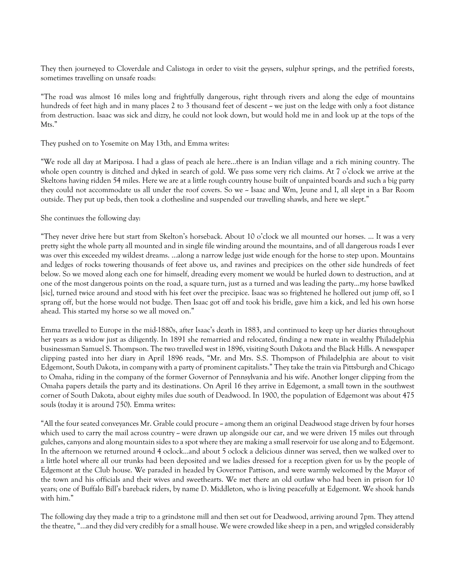They then journeyed to Cloverdale and Calistoga in order to visit the geysers, sulphur springs, and the petrified forests, sometimes travelling on unsafe roads:

"The road was almost 16 miles long and frightfully dangerous, right through rivers and along the edge of mountains hundreds of feet high and in many places 2 to 3 thousand feet of descent - we just on the ledge with only a foot distance from destruction. Isaac was sick and dizzy, he could not look down, but would hold me in and look up at the tops of the Mts."

They pushed on to Yosemite on May 13th, and Emma writes:

"We rode all day at Mariposa. I had a glass of peach ale here...there is an Indian village and a rich mining country. The whole open country is ditched and dyked in search of gold. We pass some very rich claims. At 7 o'clock we arrive at the Skeltons having ridden 54 miles. Here we are at a little rough country house built of unpainted boards and such a big party they could not accommodate us all under the roof covers. So we  $\sim$  Isaac and Wm, Jeune and I, all slept in a Bar Room outside. They put up beds, then took a clothesline and suspended our travelling shawls, and here we slept."

# She continues the following day:

"They never drive here but start from Skelton's horseback. About 10 o'clock we all mounted our horses. … It was a very pretty sight the whole party all mounted and in single file winding around the mountains, and of all dangerous roads I ever was over this exceeded my wildest dreams. …along a narrow ledge just wide enough for the horse to step upon. Mountains and ledges of rocks towering thousands of feet above us, and ravines and precipices on the other side hundreds of feet below. So we moved along each one for himself, dreading every moment we would be hurled down to destruction, and at one of the most dangerous points on the road, a square turn, just as a turned and was leading the party...my horse bawlked [sic], turned twice around and stood with his feet over the precipice. Isaac was so frightened he hollered out jump off, so I sprang off, but the horse would not budge. Then Isaac got off and took his bridle, gave him a kick, and led his own horse ahead. This started my horse so we all moved on."

Emma travelled to Europe in the mid-1880s, after Isaac's death in 1883, and continued to keep up her diaries throughout her years as a widow just as diligently. In 1891 she remarried and relocated, finding a new mate in wealthy Philadelphia businessman Samuel S. Thompson. The two travelled west in 1896, visiting South Dakota and the Black Hills. A newspaper clipping pasted into her diary in April 1896 reads, "Mr. and Mrs. S.S. Thompson of Philadelphia are about to visit Edgemont, South Dakota, in company with a party of prominent capitalists." They take the train via Pittsburgh and Chicago to Omaha, riding in the company of the former Governor of Pennsylvania and his wife. Another longer clipping from the Omaha papers details the party and its destinations. On April 16 they arrive in Edgemont, a small town in the southwest corner of South Dakota, about eighty miles due south of Deadwood. In 1900, the population of Edgemont was about 475 souls (today it is around 750). Emma writes:

"All the four seated conveyances Mr. Grable could procure - among them an original Deadwood stage driven by four horses which used to carry the mail across country  $\sim$  were drawn up alongside our car, and we were driven 15 miles out through gulches, canyons and along mountain sides to a spot where they are making a small reservoir for use along and to Edgemont. In the afternoon we returned around 4 oclock...and about 5 oclock a delicious dinner was served, then we walked over to a little hotel where all our trunks had been deposited and we ladies dressed for a reception given for us by the people of Edgemont at the Club house. We paraded in headed by Governor Pattison, and were warmly welcomed by the Mayor of the town and his officials and their wives and sweethearts. We met there an old outlaw who had been in prison for 10 years; one of Buffalo Bill's bareback riders, by name D. Middleton, who is living peacefully at Edgemont. We shook hands with him."

The following day they made a trip to a grindstone mill and then set out for Deadwood, arriving around 7pm. They attend the theatre, "...and they did very credibly for a small house. We were crowded like sheep in a pen, and wriggled considerably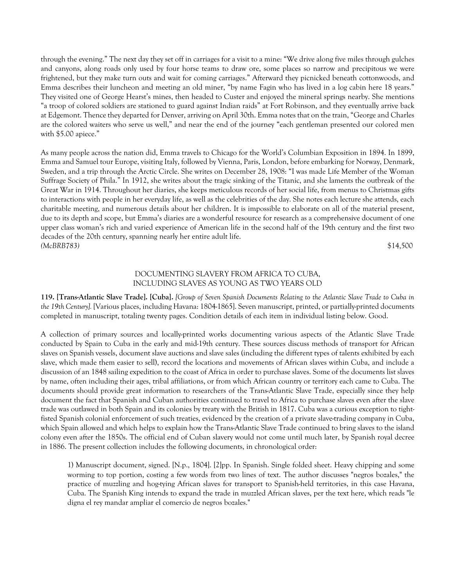through the evening." The next day they set off in carriages for a visit to a mine: "We drive along five miles through gulches and canyons, along roads only used by four horse teams to draw ore, some places so narrow and precipitous we were frightened, but they make turn outs and wait for coming carriages." Afterward they picnicked beneath cottonwoods, and Emma describes their luncheon and meeting an old miner, "by name Fagin who has lived in a log cabin here 18 years." They visited one of George Hearst's mines, then headed to Custer and enjoyed the mineral springs nearby. She mentions "a troop of colored soldiers are stationed to guard against Indian raids" at Fort Robinson, and they eventually arrive back at Edgemont. Thence they departed for Denver, arriving on April 30th. Emma notes that on the train, "George and Charles are the colored waiters who serve us well," and near the end of the journey "each gentleman presented our colored men with \$5.00 apiece."

As many people across the nation did, Emma travels to Chicago for the World's Columbian Exposition in 1894. In 1899, Emma and Samuel tour Europe, visiting Italy, followed by Vienna, Paris, London, before embarking for Norway, Denmark, Sweden, and a trip through the Arctic Circle. She writes on December 28, 1908: "I was made Life Member of the Woman Suffrage Society of Phila." In 1912, she writes about the tragic sinking of the Titanic, and she laments the outbreak of the Great War in 1914. Throughout her diaries, she keeps meticulous records of her social life, from menus to Christmas gifts to interactions with people in her everyday life, as well as the celebrities of the day. She notes each lecture she attends, each charitable meeting, and numerous details about her children. It is impossible to elaborate on all of the material present, due to its depth and scope, but Emma's diaries are a wonderful resource for research as a comprehensive document of one upper class woman's rich and varied experience of American life in the second half of the 19th century and the first two decades of the 20th century, spanning nearly her entire adult life. *(McBRB783)* \$14,500

# DOCUMENTING SLAVERY FROM AFRICA TO CUBA, INCLUDING SLAVES AS YOUNG AS TWO YEARS OLD

**119. [Trans-Atlantic Slave Trade]. [Cuba].** *[Group of Seven Spanish Documents Relating to the Atlantic Slave Trade to Cuba in the 19th Century].* [Various places, including Havana: 1804-1865]. Seven manuscript, printed, or partially-printed documents completed in manuscript, totaling twenty pages. Condition details of each item in individual listing below. Good.

A collection of primary sources and locally-printed works documenting various aspects of the Atlantic Slave Trade conducted by Spain to Cuba in the early and mid-19th century. These sources discuss methods of transport for African slaves on Spanish vessels, document slave auctions and slave sales (including the different types of talents exhibited by each slave, which made them easier to sell), record the locations and movements of African slaves within Cuba, and include a discussion of an 1848 sailing expedition to the coast of Africa in order to purchase slaves. Some of the documents list slaves by name, often including their ages, tribal affiliations, or from which African country or territory each came to Cuba. The documents should provide great information to researchers of the Trans-Atlantic Slave Trade, especially since they help document the fact that Spanish and Cuban authorities continued to travel to Africa to purchase slaves even after the slave trade was outlawed in both Spain and its colonies by treaty with the British in 1817. Cuba was a curious exception to tightfisted Spanish colonial enforcement of such treaties, evidenced by the creation of a private slave-trading company in Cuba, which Spain allowed and which helps to explain how the Trans-Atlantic Slave Trade continued to bring slaves to the island colony even after the 1850s. The official end of Cuban slavery would not come until much later, by Spanish royal decree in 1886. The present collection includes the following documents, in chronological order:

1) Manuscript document, signed. [N.p., 1804]. [2]pp. In Spanish. Single folded sheet. Heavy chipping and some worming to top portion, costing a few words from two lines of text. The author discusses "negros bozales," the practice of muzzling and hog-tying African slaves for transport to Spanish-held territories, in this case Havana, Cuba. The Spanish King intends to expand the trade in muzzled African slaves, per the text here, which reads "le digna el rey mandar ampliar el comercio de negros bozales."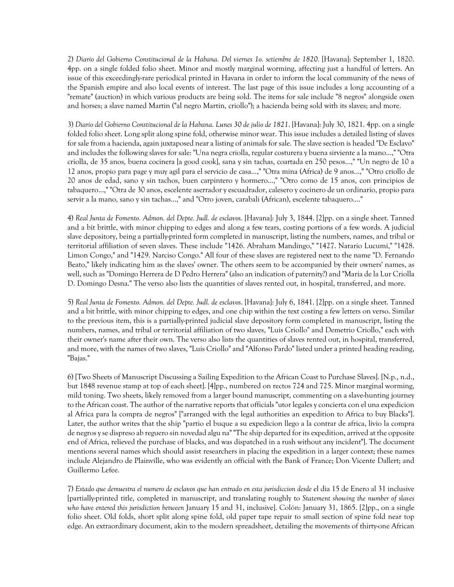2) *Diario del Gobierno Constitucional de la Habana. Del viernes 1o. setiembre de 1820.* [Havana]: September 1, 1820. 4pp. on a single folded folio sheet. Minor and mostly marginal worming, affecting just a handful of letters. An issue of this exceedingly-rare periodical printed in Havana in order to inform the local community of the news of the Spanish empire and also local events of interest. The last page of this issue includes a long accounting of a "remate" (auction) in which various products are being sold. The items for sale include "8 negros" alongside oxen and horses; a slave named Martin ("al negro Martin, criollo"); a hacienda being sold with its slaves; and more.

3) *Diario del Gobierno Constitucional de la Habana. Lunes 30 de julio de 1821*. [Havana]: July 30, 1821. 4pp. on a single folded folio sheet. Long split along spine fold, otherwise minor wear. This issue includes a detailed listing of slaves for sale from a hacienda, again juxtaposed near a listing of animals for sale. The slave section is headed "De Esclavo" and includes the following slaves for sale: "Una negra criolla, regular costurera y buena sirviente a la mano...," "Otra criolla, de 35 anos, buena cocinera [a good cook], sana y sin tachas, coartada en 250 pesos...," "Un negro de 10 a 12 anos, propio para page y muy agil para el servicio de casa...," "Otra mina (Africa) de 9 anos...," "Otro criollo de 20 anos de edad, sano y sin tachos, buen carpintero y hormero...," "Otro como de 15 anos, con principios de tabaquero...," "Otra de 30 anos, escelente aserrador y escuadrador, calesero y cocinero de un ordinario, propio para servir a la mano, sano y sin tachas...," and "Otro joven, carabali (African), escelente tabaquero...."

4) *Real Junta de Fomento. Admon. del Depte. Judl. de esclavos*. [Havana]: July 3, 1844. [2]pp. on a single sheet. Tanned and a bit brittle, with minor chipping to edges and along a few tears, costing portions of a few words. A judicial slave depository, being a partially-printed form completed in manuscript, listing the numbers, names, and tribal or territorial affiliation of seven slaves. These include "1426. Abraham Mandingo," "1427. Narario Lucumi," "1428. Limon Congo," and "1429. Narciso Congo." All four of these slaves are registered next to the name "D. Fernando Beato," likely indicating him as the slaves' owner. The others seem to be accompanied by their owners' names, as well, such as "Domingo Herrera de D Pedro Herrera" (also an indication of paternity?) and "Maria de la Lur Criolla D. Domingo Desna." The verso also lists the quantities of slaves rented out, in hospital, transferred, and more.

5) *Real Junta de Fomento. Admon. del Depte. Judl. de esclavos*. [Havana]: July 6, 1841. [2]pp. on a single sheet. Tanned and a bit brittle, with minor chipping to edges, and one chip within the text costing a few letters on verso. Similar to the previous item, this is a partially-printed judicial slave depository form completed in manuscript, listing the numbers, names, and tribal or territorial affiliation of two slaves, "Luis Criollo" and Demetrio Criollo," each with their owner's name after their own. The verso also lists the quantities of slaves rented out, in hospital, transferred, and more, with the names of two slaves, "Luis Criollo" and "Alfonso Pardo" listed under a printed heading reading, "Bajas."

6) [Two Sheets of Manuscript Discussing a Sailing Expedition to the African Coast to Purchase Slaves]. [N.p., n.d., but 1848 revenue stamp at top of each sheet]. [4]pp., numbered on rectos 724 and 725. Minor marginal worming, mild toning. Two sheets, likely removed from a larger bound manuscript, commenting on a slave-hunting journey to the African coast. The author of the narrative reports that officials "utor legales y concierta con el una expedicion al Africa para la compra de negros" ["arranged with the legal authorities an expedition to Africa to buy Blacks"]. Later, the author writes that the ship "partio el buque a su expedicion llego a la contrar de africa, livio la compra de negros y se dispreso ab reguero sin novedad algu na" "The ship departed for its expedition, arrived at the opposite end of Africa, relieved the purchase of blacks, and was dispatched in a rush without any incident"]. The document mentions several names which should assist researchers in placing the expedition in a larger context; these names include Alejandro de Plainville, who was evidently an official with the Bank of France; Don Vicente Dallert; and Guillermo Lefee.

7) *Estado que demuestra el numero de esclavos que han entrado en esta jurisdiccion desde* el dia 15 de Enero al 31 inclusive [partially-printed title, completed in manuscript, and translating roughly to *Statement showing the number of slaves who have entered this jurisdiction between* January 15 and 31, inclusive]. Colón: January 31, 1865. [2]pp., on a single folio sheet. Old folds, short split along spine fold, old paper tape repair to small section of spine fold near top edge. An extraordinary document, akin to the modern spreadsheet, detailing the movements of thirty-one African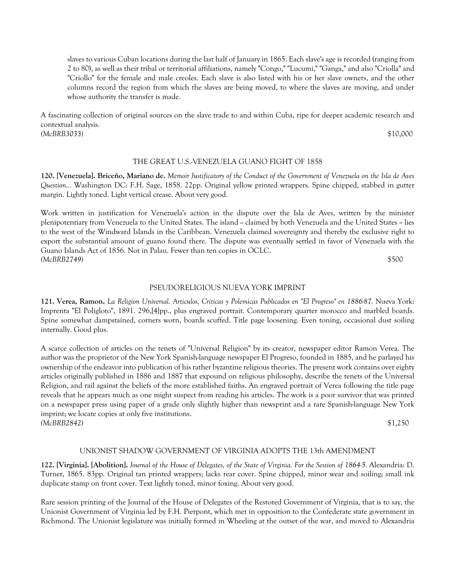slaves to various Cuban locations during the last half of January in 1865. Each slave's age is recorded (ranging from 2 to 80), as well as their tribal or territorial affiliations, namely "Congo," "Lucumi," "Ganga," and also "Criolla" and "Criollo" for the female and male creoles. Each slave is also listed with his or her slave owners, and the other columns record the region from which the slaves are being moved, to where the slaves are moving, and under whose authority the transfer is made.

A fascinating collection of original sources on the slave trade to and within Cuba, ripe for deeper academic research and contextual analysis. *(McBRB3033)* \$10,000

## THE GREAT U.S.-VENEZUELA GUANO FIGHT OF 1858

**120. [Venezuela]. Briceño, Mariano de.** *Memoir Justificatory of the Conduct of the Government of Venezuela on the Isla de Aves Question...* Washington DC: F.H. Sage, 1858. 22pp. Original yellow printed wrappers. Spine chipped, stabbed in gutter margin. Lightly toned. Light vertical crease. About very good.

Work written in justification for Venezuela's action in the dispute over the Isla de Aves, written by the minister plenipotentiary from Venezuela to the United States. The island -- claimed by both Venezuela and the United States -- lies to the west of the Windward Islands in the Caribbean. Venezuela claimed sovereignty and thereby the exclusive right to export the substantial amount of guano found there. The dispute was eventually settled in favor of Venezuela with the Guano Islands Act of 1856. Not in Palau. Fewer than ten copies in OCLC. *(McBRB2749)* \$500

PSEUDORELIGIOUS NUEVA YORK IMPRINT

**121. Verea, Ramon.** *La Religion Universal. Articulos, Criticas y Polemicas Publicados en "El Progreso" en 1886-87.* Nueva York: Imprenta "El Poligloto", 1891. 296,[4]pp., plus engraved portrait. Contemporary quarter morocco and marbled boards. Spine somewhat dampstained, corners worn, boards scuffed. Title page loosening. Even toning, occasional dust soiling internally. Good plus.

A scarce collection of articles on the tenets of "Universal Religion" by its creator, newspaper editor Ramon Verea. The author was the proprietor of the New York Spanish-language newspaper El Progreso, founded in 1885, and he parlayed his ownership of the endeavor into publication of his rather byzantine religious theories. The present work contains over eighty articles originally published in 1886 and 1887 that expound on religious philosophy, describe the tenets of the Universal Religion, and rail against the beliefs of the more established faiths. An engraved portrait of Verea following the title page reveals that he appears much as one might suspect from reading his articles. The work is a poor survivor that was printed on a newspaper press using paper of a grade only slightly higher than newsprint and a rare Spanish-language New York imprint; we locate copies at only five institutions. *(McBRB2842)* \$1,250

## UNIONIST SHADOW GOVERNMENT OF VIRGINIA ADOPTS THE 13th AMENDMENT

**122. [Virginia]. [Abolition].** *Journal of the House of Delegates, of the State of Virginia. For the Session of 1864-5.* Alexandria: D. Turner, 1865. 83pp. Original tan printed wrappers; lacks rear cover. Spine chipped, minor wear and soiling; small ink duplicate stamp on front cover. Text lightly toned, minor foxing. About very good.

Rare session printing of the Journal of the House of Delegates of the Restored Government of Virginia, that is to say, the Unionist Government of Virginia led by F.H. Pierpont, which met in opposition to the Confederate state government in Richmond. The Unionist legislature was initially formed in Wheeling at the outset of the war, and moved to Alexandria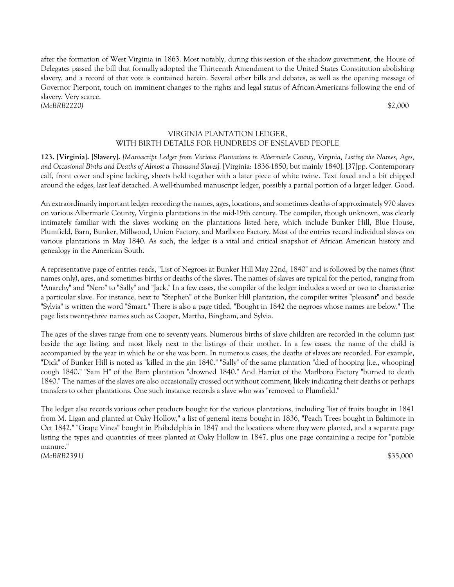after the formation of West Virginia in 1863. Most notably, during this session of the shadow government, the House of Delegates passed the bill that formally adopted the Thirteenth Amendment to the United States Constitution abolishing slavery, and a record of that vote is contained herein. Several other bills and debates, as well as the opening message of Governor Pierpont, touch on imminent changes to the rights and legal status of African-Americans following the end of slavery. Very scarce. *(McBRB2220)* \$2,000

# VIRGINIA PLANTATION LEDGER, WITH BIRTH DETAILS FOR HUNDREDS OF ENSLAVED PEOPLE

**123. [Virginia]. [Slavery].** *[Manuscript Ledger from Various Plantations in Albermarle County, Virginia, Listing the Names, Ages, and Occasional Births and Deaths of Almost a Thousand Slaves].* [Virginia: 1836-1850, but mainly 1840]. [37]pp. Contemporary calf, front cover and spine lacking, sheets held together with a later piece of white twine. Text foxed and a bit chipped around the edges, last leaf detached. A well-thumbed manuscript ledger, possibly a partial portion of a larger ledger. Good.

An extraordinarily important ledger recording the names, ages, locations, and sometimes deaths of approximately 970 slaves on various Albermarle County, Virginia plantations in the mid-19th century. The compiler, though unknown, was clearly intimately familiar with the slaves working on the plantations listed here, which include Bunker Hill, Blue House, Plumfield, Barn, Bunker, Millwood, Union Factory, and Marlboro Factory. Most of the entries record individual slaves on various plantations in May 1840. As such, the ledger is a vital and critical snapshot of African American history and genealogy in the American South.

A representative page of entries reads, "List of Negroes at Bunker Hill May 22nd, 1840" and is followed by the names (first names only), ages, and sometimes births or deaths of the slaves. The names of slaves are typical for the period, ranging from "Anarchy" and "Nero" to "Sally" and "Jack." In a few cases, the compiler of the ledger includes a word or two to characterize a particular slave. For instance, next to "Stephen" of the Bunker Hill plantation, the compiler writes "pleasant" and beside "Sylvia" is written the word "Smart." There is also a page titled, "Bought in 1842 the negroes whose names are below." The page lists twenty-three names such as Cooper, Martha, Bingham, and Sylvia.

The ages of the slaves range from one to seventy years. Numerous births of slave children are recorded in the column just beside the age listing, and most likely next to the listings of their mother. In a few cases, the name of the child is accompanied by the year in which he or she was born. In numerous cases, the deaths of slaves are recorded. For example, "Dick" of Bunker Hill is noted as "killed in the gin 1840." "Sally" of the same plantation "died of hooping [i.e., whooping] cough 1840." "Sam H" of the Barn plantation "drowned 1840." And Harriet of the Marlboro Factory "burned to death 1840." The names of the slaves are also occasionally crossed out without comment, likely indicating their deaths or perhaps transfers to other plantations. One such instance records a slave who was "removed to Plumfield."

The ledger also records various other products bought for the various plantations, including "list of fruits bought in 1841 from M. Ligan and planted at Oaky Hollow," a list of general items bought in 1836, "Peach Trees bought in Baltimore in Oct 1842," "Grape Vines" bought in Philadelphia in 1847 and the locations where they were planted, and a separate page listing the types and quantities of trees planted at Oaky Hollow in 1847, plus one page containing a recipe for "potable manure." *(McBRB2391)* \$35,000